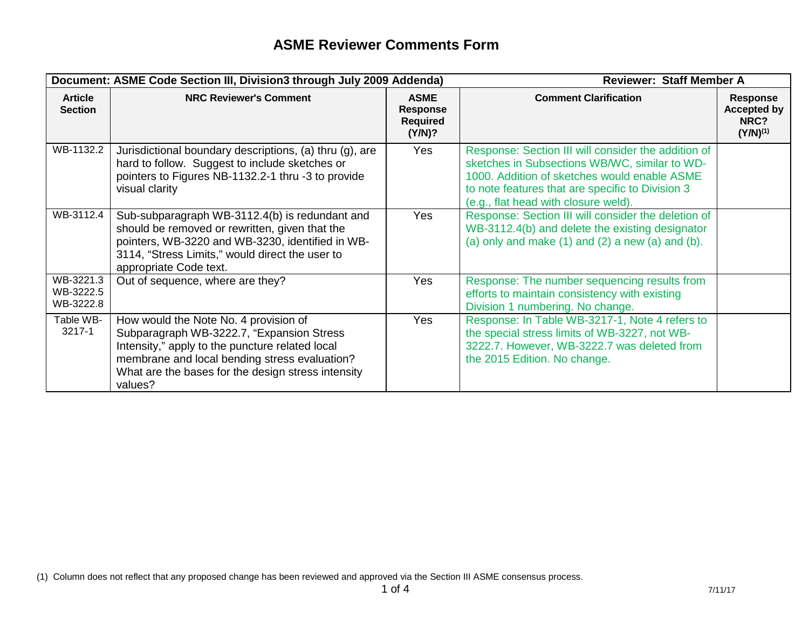|                                     | Document: ASME Code Section III, Division3 through July 2009 Addenda)                                                                                                                                                                                   |                                                             | <b>Reviewer: Staff Member A</b>                                                                                                                                                                                                                  |                                                                |
|-------------------------------------|---------------------------------------------------------------------------------------------------------------------------------------------------------------------------------------------------------------------------------------------------------|-------------------------------------------------------------|--------------------------------------------------------------------------------------------------------------------------------------------------------------------------------------------------------------------------------------------------|----------------------------------------------------------------|
| <b>Article</b><br><b>Section</b>    | <b>NRC Reviewer's Comment</b>                                                                                                                                                                                                                           | <b>ASME</b><br><b>Response</b><br><b>Required</b><br>(Y/N)? | <b>Comment Clarification</b>                                                                                                                                                                                                                     | <b>Response</b><br><b>Accepted by</b><br>NRC?<br>$(Y/N)^{(1)}$ |
| WB-1132.2                           | Jurisdictional boundary descriptions, (a) thru (g), are<br>hard to follow. Suggest to include sketches or<br>pointers to Figures NB-1132.2-1 thru -3 to provide<br>visual clarity                                                                       | <b>Yes</b>                                                  | Response: Section III will consider the addition of<br>sketches in Subsections WB/WC, similar to WD-<br>1000. Addition of sketches would enable ASME<br>to note features that are specific to Division 3<br>(e.g., flat head with closure weld). |                                                                |
| WB-3112.4                           | Sub-subparagraph WB-3112.4(b) is redundant and<br>should be removed or rewritten, given that the<br>pointers, WB-3220 and WB-3230, identified in WB-<br>3114, "Stress Limits," would direct the user to<br>appropriate Code text.                       | Yes                                                         | Response: Section III will consider the deletion of<br>WB-3112.4(b) and delete the existing designator<br>(a) only and make $(1)$ and $(2)$ a new $(a)$ and $(b)$ .                                                                              |                                                                |
| WB-3221.3<br>WB-3222.5<br>WB-3222.8 | Out of sequence, where are they?                                                                                                                                                                                                                        | <b>Yes</b>                                                  | Response: The number sequencing results from<br>efforts to maintain consistency with existing<br>Division 1 numbering. No change.                                                                                                                |                                                                |
| Table WB-<br>3217-1                 | How would the Note No. 4 provision of<br>Subparagraph WB-3222.7, "Expansion Stress<br>Intensity," apply to the puncture related local<br>membrane and local bending stress evaluation?<br>What are the bases for the design stress intensity<br>values? | <b>Yes</b>                                                  | Response: In Table WB-3217-1, Note 4 refers to<br>the special stress limits of WB-3227, not WB-<br>3222.7. However, WB-3222.7 was deleted from<br>the 2015 Edition. No change.                                                                   |                                                                |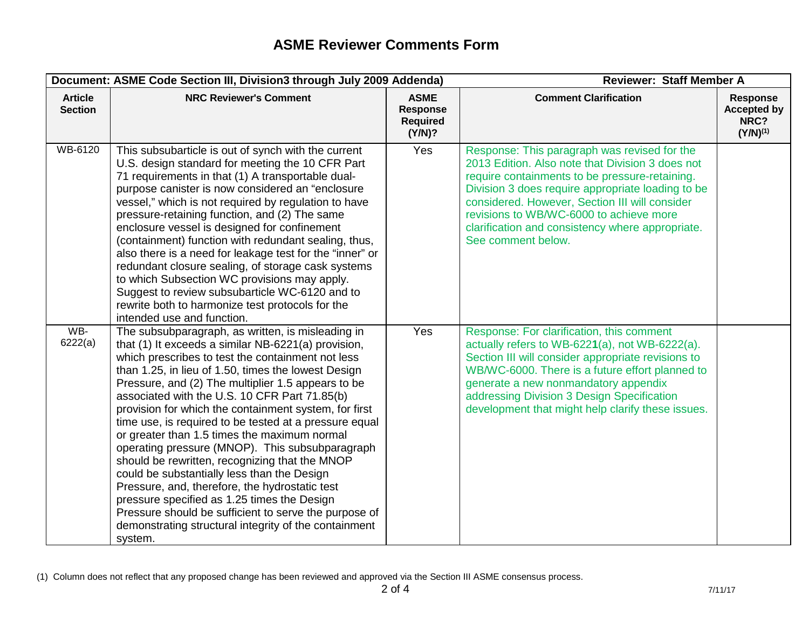|                                  | Document: ASME Code Section III, Division3 through July 2009 Addenda)                                                                                                                                                                                                                                                                                                                                                                                                                                                                                                                                                                                                                                                                                                                                                                                                            |                                                      | <b>Reviewer: Staff Member A</b>                                                                                                                                                                                                                                                                                                                                                |                                                         |
|----------------------------------|----------------------------------------------------------------------------------------------------------------------------------------------------------------------------------------------------------------------------------------------------------------------------------------------------------------------------------------------------------------------------------------------------------------------------------------------------------------------------------------------------------------------------------------------------------------------------------------------------------------------------------------------------------------------------------------------------------------------------------------------------------------------------------------------------------------------------------------------------------------------------------|------------------------------------------------------|--------------------------------------------------------------------------------------------------------------------------------------------------------------------------------------------------------------------------------------------------------------------------------------------------------------------------------------------------------------------------------|---------------------------------------------------------|
| <b>Article</b><br><b>Section</b> | <b>NRC Reviewer's Comment</b>                                                                                                                                                                                                                                                                                                                                                                                                                                                                                                                                                                                                                                                                                                                                                                                                                                                    | <b>ASME</b><br>Response<br><b>Required</b><br>(Y/N)? | <b>Comment Clarification</b>                                                                                                                                                                                                                                                                                                                                                   | Response<br><b>Accepted by</b><br>NRC?<br>$(Y/N)^{(1)}$ |
| WB-6120                          | This subsubarticle is out of synch with the current<br>U.S. design standard for meeting the 10 CFR Part<br>71 requirements in that (1) A transportable dual-<br>purpose canister is now considered an "enclosure<br>vessel," which is not required by regulation to have<br>pressure-retaining function, and (2) The same<br>enclosure vessel is designed for confinement<br>(containment) function with redundant sealing, thus,<br>also there is a need for leakage test for the "inner" or<br>redundant closure sealing, of storage cask systems<br>to which Subsection WC provisions may apply.<br>Suggest to review subsubarticle WC-6120 and to<br>rewrite both to harmonize test protocols for the<br>intended use and function.                                                                                                                                          | Yes                                                  | Response: This paragraph was revised for the<br>2013 Edition. Also note that Division 3 does not<br>require containments to be pressure-retaining.<br>Division 3 does require appropriate loading to be<br>considered. However, Section III will consider<br>revisions to WB/WC-6000 to achieve more<br>clarification and consistency where appropriate.<br>See comment below. |                                                         |
| WB-<br>6222(a)                   | The subsubparagraph, as written, is misleading in<br>that (1) It exceeds a similar NB-6221(a) provision,<br>which prescribes to test the containment not less<br>than 1.25, in lieu of 1.50, times the lowest Design<br>Pressure, and (2) The multiplier 1.5 appears to be<br>associated with the U.S. 10 CFR Part 71.85(b)<br>provision for which the containment system, for first<br>time use, is required to be tested at a pressure equal<br>or greater than 1.5 times the maximum normal<br>operating pressure (MNOP). This subsubparagraph<br>should be rewritten, recognizing that the MNOP<br>could be substantially less than the Design<br>Pressure, and, therefore, the hydrostatic test<br>pressure specified as 1.25 times the Design<br>Pressure should be sufficient to serve the purpose of<br>demonstrating structural integrity of the containment<br>system. | Yes                                                  | Response: For clarification, this comment<br>actually refers to WB-6221(a), not WB-6222(a).<br>Section III will consider appropriate revisions to<br>WB/WC-6000. There is a future effort planned to<br>generate a new nonmandatory appendix<br>addressing Division 3 Design Specification<br>development that might help clarify these issues.                                |                                                         |

<sup>(1)</sup> Column does not reflect that any proposed change has been reviewed and approved via the Section III ASME consensus process.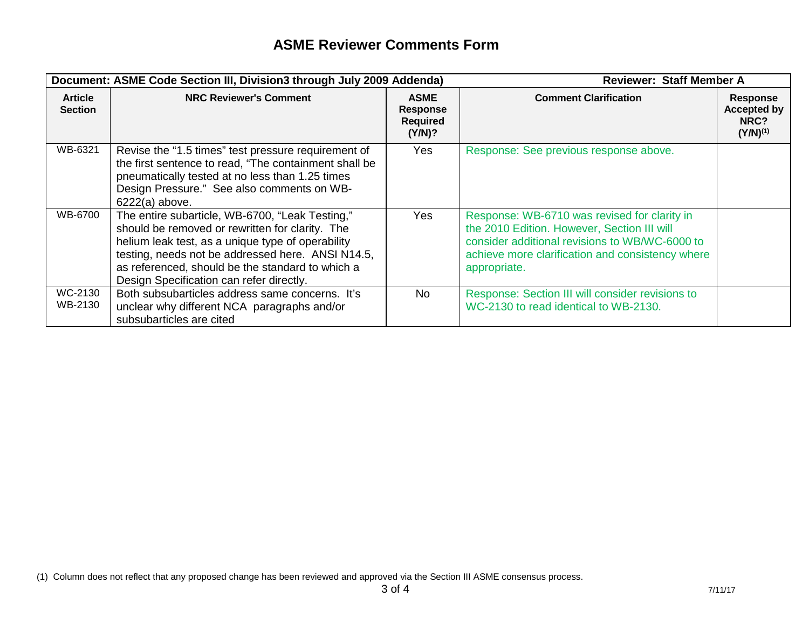| Document: ASME Code Section III, Division3 through July 2009 Addenda) |                                                                                                                                                                                                                                                                                                              | <b>Reviewer: Staff Member A</b>                             |                                                                                                                                                                                                                   |                                                                |
|-----------------------------------------------------------------------|--------------------------------------------------------------------------------------------------------------------------------------------------------------------------------------------------------------------------------------------------------------------------------------------------------------|-------------------------------------------------------------|-------------------------------------------------------------------------------------------------------------------------------------------------------------------------------------------------------------------|----------------------------------------------------------------|
| <b>Article</b><br><b>Section</b>                                      | <b>NRC Reviewer's Comment</b>                                                                                                                                                                                                                                                                                | <b>ASME</b><br><b>Response</b><br><b>Required</b><br>(Y/N)? | <b>Comment Clarification</b>                                                                                                                                                                                      | <b>Response</b><br><b>Accepted by</b><br>NRC?<br>$(Y/N)^{(1)}$ |
| WB-6321                                                               | Revise the "1.5 times" test pressure requirement of<br>the first sentence to read, "The containment shall be<br>pneumatically tested at no less than 1.25 times<br>Design Pressure." See also comments on WB-<br>$6222(a)$ above.                                                                            | Yes                                                         | Response: See previous response above.                                                                                                                                                                            |                                                                |
| WB-6700                                                               | The entire subarticle, WB-6700, "Leak Testing,"<br>should be removed or rewritten for clarity. The<br>helium leak test, as a unique type of operability<br>testing, needs not be addressed here. ANSI N14.5,<br>as referenced, should be the standard to which a<br>Design Specification can refer directly. | Yes                                                         | Response: WB-6710 was revised for clarity in<br>the 2010 Edition. However, Section III will<br>consider additional revisions to WB/WC-6000 to<br>achieve more clarification and consistency where<br>appropriate. |                                                                |
| WC-2130<br>WB-2130                                                    | Both subsubarticles address same concerns. It's<br>unclear why different NCA paragraphs and/or<br>subsubarticles are cited                                                                                                                                                                                   | <b>No</b>                                                   | Response: Section III will consider revisions to<br>WC-2130 to read identical to WB-2130.                                                                                                                         |                                                                |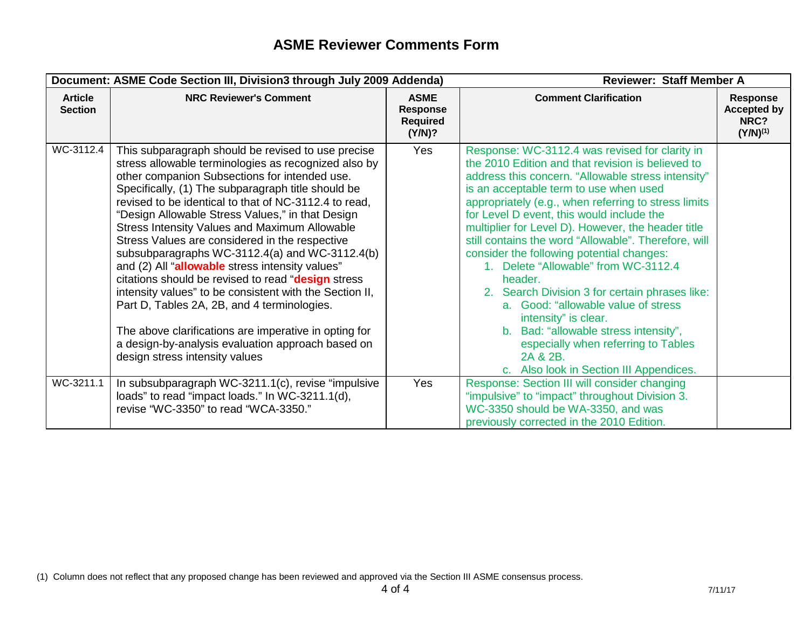|                                  | Document: ASME Code Section III, Division3 through July 2009 Addenda)                                                                                                                                                                                                                                                                                                                                                                                                                                                                                                                                                                                                                                                                                                                                                                                  |                                                             | <b>Reviewer: Staff Member A</b>                                                                                                                                                                                                                                                                                                                                                                                                                                                                                                                                                                                                                                                                                                                                                |                                                         |
|----------------------------------|--------------------------------------------------------------------------------------------------------------------------------------------------------------------------------------------------------------------------------------------------------------------------------------------------------------------------------------------------------------------------------------------------------------------------------------------------------------------------------------------------------------------------------------------------------------------------------------------------------------------------------------------------------------------------------------------------------------------------------------------------------------------------------------------------------------------------------------------------------|-------------------------------------------------------------|--------------------------------------------------------------------------------------------------------------------------------------------------------------------------------------------------------------------------------------------------------------------------------------------------------------------------------------------------------------------------------------------------------------------------------------------------------------------------------------------------------------------------------------------------------------------------------------------------------------------------------------------------------------------------------------------------------------------------------------------------------------------------------|---------------------------------------------------------|
| <b>Article</b><br><b>Section</b> | <b>NRC Reviewer's Comment</b>                                                                                                                                                                                                                                                                                                                                                                                                                                                                                                                                                                                                                                                                                                                                                                                                                          | <b>ASME</b><br><b>Response</b><br><b>Required</b><br>(Y/N)? | <b>Comment Clarification</b>                                                                                                                                                                                                                                                                                                                                                                                                                                                                                                                                                                                                                                                                                                                                                   | Response<br><b>Accepted by</b><br>NRC?<br>$(Y/N)^{(1)}$ |
| WC-3112.4                        | This subparagraph should be revised to use precise<br>stress allowable terminologies as recognized also by<br>other companion Subsections for intended use.<br>Specifically, (1) The subparagraph title should be<br>revised to be identical to that of NC-3112.4 to read,<br>"Design Allowable Stress Values," in that Design<br>Stress Intensity Values and Maximum Allowable<br>Stress Values are considered in the respective<br>subsubparagraphs WC-3112.4(a) and WC-3112.4(b)<br>and (2) All "allowable stress intensity values"<br>citations should be revised to read "design stress<br>intensity values" to be consistent with the Section II,<br>Part D, Tables 2A, 2B, and 4 terminologies.<br>The above clarifications are imperative in opting for<br>a design-by-analysis evaluation approach based on<br>design stress intensity values | <b>Yes</b>                                                  | Response: WC-3112.4 was revised for clarity in<br>the 2010 Edition and that revision is believed to<br>address this concern. "Allowable stress intensity"<br>is an acceptable term to use when used<br>appropriately (e.g., when referring to stress limits<br>for Level D event, this would include the<br>multiplier for Level D). However, the header title<br>still contains the word "Allowable". Therefore, will<br>consider the following potential changes:<br>1. Delete "Allowable" from WC-3112.4<br>header.<br>2. Search Division 3 for certain phrases like:<br>a. Good: "allowable value of stress<br>intensity" is clear.<br>b. Bad: "allowable stress intensity",<br>especially when referring to Tables<br>2A & 2B.<br>c. Also look in Section III Appendices. |                                                         |
| WC-3211.1                        | In subsubparagraph WC-3211.1(c), revise "impulsive"<br>loads" to read "impact loads." In WC-3211.1(d),<br>revise "WC-3350" to read "WCA-3350."                                                                                                                                                                                                                                                                                                                                                                                                                                                                                                                                                                                                                                                                                                         | Yes                                                         | Response: Section III will consider changing<br>"impulsive" to "impact" throughout Division 3.<br>WC-3350 should be WA-3350, and was<br>previously corrected in the 2010 Edition.                                                                                                                                                                                                                                                                                                                                                                                                                                                                                                                                                                                              |                                                         |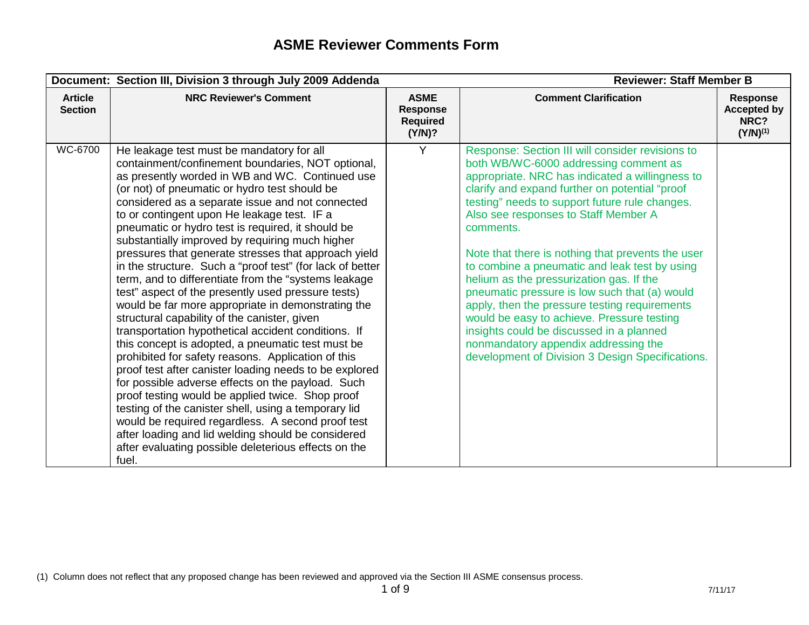|                                  | Document: Section III, Division 3 through July 2009 Addenda                                                                                                                                                                                                                                                                                                                                                                                                                                                                                                                                                                                                                                                                                                                                                                                                                                                                                                                                                                                                                                                                                                                                                                                                                                                                     | <b>Reviewer: Staff Member B</b>                      |                                                                                                                                                                                                                                                                                                                                                                                                                                                                                                                                                                                                                                                                                                                                                 |                                                                |
|----------------------------------|---------------------------------------------------------------------------------------------------------------------------------------------------------------------------------------------------------------------------------------------------------------------------------------------------------------------------------------------------------------------------------------------------------------------------------------------------------------------------------------------------------------------------------------------------------------------------------------------------------------------------------------------------------------------------------------------------------------------------------------------------------------------------------------------------------------------------------------------------------------------------------------------------------------------------------------------------------------------------------------------------------------------------------------------------------------------------------------------------------------------------------------------------------------------------------------------------------------------------------------------------------------------------------------------------------------------------------|------------------------------------------------------|-------------------------------------------------------------------------------------------------------------------------------------------------------------------------------------------------------------------------------------------------------------------------------------------------------------------------------------------------------------------------------------------------------------------------------------------------------------------------------------------------------------------------------------------------------------------------------------------------------------------------------------------------------------------------------------------------------------------------------------------------|----------------------------------------------------------------|
| <b>Article</b><br><b>Section</b> | <b>NRC Reviewer's Comment</b>                                                                                                                                                                                                                                                                                                                                                                                                                                                                                                                                                                                                                                                                                                                                                                                                                                                                                                                                                                                                                                                                                                                                                                                                                                                                                                   | <b>ASME</b><br>Response<br><b>Required</b><br>(Y/N)? | <b>Comment Clarification</b>                                                                                                                                                                                                                                                                                                                                                                                                                                                                                                                                                                                                                                                                                                                    | <b>Response</b><br><b>Accepted by</b><br>NRC?<br>$(Y/N)^{(1)}$ |
| WC-6700                          | He leakage test must be mandatory for all<br>containment/confinement boundaries, NOT optional,<br>as presently worded in WB and WC. Continued use<br>(or not) of pneumatic or hydro test should be<br>considered as a separate issue and not connected<br>to or contingent upon He leakage test. IF a<br>pneumatic or hydro test is required, it should be<br>substantially improved by requiring much higher<br>pressures that generate stresses that approach yield<br>in the structure. Such a "proof test" (for lack of better<br>term, and to differentiate from the "systems leakage<br>test" aspect of the presently used pressure tests)<br>would be far more appropriate in demonstrating the<br>structural capability of the canister, given<br>transportation hypothetical accident conditions. If<br>this concept is adopted, a pneumatic test must be<br>prohibited for safety reasons. Application of this<br>proof test after canister loading needs to be explored<br>for possible adverse effects on the payload. Such<br>proof testing would be applied twice. Shop proof<br>testing of the canister shell, using a temporary lid<br>would be required regardless. A second proof test<br>after loading and lid welding should be considered<br>after evaluating possible deleterious effects on the<br>fuel. | Y                                                    | Response: Section III will consider revisions to<br>both WB/WC-6000 addressing comment as<br>appropriate. NRC has indicated a willingness to<br>clarify and expand further on potential "proof<br>testing" needs to support future rule changes.<br>Also see responses to Staff Member A<br>comments.<br>Note that there is nothing that prevents the user<br>to combine a pneumatic and leak test by using<br>helium as the pressurization gas. If the<br>pneumatic pressure is low such that (a) would<br>apply, then the pressure testing requirements<br>would be easy to achieve. Pressure testing<br>insights could be discussed in a planned<br>nonmandatory appendix addressing the<br>development of Division 3 Design Specifications. |                                                                |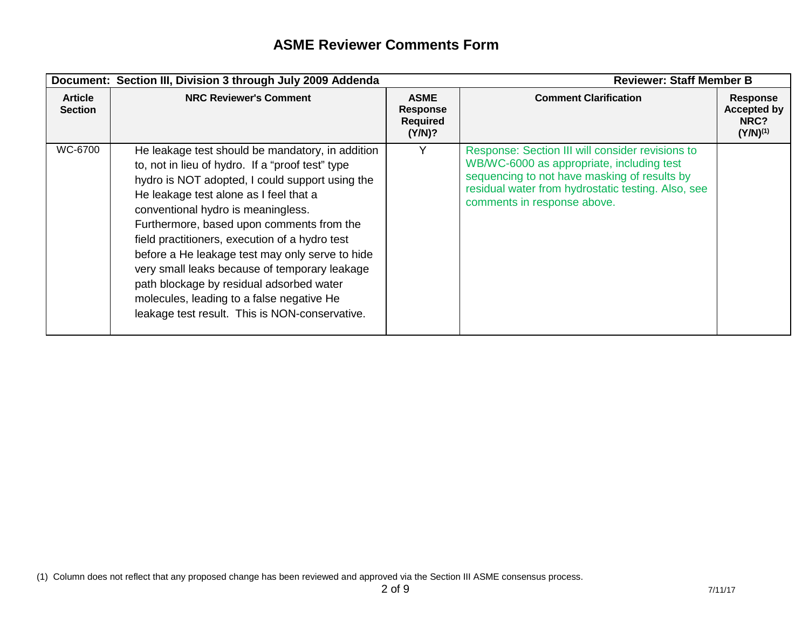|                                  | Document: Section III, Division 3 through July 2009 Addenda                                                                                                                                                                                                                                                                                                                                                                                                                                                                                                                           |                                                      | <b>Reviewer: Staff Member B</b>                                                                                                                                                                                                    |                                                                |
|----------------------------------|---------------------------------------------------------------------------------------------------------------------------------------------------------------------------------------------------------------------------------------------------------------------------------------------------------------------------------------------------------------------------------------------------------------------------------------------------------------------------------------------------------------------------------------------------------------------------------------|------------------------------------------------------|------------------------------------------------------------------------------------------------------------------------------------------------------------------------------------------------------------------------------------|----------------------------------------------------------------|
| <b>Article</b><br><b>Section</b> | <b>NRC Reviewer's Comment</b>                                                                                                                                                                                                                                                                                                                                                                                                                                                                                                                                                         | <b>ASME</b><br>Response<br><b>Required</b><br>(Y/N)? | <b>Comment Clarification</b>                                                                                                                                                                                                       | <b>Response</b><br><b>Accepted by</b><br>NRC?<br>$(Y/N)^{(1)}$ |
| WC-6700                          | He leakage test should be mandatory, in addition<br>to, not in lieu of hydro. If a "proof test" type<br>hydro is NOT adopted, I could support using the<br>He leakage test alone as I feel that a<br>conventional hydro is meaningless.<br>Furthermore, based upon comments from the<br>field practitioners, execution of a hydro test<br>before a He leakage test may only serve to hide<br>very small leaks because of temporary leakage<br>path blockage by residual adsorbed water<br>molecules, leading to a false negative He<br>leakage test result. This is NON-conservative. | Y                                                    | Response: Section III will consider revisions to<br>WB/WC-6000 as appropriate, including test<br>sequencing to not have masking of results by<br>residual water from hydrostatic testing. Also, see<br>comments in response above. |                                                                |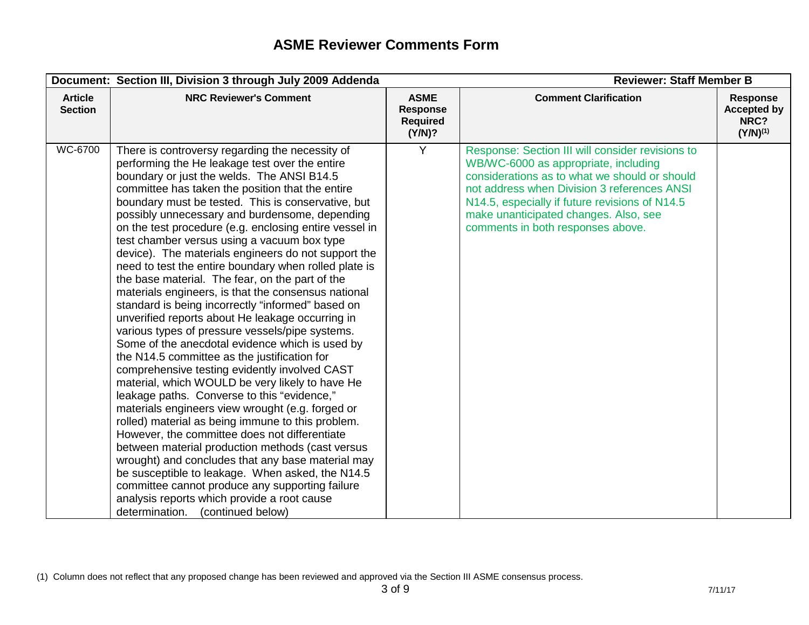|                                  | <b>Reviewer: Staff Member B</b><br>Document: Section III, Division 3 through July 2009 Addenda                                                                                                                                                                                                                                                                                                                                                                                                                                                                                                                                                                                                                                                                                                                                                                                                                                                                                                                                                                                                                                                                                                                                                                                                                                                                                                                                                                                                                                   |                                                             |                                                                                                                                                                                                                                                                                                                          |                                                         |
|----------------------------------|----------------------------------------------------------------------------------------------------------------------------------------------------------------------------------------------------------------------------------------------------------------------------------------------------------------------------------------------------------------------------------------------------------------------------------------------------------------------------------------------------------------------------------------------------------------------------------------------------------------------------------------------------------------------------------------------------------------------------------------------------------------------------------------------------------------------------------------------------------------------------------------------------------------------------------------------------------------------------------------------------------------------------------------------------------------------------------------------------------------------------------------------------------------------------------------------------------------------------------------------------------------------------------------------------------------------------------------------------------------------------------------------------------------------------------------------------------------------------------------------------------------------------------|-------------------------------------------------------------|--------------------------------------------------------------------------------------------------------------------------------------------------------------------------------------------------------------------------------------------------------------------------------------------------------------------------|---------------------------------------------------------|
| <b>Article</b><br><b>Section</b> | <b>NRC Reviewer's Comment</b>                                                                                                                                                                                                                                                                                                                                                                                                                                                                                                                                                                                                                                                                                                                                                                                                                                                                                                                                                                                                                                                                                                                                                                                                                                                                                                                                                                                                                                                                                                    | <b>ASME</b><br><b>Response</b><br><b>Required</b><br>(Y/N)? | <b>Comment Clarification</b>                                                                                                                                                                                                                                                                                             | Response<br><b>Accepted by</b><br>NRC?<br>$(Y/N)^{(1)}$ |
| WC-6700                          | There is controversy regarding the necessity of<br>performing the He leakage test over the entire<br>boundary or just the welds. The ANSI B14.5<br>committee has taken the position that the entire<br>boundary must be tested. This is conservative, but<br>possibly unnecessary and burdensome, depending<br>on the test procedure (e.g. enclosing entire vessel in<br>test chamber versus using a vacuum box type<br>device). The materials engineers do not support the<br>need to test the entire boundary when rolled plate is<br>the base material. The fear, on the part of the<br>materials engineers, is that the consensus national<br>standard is being incorrectly "informed" based on<br>unverified reports about He leakage occurring in<br>various types of pressure vessels/pipe systems.<br>Some of the anecdotal evidence which is used by<br>the N14.5 committee as the justification for<br>comprehensive testing evidently involved CAST<br>material, which WOULD be very likely to have He<br>leakage paths. Converse to this "evidence,"<br>materials engineers view wrought (e.g. forged or<br>rolled) material as being immune to this problem.<br>However, the committee does not differentiate<br>between material production methods (cast versus<br>wrought) and concludes that any base material may<br>be susceptible to leakage. When asked, the N14.5<br>committee cannot produce any supporting failure<br>analysis reports which provide a root cause<br>determination.<br>(continued below) | Y                                                           | Response: Section III will consider revisions to<br>WB/WC-6000 as appropriate, including<br>considerations as to what we should or should<br>not address when Division 3 references ANSI<br>N14.5, especially if future revisions of N14.5<br>make unanticipated changes. Also, see<br>comments in both responses above. |                                                         |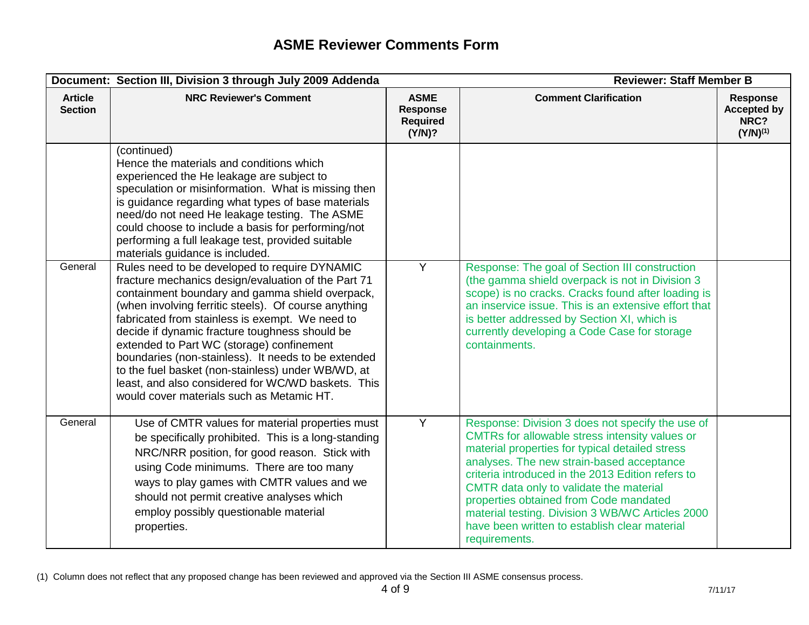|                                  | <b>Reviewer: Staff Member B</b><br>Document: Section III, Division 3 through July 2009 Addenda                                                                                                                                                                                                                                                                                                                                                                                                                                                                                    |                                                             |                                                                                                                                                                                                                                                                                                                                                                                                                                                                    |                                                                |
|----------------------------------|-----------------------------------------------------------------------------------------------------------------------------------------------------------------------------------------------------------------------------------------------------------------------------------------------------------------------------------------------------------------------------------------------------------------------------------------------------------------------------------------------------------------------------------------------------------------------------------|-------------------------------------------------------------|--------------------------------------------------------------------------------------------------------------------------------------------------------------------------------------------------------------------------------------------------------------------------------------------------------------------------------------------------------------------------------------------------------------------------------------------------------------------|----------------------------------------------------------------|
| <b>Article</b><br><b>Section</b> | <b>NRC Reviewer's Comment</b>                                                                                                                                                                                                                                                                                                                                                                                                                                                                                                                                                     | <b>ASME</b><br><b>Response</b><br><b>Required</b><br>(Y/N)? | <b>Comment Clarification</b>                                                                                                                                                                                                                                                                                                                                                                                                                                       | <b>Response</b><br><b>Accepted by</b><br>NRC?<br>$(Y/N)^{(1)}$ |
|                                  | (continued)<br>Hence the materials and conditions which<br>experienced the He leakage are subject to<br>speculation or misinformation. What is missing then<br>is guidance regarding what types of base materials<br>need/do not need He leakage testing. The ASME<br>could choose to include a basis for performing/not<br>performing a full leakage test, provided suitable<br>materials guidance is included.                                                                                                                                                                  |                                                             |                                                                                                                                                                                                                                                                                                                                                                                                                                                                    |                                                                |
| General                          | Rules need to be developed to require DYNAMIC<br>fracture mechanics design/evaluation of the Part 71<br>containment boundary and gamma shield overpack,<br>(when involving ferritic steels). Of course anything<br>fabricated from stainless is exempt. We need to<br>decide if dynamic fracture toughness should be<br>extended to Part WC (storage) confinement<br>boundaries (non-stainless). It needs to be extended<br>to the fuel basket (non-stainless) under WB/WD, at<br>least, and also considered for WC/WD baskets. This<br>would cover materials such as Metamic HT. | Y                                                           | Response: The goal of Section III construction<br>(the gamma shield overpack is not in Division 3<br>scope) is no cracks. Cracks found after loading is<br>an inservice issue. This is an extensive effort that<br>is better addressed by Section XI, which is<br>currently developing a Code Case for storage<br>containments.                                                                                                                                    |                                                                |
| General                          | Use of CMTR values for material properties must<br>be specifically prohibited. This is a long-standing<br>NRC/NRR position, for good reason. Stick with<br>using Code minimums. There are too many<br>ways to play games with CMTR values and we<br>should not permit creative analyses which<br>employ possibly questionable material<br>properties.                                                                                                                                                                                                                             | $\overline{Y}$                                              | Response: Division 3 does not specify the use of<br>CMTRs for allowable stress intensity values or<br>material properties for typical detailed stress<br>analyses. The new strain-based acceptance<br>criteria introduced in the 2013 Edition refers to<br>CMTR data only to validate the material<br>properties obtained from Code mandated<br>material testing. Division 3 WB/WC Articles 2000<br>have been written to establish clear material<br>requirements. |                                                                |

<sup>(1)</sup> Column does not reflect that any proposed change has been reviewed and approved via the Section III ASME consensus process.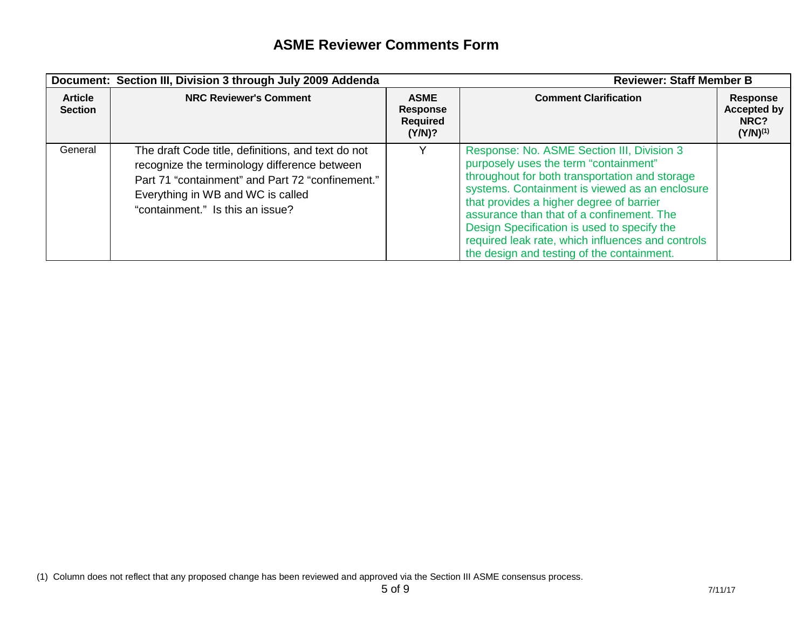| Document: Section III, Division 3 through July 2009 Addenda |                                                                                                                                                                                                                                 | <b>Reviewer: Staff Member B</b>                             |                                                                                                                                                                                                                                                                                                                                                                                                                                    |                                                                |
|-------------------------------------------------------------|---------------------------------------------------------------------------------------------------------------------------------------------------------------------------------------------------------------------------------|-------------------------------------------------------------|------------------------------------------------------------------------------------------------------------------------------------------------------------------------------------------------------------------------------------------------------------------------------------------------------------------------------------------------------------------------------------------------------------------------------------|----------------------------------------------------------------|
| <b>Article</b><br><b>Section</b>                            | <b>NRC Reviewer's Comment</b>                                                                                                                                                                                                   | <b>ASME</b><br><b>Response</b><br><b>Required</b><br>(Y/N)? | <b>Comment Clarification</b>                                                                                                                                                                                                                                                                                                                                                                                                       | <b>Response</b><br><b>Accepted by</b><br>NRC?<br>$(Y/N)^{(1)}$ |
| General                                                     | The draft Code title, definitions, and text do not<br>recognize the terminology difference between<br>Part 71 "containment" and Part 72 "confinement."<br>Everything in WB and WC is called<br>"containment." Is this an issue? |                                                             | Response: No. ASME Section III, Division 3<br>purposely uses the term "containment"<br>throughout for both transportation and storage<br>systems. Containment is viewed as an enclosure<br>that provides a higher degree of barrier<br>assurance than that of a confinement. The<br>Design Specification is used to specify the<br>required leak rate, which influences and controls<br>the design and testing of the containment. |                                                                |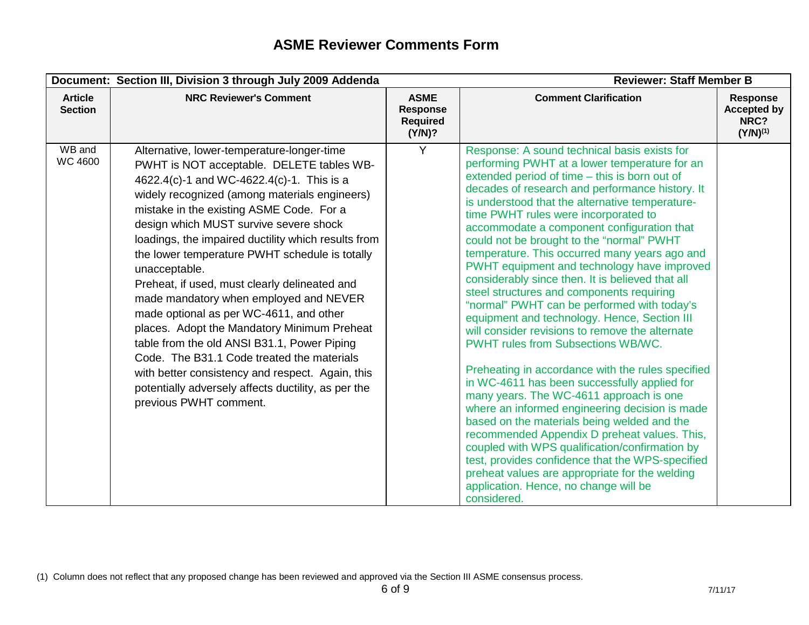|                                  | Document: Section III, Division 3 through July 2009 Addenda                                                                                                                                                                                                                                                                                                                                                                                                                                                                                                                                                                                                                                                                                                                                                                  |                                                             | <b>Reviewer: Staff Member B</b>                                                                                                                                                                                                                                                                                                                                                                                                                                                                                                                                                                                                                                                                                                                                                                                                                                                                                                                                                                                                                                                                                                                                                                                                                                                                          |                                                                |
|----------------------------------|------------------------------------------------------------------------------------------------------------------------------------------------------------------------------------------------------------------------------------------------------------------------------------------------------------------------------------------------------------------------------------------------------------------------------------------------------------------------------------------------------------------------------------------------------------------------------------------------------------------------------------------------------------------------------------------------------------------------------------------------------------------------------------------------------------------------------|-------------------------------------------------------------|----------------------------------------------------------------------------------------------------------------------------------------------------------------------------------------------------------------------------------------------------------------------------------------------------------------------------------------------------------------------------------------------------------------------------------------------------------------------------------------------------------------------------------------------------------------------------------------------------------------------------------------------------------------------------------------------------------------------------------------------------------------------------------------------------------------------------------------------------------------------------------------------------------------------------------------------------------------------------------------------------------------------------------------------------------------------------------------------------------------------------------------------------------------------------------------------------------------------------------------------------------------------------------------------------------|----------------------------------------------------------------|
| <b>Article</b><br><b>Section</b> | <b>NRC Reviewer's Comment</b>                                                                                                                                                                                                                                                                                                                                                                                                                                                                                                                                                                                                                                                                                                                                                                                                | <b>ASME</b><br><b>Response</b><br><b>Required</b><br>(Y/N)? | <b>Comment Clarification</b>                                                                                                                                                                                                                                                                                                                                                                                                                                                                                                                                                                                                                                                                                                                                                                                                                                                                                                                                                                                                                                                                                                                                                                                                                                                                             | <b>Response</b><br><b>Accepted by</b><br>NRC?<br>$(Y/N)^{(1)}$ |
| WB and<br><b>WC 4600</b>         | Alternative, lower-temperature-longer-time<br>PWHT is NOT acceptable. DELETE tables WB-<br>4622.4(c)-1 and WC-4622.4(c)-1. This is a<br>widely recognized (among materials engineers)<br>mistake in the existing ASME Code. For a<br>design which MUST survive severe shock<br>loadings, the impaired ductility which results from<br>the lower temperature PWHT schedule is totally<br>unacceptable.<br>Preheat, if used, must clearly delineated and<br>made mandatory when employed and NEVER<br>made optional as per WC-4611, and other<br>places. Adopt the Mandatory Minimum Preheat<br>table from the old ANSI B31.1, Power Piping<br>Code. The B31.1 Code treated the materials<br>with better consistency and respect. Again, this<br>potentially adversely affects ductility, as per the<br>previous PWHT comment. | Y                                                           | Response: A sound technical basis exists for<br>performing PWHT at a lower temperature for an<br>extended period of time - this is born out of<br>decades of research and performance history. It<br>is understood that the alternative temperature-<br>time PWHT rules were incorporated to<br>accommodate a component configuration that<br>could not be brought to the "normal" PWHT<br>temperature. This occurred many years ago and<br>PWHT equipment and technology have improved<br>considerably since then. It is believed that all<br>steel structures and components requiring<br>"normal" PWHT can be performed with today's<br>equipment and technology. Hence, Section III<br>will consider revisions to remove the alternate<br><b>PWHT rules from Subsections WB/WC.</b><br>Preheating in accordance with the rules specified<br>in WC-4611 has been successfully applied for<br>many years. The WC-4611 approach is one<br>where an informed engineering decision is made<br>based on the materials being welded and the<br>recommended Appendix D preheat values. This,<br>coupled with WPS qualification/confirmation by<br>test, provides confidence that the WPS-specified<br>preheat values are appropriate for the welding<br>application. Hence, no change will be<br>considered. |                                                                |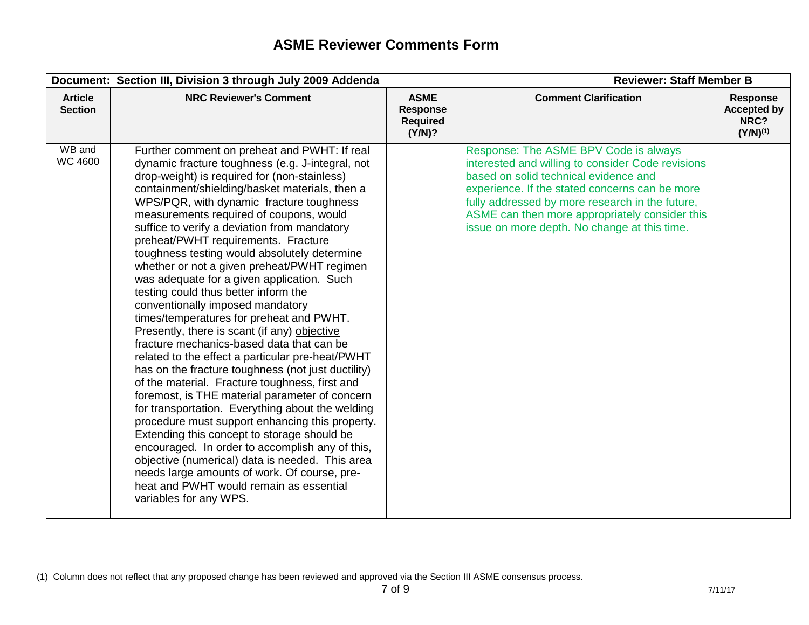|                                  | Document: Section III, Division 3 through July 2009 Addenda                                                                                                                                                                                                                                                                                                                                                                                                                                                                                                                                                                                                                                                                                                                                                                                                                                                                                                                                                                                                                                                                                                                                                                                                                                                                                       |                                                             | <b>Reviewer: Staff Member B</b>                                                                                                                                                                                                                                                                                                            |                                                                |
|----------------------------------|---------------------------------------------------------------------------------------------------------------------------------------------------------------------------------------------------------------------------------------------------------------------------------------------------------------------------------------------------------------------------------------------------------------------------------------------------------------------------------------------------------------------------------------------------------------------------------------------------------------------------------------------------------------------------------------------------------------------------------------------------------------------------------------------------------------------------------------------------------------------------------------------------------------------------------------------------------------------------------------------------------------------------------------------------------------------------------------------------------------------------------------------------------------------------------------------------------------------------------------------------------------------------------------------------------------------------------------------------|-------------------------------------------------------------|--------------------------------------------------------------------------------------------------------------------------------------------------------------------------------------------------------------------------------------------------------------------------------------------------------------------------------------------|----------------------------------------------------------------|
| <b>Article</b><br><b>Section</b> | <b>NRC Reviewer's Comment</b>                                                                                                                                                                                                                                                                                                                                                                                                                                                                                                                                                                                                                                                                                                                                                                                                                                                                                                                                                                                                                                                                                                                                                                                                                                                                                                                     | <b>ASME</b><br><b>Response</b><br><b>Required</b><br>(Y/N)? | <b>Comment Clarification</b>                                                                                                                                                                                                                                                                                                               | <b>Response</b><br><b>Accepted by</b><br>NRC?<br>$(Y/N)^{(1)}$ |
| WB and<br><b>WC 4600</b>         | Further comment on preheat and PWHT: If real<br>dynamic fracture toughness (e.g. J-integral, not<br>drop-weight) is required for (non-stainless)<br>containment/shielding/basket materials, then a<br>WPS/PQR, with dynamic fracture toughness<br>measurements required of coupons, would<br>suffice to verify a deviation from mandatory<br>preheat/PWHT requirements. Fracture<br>toughness testing would absolutely determine<br>whether or not a given preheat/PWHT regimen<br>was adequate for a given application. Such<br>testing could thus better inform the<br>conventionally imposed mandatory<br>times/temperatures for preheat and PWHT.<br>Presently, there is scant (if any) objective<br>fracture mechanics-based data that can be<br>related to the effect a particular pre-heat/PWHT<br>has on the fracture toughness (not just ductility)<br>of the material. Fracture toughness, first and<br>foremost, is THE material parameter of concern<br>for transportation. Everything about the welding<br>procedure must support enhancing this property.<br>Extending this concept to storage should be<br>encouraged. In order to accomplish any of this,<br>objective (numerical) data is needed. This area<br>needs large amounts of work. Of course, pre-<br>heat and PWHT would remain as essential<br>variables for any WPS. |                                                             | Response: The ASME BPV Code is always<br>interested and willing to consider Code revisions<br>based on solid technical evidence and<br>experience. If the stated concerns can be more<br>fully addressed by more research in the future,<br>ASME can then more appropriately consider this<br>issue on more depth. No change at this time. |                                                                |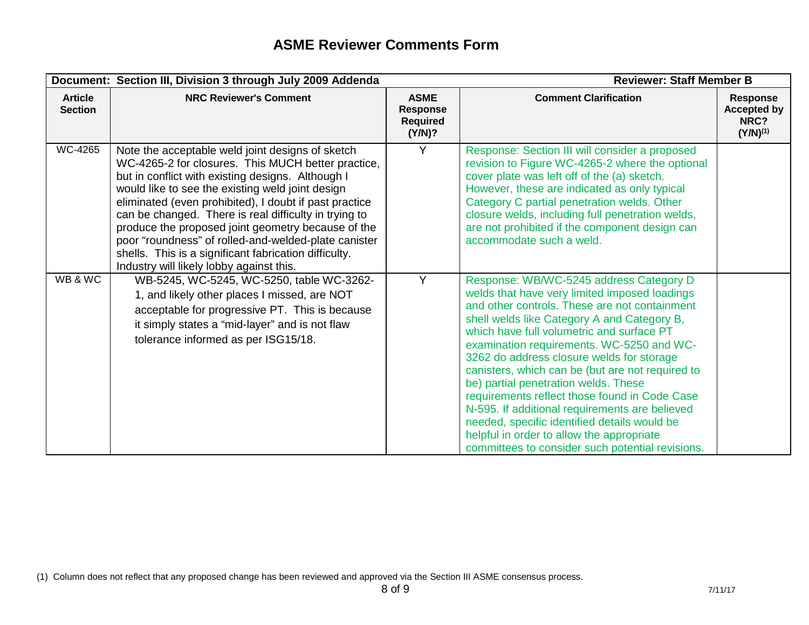|                                  | Document: Section III, Division 3 through July 2009 Addenda                                                                                                                                                                                                                                                                                                                                                                                                                                                                                           |                                                             | <b>Reviewer: Staff Member B</b>                                                                                                                                                                                                                                                                                                                                                                                                                                                                                                                                                                                                                                                 |                                                         |
|----------------------------------|-------------------------------------------------------------------------------------------------------------------------------------------------------------------------------------------------------------------------------------------------------------------------------------------------------------------------------------------------------------------------------------------------------------------------------------------------------------------------------------------------------------------------------------------------------|-------------------------------------------------------------|---------------------------------------------------------------------------------------------------------------------------------------------------------------------------------------------------------------------------------------------------------------------------------------------------------------------------------------------------------------------------------------------------------------------------------------------------------------------------------------------------------------------------------------------------------------------------------------------------------------------------------------------------------------------------------|---------------------------------------------------------|
| <b>Article</b><br><b>Section</b> | <b>NRC Reviewer's Comment</b>                                                                                                                                                                                                                                                                                                                                                                                                                                                                                                                         | <b>ASME</b><br><b>Response</b><br><b>Required</b><br>(Y/N)? | <b>Comment Clarification</b>                                                                                                                                                                                                                                                                                                                                                                                                                                                                                                                                                                                                                                                    | Response<br><b>Accepted by</b><br>NRC?<br>$(Y/N)^{(1)}$ |
| <b>WC-4265</b>                   | Note the acceptable weld joint designs of sketch<br>WC-4265-2 for closures. This MUCH better practice,<br>but in conflict with existing designs. Although I<br>would like to see the existing weld joint design<br>eliminated (even prohibited), I doubt if past practice<br>can be changed. There is real difficulty in trying to<br>produce the proposed joint geometry because of the<br>poor "roundness" of rolled-and-welded-plate canister<br>shells. This is a significant fabrication difficulty.<br>Industry will likely lobby against this. | Y                                                           | Response: Section III will consider a proposed<br>revision to Figure WC-4265-2 where the optional<br>cover plate was left off of the (a) sketch.<br>However, these are indicated as only typical<br>Category C partial penetration welds. Other<br>closure welds, including full penetration welds,<br>are not prohibited if the component design can<br>accommodate such a weld.                                                                                                                                                                                                                                                                                               |                                                         |
| WB & WC                          | WB-5245, WC-5245, WC-5250, table WC-3262-<br>1, and likely other places I missed, are NOT<br>acceptable for progressive PT. This is because<br>it simply states a "mid-layer" and is not flaw<br>tolerance informed as per ISG15/18.                                                                                                                                                                                                                                                                                                                  | Y                                                           | Response: WB/WC-5245 address Category D<br>welds that have very limited imposed loadings<br>and other controls. These are not containment<br>shell welds like Category A and Category B,<br>which have full volumetric and surface PT<br>examination requirements. WC-5250 and WC-<br>3262 do address closure welds for storage<br>canisters, which can be (but are not required to<br>be) partial penetration welds. These<br>requirements reflect those found in Code Case<br>N-595. If additional requirements are believed<br>needed, specific identified details would be<br>helpful in order to allow the appropriate<br>committees to consider such potential revisions. |                                                         |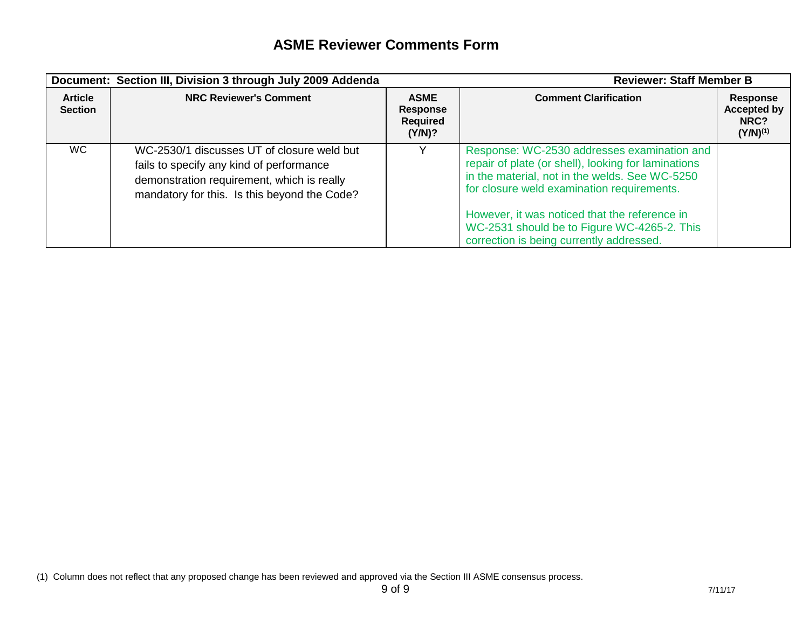|                                  | Document: Section III, Division 3 through July 2009 Addenda                                                                                                                          |                                                             | <b>Reviewer: Staff Member B</b>                                                                                                                                                                                                                                                                                                                |                                                         |
|----------------------------------|--------------------------------------------------------------------------------------------------------------------------------------------------------------------------------------|-------------------------------------------------------------|------------------------------------------------------------------------------------------------------------------------------------------------------------------------------------------------------------------------------------------------------------------------------------------------------------------------------------------------|---------------------------------------------------------|
| <b>Article</b><br><b>Section</b> | <b>NRC Reviewer's Comment</b>                                                                                                                                                        | <b>ASME</b><br><b>Response</b><br><b>Required</b><br>(Y/N)? | <b>Comment Clarification</b>                                                                                                                                                                                                                                                                                                                   | Response<br><b>Accepted by</b><br>NRC?<br>$(Y/N)^{(1)}$ |
| WC.                              | WC-2530/1 discusses UT of closure weld but<br>fails to specify any kind of performance<br>demonstration requirement, which is really<br>mandatory for this. Is this beyond the Code? |                                                             | Response: WC-2530 addresses examination and<br>repair of plate (or shell), looking for laminations<br>in the material, not in the welds. See WC-5250<br>for closure weld examination requirements.<br>However, it was noticed that the reference in<br>WC-2531 should be to Figure WC-4265-2. This<br>correction is being currently addressed. |                                                         |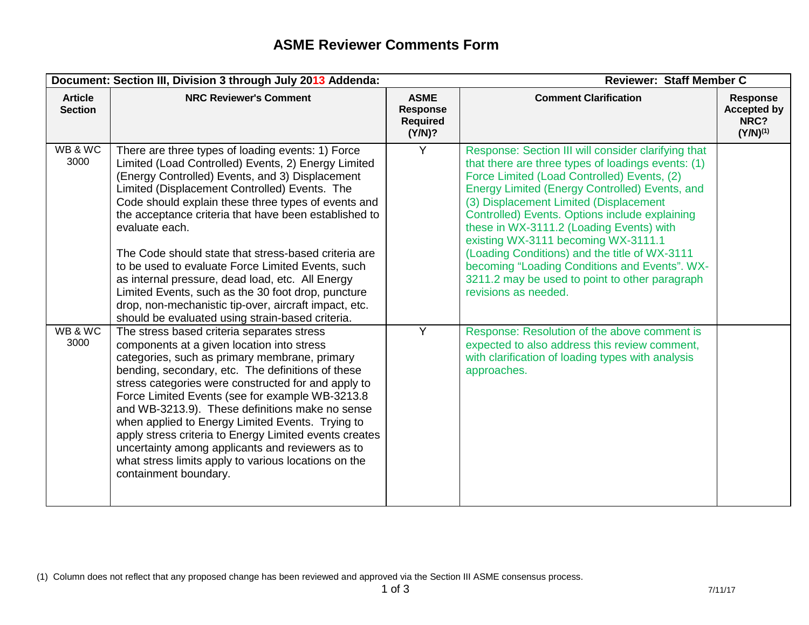|                                  | Document: Section III, Division 3 through July 2013 Addenda:                                                                                                                                                                                                                                                                                                                                                                                                                                                                                                                                                                                                                       |                                                      | <b>Reviewer: Staff Member C</b>                                                                                                                                                                                                                                                                                                                                                                                                                                                                                                                                       |                                                                |
|----------------------------------|------------------------------------------------------------------------------------------------------------------------------------------------------------------------------------------------------------------------------------------------------------------------------------------------------------------------------------------------------------------------------------------------------------------------------------------------------------------------------------------------------------------------------------------------------------------------------------------------------------------------------------------------------------------------------------|------------------------------------------------------|-----------------------------------------------------------------------------------------------------------------------------------------------------------------------------------------------------------------------------------------------------------------------------------------------------------------------------------------------------------------------------------------------------------------------------------------------------------------------------------------------------------------------------------------------------------------------|----------------------------------------------------------------|
| <b>Article</b><br><b>Section</b> | <b>NRC Reviewer's Comment</b>                                                                                                                                                                                                                                                                                                                                                                                                                                                                                                                                                                                                                                                      | <b>ASME</b><br>Response<br><b>Required</b><br>(Y/N)? | <b>Comment Clarification</b>                                                                                                                                                                                                                                                                                                                                                                                                                                                                                                                                          | <b>Response</b><br><b>Accepted by</b><br>NRC?<br>$(Y/N)^{(1)}$ |
| WB & WC<br>3000                  | There are three types of loading events: 1) Force<br>Limited (Load Controlled) Events, 2) Energy Limited<br>(Energy Controlled) Events, and 3) Displacement<br>Limited (Displacement Controlled) Events. The<br>Code should explain these three types of events and<br>the acceptance criteria that have been established to<br>evaluate each.<br>The Code should state that stress-based criteria are<br>to be used to evaluate Force Limited Events, such<br>as internal pressure, dead load, etc. All Energy<br>Limited Events, such as the 30 foot drop, puncture<br>drop, non-mechanistic tip-over, aircraft impact, etc.<br>should be evaluated using strain-based criteria. | Y                                                    | Response: Section III will consider clarifying that<br>that there are three types of loadings events: (1)<br>Force Limited (Load Controlled) Events, (2)<br>Energy Limited (Energy Controlled) Events, and<br>(3) Displacement Limited (Displacement<br>Controlled) Events. Options include explaining<br>these in WX-3111.2 (Loading Events) with<br>existing WX-3111 becoming WX-3111.1<br>(Loading Conditions) and the title of WX-3111<br>becoming "Loading Conditions and Events". WX-<br>3211.2 may be used to point to other paragraph<br>revisions as needed. |                                                                |
| WB & WC<br>3000                  | The stress based criteria separates stress<br>components at a given location into stress<br>categories, such as primary membrane, primary<br>bending, secondary, etc. The definitions of these<br>stress categories were constructed for and apply to<br>Force Limited Events (see for example WB-3213.8<br>and WB-3213.9). These definitions make no sense<br>when applied to Energy Limited Events. Trying to<br>apply stress criteria to Energy Limited events creates<br>uncertainty among applicants and reviewers as to<br>what stress limits apply to various locations on the<br>containment boundary.                                                                     | $\overline{Y}$                                       | Response: Resolution of the above comment is<br>expected to also address this review comment,<br>with clarification of loading types with analysis<br>approaches.                                                                                                                                                                                                                                                                                                                                                                                                     |                                                                |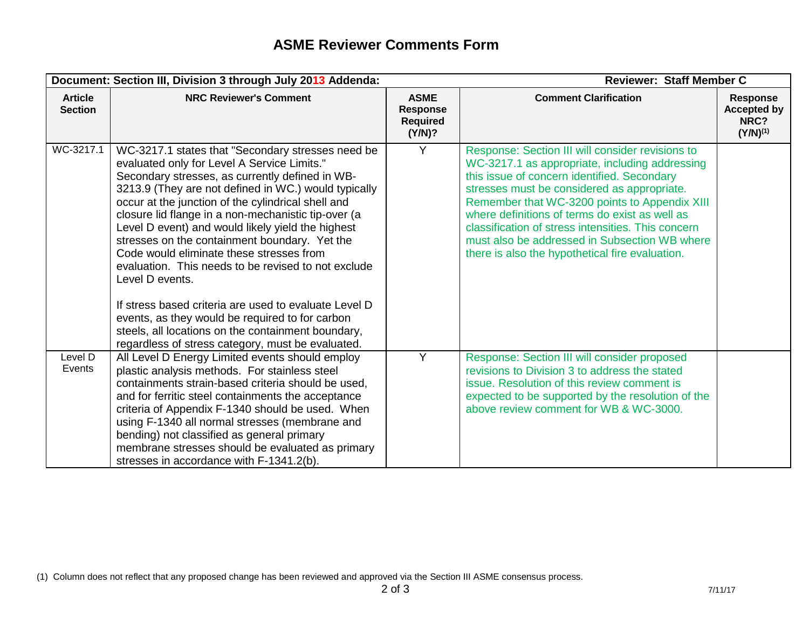|                                  | Document: Section III, Division 3 through July 2013 Addenda:                                                                                                                                                                                                                                                                                                                                                                                                                                                                                                                                                  |                                                      | <b>Reviewer: Staff Member C</b>                                                                                                                                                                                                                                                                                                                                                                                                                               |                                                                |
|----------------------------------|---------------------------------------------------------------------------------------------------------------------------------------------------------------------------------------------------------------------------------------------------------------------------------------------------------------------------------------------------------------------------------------------------------------------------------------------------------------------------------------------------------------------------------------------------------------------------------------------------------------|------------------------------------------------------|---------------------------------------------------------------------------------------------------------------------------------------------------------------------------------------------------------------------------------------------------------------------------------------------------------------------------------------------------------------------------------------------------------------------------------------------------------------|----------------------------------------------------------------|
| <b>Article</b><br><b>Section</b> | <b>NRC Reviewer's Comment</b>                                                                                                                                                                                                                                                                                                                                                                                                                                                                                                                                                                                 | <b>ASME</b><br>Response<br><b>Required</b><br>(Y/N)? | <b>Comment Clarification</b>                                                                                                                                                                                                                                                                                                                                                                                                                                  | <b>Response</b><br><b>Accepted by</b><br>NRC?<br>$(Y/N)^{(1)}$ |
| WC-3217.1                        | WC-3217.1 states that "Secondary stresses need be<br>evaluated only for Level A Service Limits."<br>Secondary stresses, as currently defined in WB-<br>3213.9 (They are not defined in WC.) would typically<br>occur at the junction of the cylindrical shell and<br>closure lid flange in a non-mechanistic tip-over (a<br>Level D event) and would likely yield the highest<br>stresses on the containment boundary. Yet the<br>Code would eliminate these stresses from<br>evaluation. This needs to be revised to not exclude<br>Level D events.<br>If stress based criteria are used to evaluate Level D | Y                                                    | Response: Section III will consider revisions to<br>WC-3217.1 as appropriate, including addressing<br>this issue of concern identified. Secondary<br>stresses must be considered as appropriate.<br>Remember that WC-3200 points to Appendix XIII<br>where definitions of terms do exist as well as<br>classification of stress intensities. This concern<br>must also be addressed in Subsection WB where<br>there is also the hypothetical fire evaluation. |                                                                |
|                                  | events, as they would be required to for carbon<br>steels, all locations on the containment boundary,<br>regardless of stress category, must be evaluated.                                                                                                                                                                                                                                                                                                                                                                                                                                                    |                                                      |                                                                                                                                                                                                                                                                                                                                                                                                                                                               |                                                                |
| Level D<br>Events                | All Level D Energy Limited events should employ<br>plastic analysis methods. For stainless steel<br>containments strain-based criteria should be used,<br>and for ferritic steel containments the acceptance<br>criteria of Appendix F-1340 should be used. When<br>using F-1340 all normal stresses (membrane and<br>bending) not classified as general primary<br>membrane stresses should be evaluated as primary<br>stresses in accordance with F-1341.2(b).                                                                                                                                              | Y                                                    | Response: Section III will consider proposed<br>revisions to Division 3 to address the stated<br>issue. Resolution of this review comment is<br>expected to be supported by the resolution of the<br>above review comment for WB & WC-3000.                                                                                                                                                                                                                   |                                                                |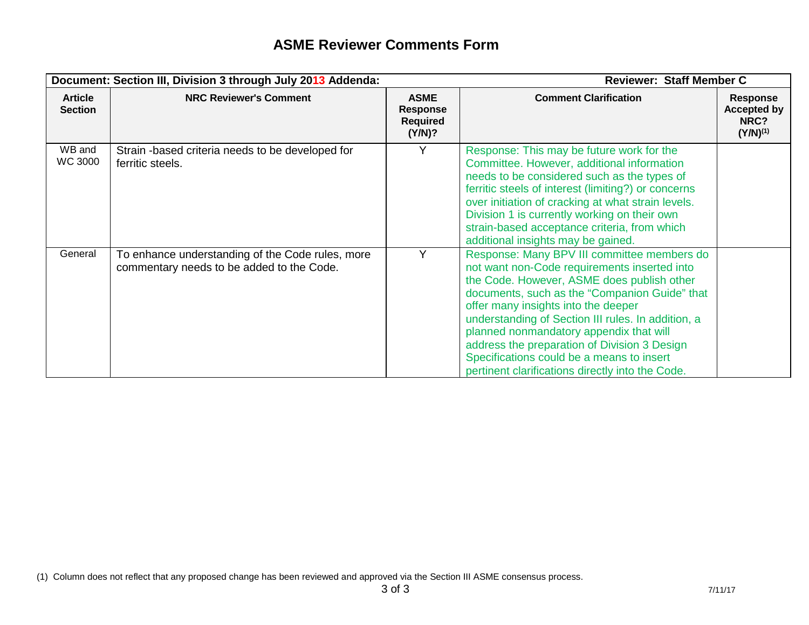|                                  | Document: Section III, Division 3 through July 2013 Addenda:                                  |                                                      | <b>Reviewer: Staff Member C</b>                                                                                                                                                                                                                                                                                                                                                                                                                                                     |                                                                |
|----------------------------------|-----------------------------------------------------------------------------------------------|------------------------------------------------------|-------------------------------------------------------------------------------------------------------------------------------------------------------------------------------------------------------------------------------------------------------------------------------------------------------------------------------------------------------------------------------------------------------------------------------------------------------------------------------------|----------------------------------------------------------------|
| <b>Article</b><br><b>Section</b> | <b>NRC Reviewer's Comment</b>                                                                 | <b>ASME</b><br>Response<br><b>Required</b><br>(Y/N)? | <b>Comment Clarification</b>                                                                                                                                                                                                                                                                                                                                                                                                                                                        | <b>Response</b><br><b>Accepted by</b><br>NRC?<br>$(Y/N)^{(1)}$ |
| WB and<br>WC 3000                | Strain -based criteria needs to be developed for<br>ferritic steels.                          | Y                                                    | Response: This may be future work for the<br>Committee. However, additional information<br>needs to be considered such as the types of<br>ferritic steels of interest (limiting?) or concerns<br>over initiation of cracking at what strain levels.<br>Division 1 is currently working on their own<br>strain-based acceptance criteria, from which<br>additional insights may be gained.                                                                                           |                                                                |
| General                          | To enhance understanding of the Code rules, more<br>commentary needs to be added to the Code. | Y                                                    | Response: Many BPV III committee members do<br>not want non-Code requirements inserted into<br>the Code. However, ASME does publish other<br>documents, such as the "Companion Guide" that<br>offer many insights into the deeper<br>understanding of Section III rules. In addition, a<br>planned nonmandatory appendix that will<br>address the preparation of Division 3 Design<br>Specifications could be a means to insert<br>pertinent clarifications directly into the Code. |                                                                |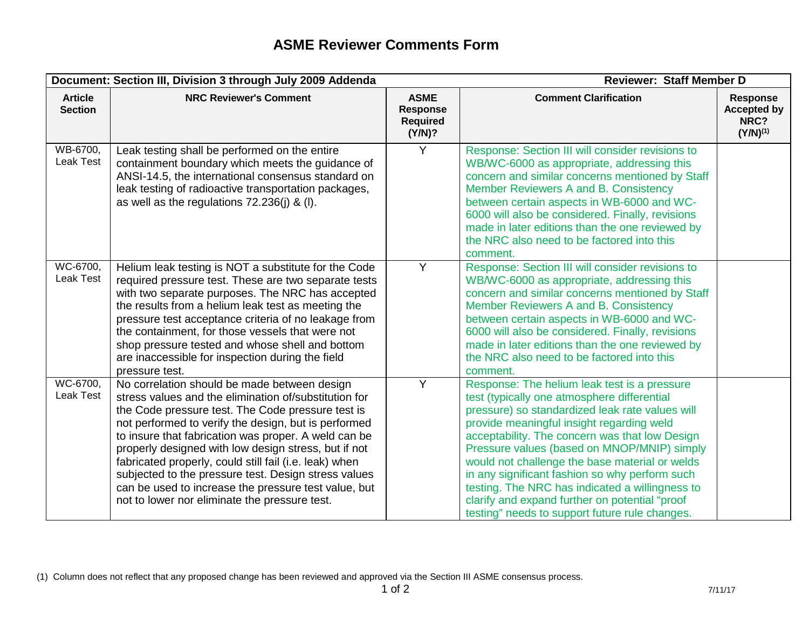|                                  | Document: Section III, Division 3 through July 2009 Addenda                                                                                                                                                                                                                                                                                                                                                                                                                                                                                                   | <b>Reviewer: Staff Member D</b>                             |                                                                                                                                                                                                                                                                                                                                                                                                                                                                                                                                                         |                                                         |
|----------------------------------|---------------------------------------------------------------------------------------------------------------------------------------------------------------------------------------------------------------------------------------------------------------------------------------------------------------------------------------------------------------------------------------------------------------------------------------------------------------------------------------------------------------------------------------------------------------|-------------------------------------------------------------|---------------------------------------------------------------------------------------------------------------------------------------------------------------------------------------------------------------------------------------------------------------------------------------------------------------------------------------------------------------------------------------------------------------------------------------------------------------------------------------------------------------------------------------------------------|---------------------------------------------------------|
| <b>Article</b><br><b>Section</b> | <b>NRC Reviewer's Comment</b>                                                                                                                                                                                                                                                                                                                                                                                                                                                                                                                                 | <b>ASME</b><br><b>Response</b><br><b>Required</b><br>(Y/N)? | <b>Comment Clarification</b>                                                                                                                                                                                                                                                                                                                                                                                                                                                                                                                            | Response<br><b>Accepted by</b><br>NRC?<br>$(Y/N)^{(1)}$ |
| WB-6700,<br>Leak Test            | Leak testing shall be performed on the entire<br>containment boundary which meets the guidance of<br>ANSI-14.5, the international consensus standard on<br>leak testing of radioactive transportation packages,<br>as well as the regulations $72.236(i)$ & (I).                                                                                                                                                                                                                                                                                              | Y                                                           | Response: Section III will consider revisions to<br>WB/WC-6000 as appropriate, addressing this<br>concern and similar concerns mentioned by Staff<br>Member Reviewers A and B. Consistency<br>between certain aspects in WB-6000 and WC-<br>6000 will also be considered. Finally, revisions<br>made in later editions than the one reviewed by<br>the NRC also need to be factored into this<br>comment.                                                                                                                                               |                                                         |
| WC-6700,<br><b>Leak Test</b>     | Helium leak testing is NOT a substitute for the Code<br>required pressure test. These are two separate tests<br>with two separate purposes. The NRC has accepted<br>the results from a helium leak test as meeting the<br>pressure test acceptance criteria of no leakage from<br>the containment, for those vessels that were not<br>shop pressure tested and whose shell and bottom<br>are inaccessible for inspection during the field<br>pressure test.                                                                                                   | Y                                                           | Response: Section III will consider revisions to<br>WB/WC-6000 as appropriate, addressing this<br>concern and similar concerns mentioned by Staff<br>Member Reviewers A and B. Consistency<br>between certain aspects in WB-6000 and WC-<br>6000 will also be considered. Finally, revisions<br>made in later editions than the one reviewed by<br>the NRC also need to be factored into this<br>comment.                                                                                                                                               |                                                         |
| WC-6700,<br><b>Leak Test</b>     | No correlation should be made between design<br>stress values and the elimination of/substitution for<br>the Code pressure test. The Code pressure test is<br>not performed to verify the design, but is performed<br>to insure that fabrication was proper. A weld can be<br>properly designed with low design stress, but if not<br>fabricated properly, could still fail (i.e. leak) when<br>subjected to the pressure test. Design stress values<br>can be used to increase the pressure test value, but<br>not to lower nor eliminate the pressure test. | Y                                                           | Response: The helium leak test is a pressure<br>test (typically one atmosphere differential<br>pressure) so standardized leak rate values will<br>provide meaningful insight regarding weld<br>acceptability. The concern was that low Design<br>Pressure values (based on MNOP/MNIP) simply<br>would not challenge the base material or welds<br>in any significant fashion so why perform such<br>testing. The NRC has indicated a willingness to<br>clarify and expand further on potential "proof<br>testing" needs to support future rule changes. |                                                         |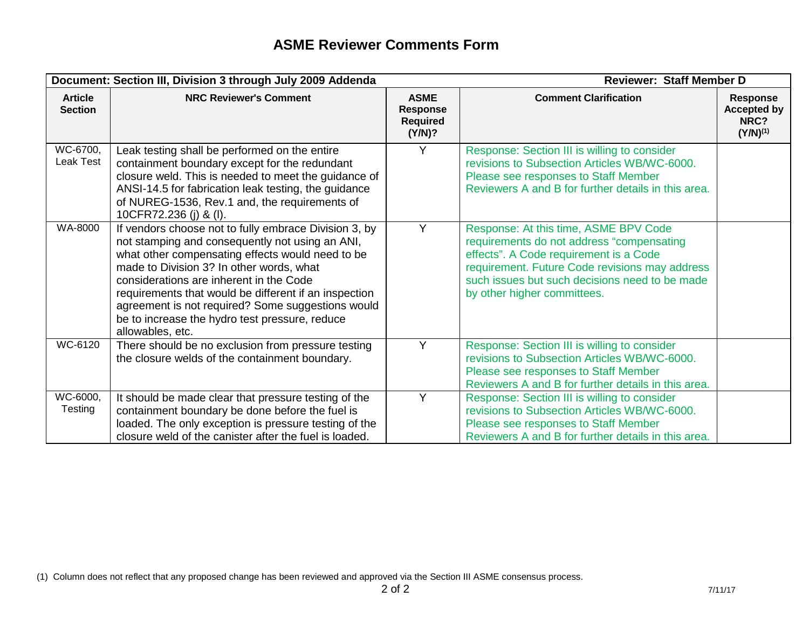|                                  | Document: Section III, Division 3 through July 2009 Addenda                                                                                                                                                                                                                                                                                                                                                                             | <b>Reviewer: Staff Member D</b>                             |                                                                                                                                                                                                                                                                 |                                                                |
|----------------------------------|-----------------------------------------------------------------------------------------------------------------------------------------------------------------------------------------------------------------------------------------------------------------------------------------------------------------------------------------------------------------------------------------------------------------------------------------|-------------------------------------------------------------|-----------------------------------------------------------------------------------------------------------------------------------------------------------------------------------------------------------------------------------------------------------------|----------------------------------------------------------------|
| <b>Article</b><br><b>Section</b> | <b>NRC Reviewer's Comment</b>                                                                                                                                                                                                                                                                                                                                                                                                           | <b>ASME</b><br><b>Response</b><br><b>Required</b><br>(Y/N)? | <b>Comment Clarification</b>                                                                                                                                                                                                                                    | <b>Response</b><br><b>Accepted by</b><br>NRC?<br>$(Y/N)^{(1)}$ |
| WC-6700,<br>Leak Test            | Leak testing shall be performed on the entire<br>containment boundary except for the redundant<br>closure weld. This is needed to meet the guidance of<br>ANSI-14.5 for fabrication leak testing, the guidance<br>of NUREG-1536, Rev.1 and, the requirements of<br>10CFR72.236 (j) & (l).                                                                                                                                               | Y                                                           | Response: Section III is willing to consider<br>revisions to Subsection Articles WB/WC-6000.<br>Please see responses to Staff Member<br>Reviewers A and B for further details in this area.                                                                     |                                                                |
| WA-8000                          | If vendors choose not to fully embrace Division 3, by<br>not stamping and consequently not using an ANI,<br>what other compensating effects would need to be<br>made to Division 3? In other words, what<br>considerations are inherent in the Code<br>requirements that would be different if an inspection<br>agreement is not required? Some suggestions would<br>be to increase the hydro test pressure, reduce<br>allowables, etc. | Y                                                           | Response: At this time, ASME BPV Code<br>requirements do not address "compensating<br>effects". A Code requirement is a Code<br>requirement. Future Code revisions may address<br>such issues but such decisions need to be made<br>by other higher committees. |                                                                |
| WC-6120                          | There should be no exclusion from pressure testing<br>the closure welds of the containment boundary.                                                                                                                                                                                                                                                                                                                                    | Y                                                           | Response: Section III is willing to consider<br>revisions to Subsection Articles WB/WC-6000.<br>Please see responses to Staff Member<br>Reviewers A and B for further details in this area.                                                                     |                                                                |
| WC-6000,<br>Testing              | It should be made clear that pressure testing of the<br>containment boundary be done before the fuel is<br>loaded. The only exception is pressure testing of the<br>closure weld of the canister after the fuel is loaded.                                                                                                                                                                                                              | Y                                                           | Response: Section III is willing to consider<br>revisions to Subsection Articles WB/WC-6000.<br>Please see responses to Staff Member<br>Reviewers A and B for further details in this area.                                                                     |                                                                |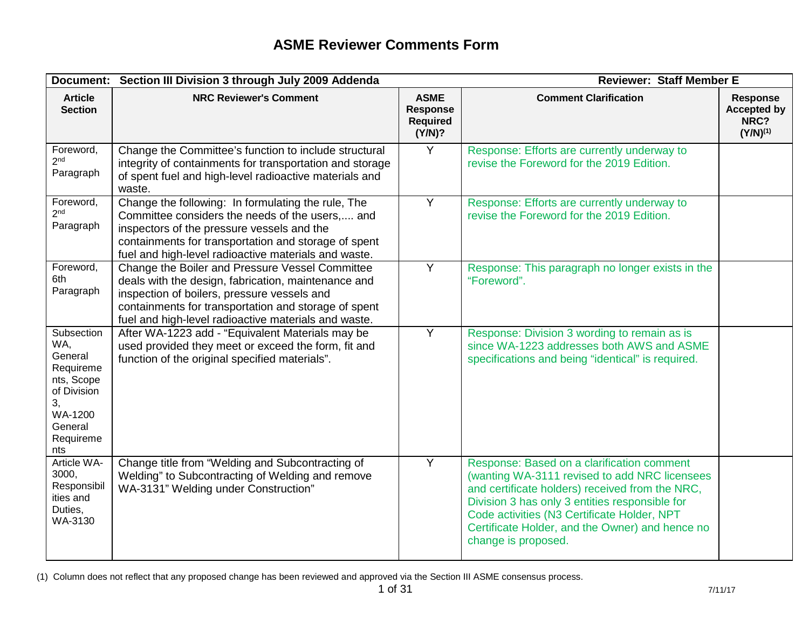| Document:                                                                                                              | Section III Division 3 through July 2009 Addenda                                                                                                                                                                                                                      |                                                             | <b>Reviewer: Staff Member E</b>                                                                                                                                                                                                                                                                                           |                                                                |
|------------------------------------------------------------------------------------------------------------------------|-----------------------------------------------------------------------------------------------------------------------------------------------------------------------------------------------------------------------------------------------------------------------|-------------------------------------------------------------|---------------------------------------------------------------------------------------------------------------------------------------------------------------------------------------------------------------------------------------------------------------------------------------------------------------------------|----------------------------------------------------------------|
| <b>Article</b><br><b>Section</b>                                                                                       | <b>NRC Reviewer's Comment</b>                                                                                                                                                                                                                                         | <b>ASME</b><br><b>Response</b><br><b>Required</b><br>(Y/N)? | <b>Comment Clarification</b>                                                                                                                                                                                                                                                                                              | <b>Response</b><br><b>Accepted by</b><br>NRC?<br>$(Y/N)^{(1)}$ |
| Foreword,<br>2 <sup>nd</sup><br>Paragraph                                                                              | Change the Committee's function to include structural<br>integrity of containments for transportation and storage<br>of spent fuel and high-level radioactive materials and<br>waste.                                                                                 | Y                                                           | Response: Efforts are currently underway to<br>revise the Foreword for the 2019 Edition.                                                                                                                                                                                                                                  |                                                                |
| Foreword,<br>2 <sub>nd</sub><br>Paragraph                                                                              | Change the following: In formulating the rule, The<br>Committee considers the needs of the users, and<br>inspectors of the pressure vessels and the<br>containments for transportation and storage of spent<br>fuel and high-level radioactive materials and waste.   | Y                                                           | Response: Efforts are currently underway to<br>revise the Foreword for the 2019 Edition.                                                                                                                                                                                                                                  |                                                                |
| Foreword,<br>6th<br>Paragraph                                                                                          | Change the Boiler and Pressure Vessel Committee<br>deals with the design, fabrication, maintenance and<br>inspection of boilers, pressure vessels and<br>containments for transportation and storage of spent<br>fuel and high-level radioactive materials and waste. | Y                                                           | Response: This paragraph no longer exists in the<br>"Foreword".                                                                                                                                                                                                                                                           |                                                                |
| Subsection<br>WA,<br>General<br>Requireme<br>nts, Scope<br>of Division<br>3,<br>WA-1200<br>General<br>Requireme<br>nts | After WA-1223 add - "Equivalent Materials may be<br>used provided they meet or exceed the form, fit and<br>function of the original specified materials".                                                                                                             | Y                                                           | Response: Division 3 wording to remain as is<br>since WA-1223 addresses both AWS and ASME<br>specifications and being "identical" is required.                                                                                                                                                                            |                                                                |
| Article WA-<br>3000,<br>Responsibil<br>ities and<br>Duties,<br>WA-3130                                                 | Change title from "Welding and Subcontracting of<br>Welding" to Subcontracting of Welding and remove<br>WA-3131" Welding under Construction"                                                                                                                          | $\overline{Y}$                                              | Response: Based on a clarification comment<br>(wanting WA-3111 revised to add NRC licensees<br>and certificate holders) received from the NRC,<br>Division 3 has only 3 entities responsible for<br>Code activities (N3 Certificate Holder, NPT<br>Certificate Holder, and the Owner) and hence no<br>change is proposed. |                                                                |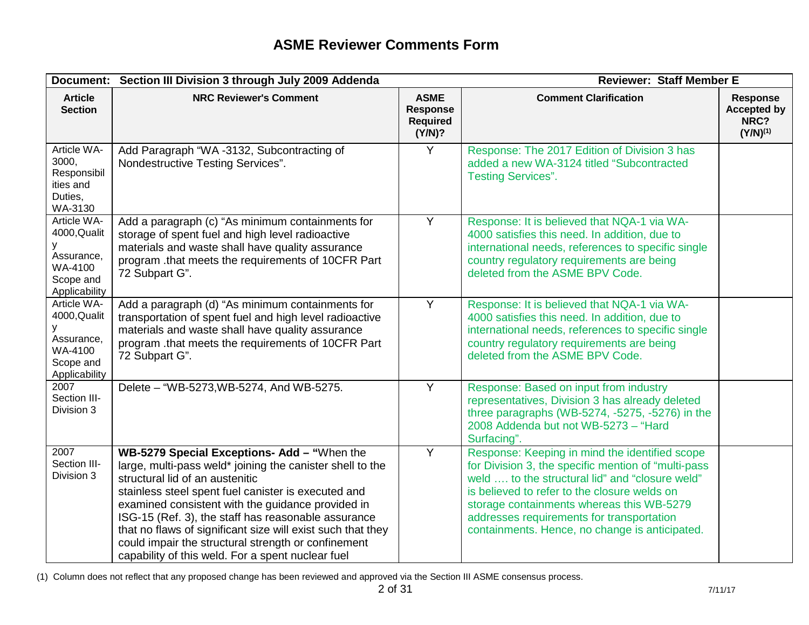|                                                                                         | <b>Reviewer: Staff Member E</b><br>Document: Section III Division 3 through July 2009 Addenda                                                                                                                                                                                                                                                                                                                                                                                             |                                                             |                                                                                                                                                                                                                                                                                                                                                      |                                                         |
|-----------------------------------------------------------------------------------------|-------------------------------------------------------------------------------------------------------------------------------------------------------------------------------------------------------------------------------------------------------------------------------------------------------------------------------------------------------------------------------------------------------------------------------------------------------------------------------------------|-------------------------------------------------------------|------------------------------------------------------------------------------------------------------------------------------------------------------------------------------------------------------------------------------------------------------------------------------------------------------------------------------------------------------|---------------------------------------------------------|
| <b>Article</b><br><b>Section</b>                                                        | <b>NRC Reviewer's Comment</b>                                                                                                                                                                                                                                                                                                                                                                                                                                                             | <b>ASME</b><br><b>Response</b><br><b>Required</b><br>(Y/N)? | <b>Comment Clarification</b>                                                                                                                                                                                                                                                                                                                         | Response<br><b>Accepted by</b><br>NRC?<br>$(Y/N)^{(1)}$ |
| Article WA-<br>3000,<br>Responsibil<br>ities and<br>Duties,<br>WA-3130                  | Add Paragraph "WA -3132, Subcontracting of<br>Nondestructive Testing Services".                                                                                                                                                                                                                                                                                                                                                                                                           | Y                                                           | Response: The 2017 Edition of Division 3 has<br>added a new WA-3124 titled "Subcontracted<br><b>Testing Services".</b>                                                                                                                                                                                                                               |                                                         |
| Article WA-<br>4000, Qualit<br>У<br>Assurance,<br>WA-4100<br>Scope and<br>Applicability | Add a paragraph (c) "As minimum containments for<br>storage of spent fuel and high level radioactive<br>materials and waste shall have quality assurance<br>program .that meets the requirements of 10CFR Part<br>72 Subpart G".                                                                                                                                                                                                                                                          | Y                                                           | Response: It is believed that NQA-1 via WA-<br>4000 satisfies this need. In addition, due to<br>international needs, references to specific single<br>country regulatory requirements are being<br>deleted from the ASME BPV Code.                                                                                                                   |                                                         |
| Article WA-<br>4000, Qualit<br>У<br>Assurance,<br>WA-4100<br>Scope and<br>Applicability | Add a paragraph (d) "As minimum containments for<br>transportation of spent fuel and high level radioactive<br>materials and waste shall have quality assurance<br>program .that meets the requirements of 10CFR Part<br>72 Subpart G".                                                                                                                                                                                                                                                   | Y                                                           | Response: It is believed that NQA-1 via WA-<br>4000 satisfies this need. In addition, due to<br>international needs, references to specific single<br>country regulatory requirements are being<br>deleted from the ASME BPV Code.                                                                                                                   |                                                         |
| 2007<br>Section III-<br>Division 3                                                      | Delete - "WB-5273, WB-5274, And WB-5275.                                                                                                                                                                                                                                                                                                                                                                                                                                                  | $\overline{Y}$                                              | Response: Based on input from industry<br>representatives, Division 3 has already deleted<br>three paragraphs (WB-5274, $-5275$ , $-5276$ ) in the<br>2008 Addenda but not WB-5273 - "Hard<br>Surfacing".                                                                                                                                            |                                                         |
| 2007<br>Section III-<br>Division 3                                                      | WB-5279 Special Exceptions- Add - "When the<br>large, multi-pass weld* joining the canister shell to the<br>structural lid of an austenitic<br>stainless steel spent fuel canister is executed and<br>examined consistent with the guidance provided in<br>ISG-15 (Ref. 3), the staff has reasonable assurance<br>that no flaws of significant size will exist such that they<br>could impair the structural strength or confinement<br>capability of this weld. For a spent nuclear fuel | $\overline{Y}$                                              | Response: Keeping in mind the identified scope<br>for Division 3, the specific mention of "multi-pass<br>weld  to the structural lid" and "closure weld"<br>is believed to refer to the closure welds on<br>storage containments whereas this WB-5279<br>addresses requirements for transportation<br>containments. Hence, no change is anticipated. |                                                         |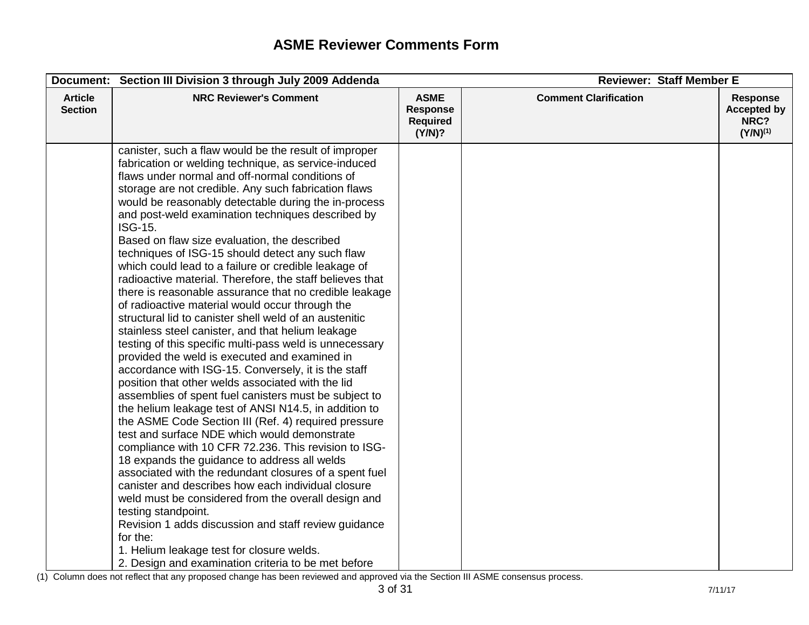|                                  | Document: Section III Division 3 through July 2009 Addenda                                                                                                                                                                                                                                                                                                                                                                                                                                                                                                                                                                                                                                                                                                                                                                                                                                                                                                                                                                                                                                                                                                                                                                                                                                                                                                                                                                                                                                                                                                                                                                                                                                                                           | <b>Reviewer: Staff Member E</b>                             |                              |                                                                |
|----------------------------------|--------------------------------------------------------------------------------------------------------------------------------------------------------------------------------------------------------------------------------------------------------------------------------------------------------------------------------------------------------------------------------------------------------------------------------------------------------------------------------------------------------------------------------------------------------------------------------------------------------------------------------------------------------------------------------------------------------------------------------------------------------------------------------------------------------------------------------------------------------------------------------------------------------------------------------------------------------------------------------------------------------------------------------------------------------------------------------------------------------------------------------------------------------------------------------------------------------------------------------------------------------------------------------------------------------------------------------------------------------------------------------------------------------------------------------------------------------------------------------------------------------------------------------------------------------------------------------------------------------------------------------------------------------------------------------------------------------------------------------------|-------------------------------------------------------------|------------------------------|----------------------------------------------------------------|
| <b>Article</b><br><b>Section</b> | <b>NRC Reviewer's Comment</b>                                                                                                                                                                                                                                                                                                                                                                                                                                                                                                                                                                                                                                                                                                                                                                                                                                                                                                                                                                                                                                                                                                                                                                                                                                                                                                                                                                                                                                                                                                                                                                                                                                                                                                        | <b>ASME</b><br><b>Response</b><br><b>Required</b><br>(Y/N)? | <b>Comment Clarification</b> | <b>Response</b><br><b>Accepted by</b><br>NRC?<br>$(Y/N)^{(1)}$ |
|                                  | canister, such a flaw would be the result of improper<br>fabrication or welding technique, as service-induced<br>flaws under normal and off-normal conditions of<br>storage are not credible. Any such fabrication flaws<br>would be reasonably detectable during the in-process<br>and post-weld examination techniques described by<br>ISG-15.<br>Based on flaw size evaluation, the described<br>techniques of ISG-15 should detect any such flaw<br>which could lead to a failure or credible leakage of<br>radioactive material. Therefore, the staff believes that<br>there is reasonable assurance that no credible leakage<br>of radioactive material would occur through the<br>structural lid to canister shell weld of an austenitic<br>stainless steel canister, and that helium leakage<br>testing of this specific multi-pass weld is unnecessary<br>provided the weld is executed and examined in<br>accordance with ISG-15. Conversely, it is the staff<br>position that other welds associated with the lid<br>assemblies of spent fuel canisters must be subject to<br>the helium leakage test of ANSI N14.5, in addition to<br>the ASME Code Section III (Ref. 4) required pressure<br>test and surface NDE which would demonstrate<br>compliance with 10 CFR 72.236. This revision to ISG-<br>18 expands the guidance to address all welds<br>associated with the redundant closures of a spent fuel<br>canister and describes how each individual closure<br>weld must be considered from the overall design and<br>testing standpoint.<br>Revision 1 adds discussion and staff review guidance<br>for the:<br>1. Helium leakage test for closure welds.<br>2. Design and examination criteria to be met before |                                                             |                              |                                                                |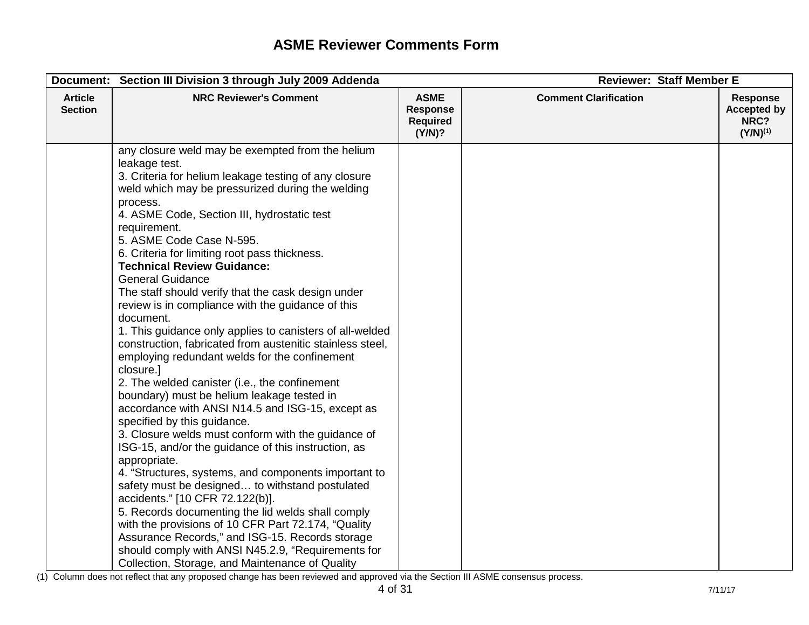|                                  | Document: Section III Division 3 through July 2009 Addenda                                                                                                                                                                                                                                                                                                                                                                                                                                                                                                                                                                                                                                                                                                                                                                                                                                                                                                                                                                                                                                                                                                                                                                                                                                                                                                                                                                                                 | <b>Reviewer: Staff Member E</b>                             |                              |                                                                |
|----------------------------------|------------------------------------------------------------------------------------------------------------------------------------------------------------------------------------------------------------------------------------------------------------------------------------------------------------------------------------------------------------------------------------------------------------------------------------------------------------------------------------------------------------------------------------------------------------------------------------------------------------------------------------------------------------------------------------------------------------------------------------------------------------------------------------------------------------------------------------------------------------------------------------------------------------------------------------------------------------------------------------------------------------------------------------------------------------------------------------------------------------------------------------------------------------------------------------------------------------------------------------------------------------------------------------------------------------------------------------------------------------------------------------------------------------------------------------------------------------|-------------------------------------------------------------|------------------------------|----------------------------------------------------------------|
| <b>Article</b><br><b>Section</b> | <b>NRC Reviewer's Comment</b>                                                                                                                                                                                                                                                                                                                                                                                                                                                                                                                                                                                                                                                                                                                                                                                                                                                                                                                                                                                                                                                                                                                                                                                                                                                                                                                                                                                                                              | <b>ASME</b><br><b>Response</b><br><b>Required</b><br>(Y/N)? | <b>Comment Clarification</b> | <b>Response</b><br><b>Accepted by</b><br>NRC?<br>$(Y/N)^{(1)}$ |
|                                  | any closure weld may be exempted from the helium<br>leakage test.<br>3. Criteria for helium leakage testing of any closure<br>weld which may be pressurized during the welding<br>process.<br>4. ASME Code, Section III, hydrostatic test<br>requirement.<br>5. ASME Code Case N-595.<br>6. Criteria for limiting root pass thickness.<br><b>Technical Review Guidance:</b><br><b>General Guidance</b><br>The staff should verify that the cask design under<br>review is in compliance with the guidance of this<br>document.<br>1. This guidance only applies to canisters of all-welded<br>construction, fabricated from austenitic stainless steel,<br>employing redundant welds for the confinement<br>closure.]<br>2. The welded canister (i.e., the confinement<br>boundary) must be helium leakage tested in<br>accordance with ANSI N14.5 and ISG-15, except as<br>specified by this guidance.<br>3. Closure welds must conform with the guidance of<br>ISG-15, and/or the guidance of this instruction, as<br>appropriate.<br>4. "Structures, systems, and components important to<br>safety must be designed to withstand postulated<br>accidents." [10 CFR 72.122(b)].<br>5. Records documenting the lid welds shall comply<br>with the provisions of 10 CFR Part 72.174, "Quality<br>Assurance Records," and ISG-15. Records storage<br>should comply with ANSI N45.2.9, "Requirements for<br>Collection, Storage, and Maintenance of Quality |                                                             |                              |                                                                |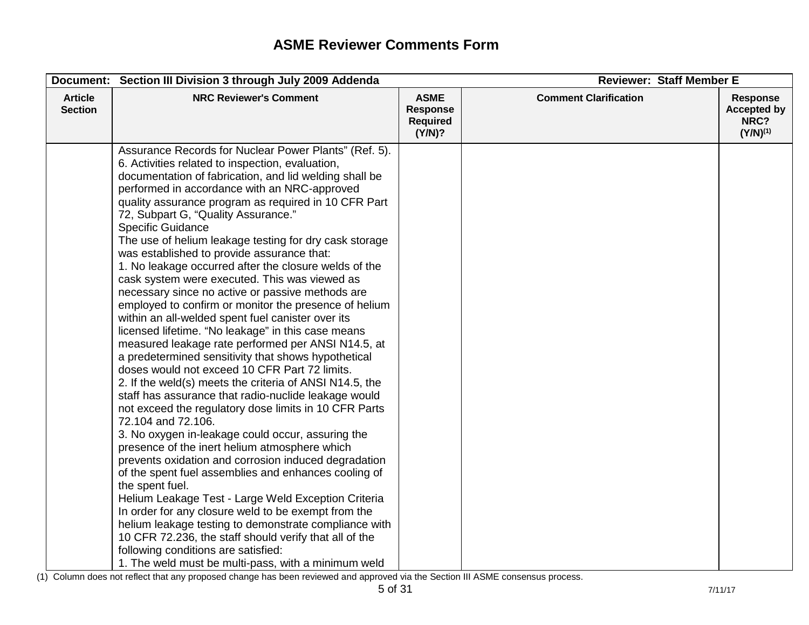|                                  | Document: Section III Division 3 through July 2009 Addenda                                                                                                                                                                                                                                                                                                                                                                                                                                                                                                                                                                                                                                                                                                                                                                                                                                                                                                                                                                                                                                                                                                                                                                                                                                                                                                                                                                                                                                                                                                                                                                                                                                                                       |                                                             | <b>Reviewer: Staff Member E</b> |                                                                |  |
|----------------------------------|----------------------------------------------------------------------------------------------------------------------------------------------------------------------------------------------------------------------------------------------------------------------------------------------------------------------------------------------------------------------------------------------------------------------------------------------------------------------------------------------------------------------------------------------------------------------------------------------------------------------------------------------------------------------------------------------------------------------------------------------------------------------------------------------------------------------------------------------------------------------------------------------------------------------------------------------------------------------------------------------------------------------------------------------------------------------------------------------------------------------------------------------------------------------------------------------------------------------------------------------------------------------------------------------------------------------------------------------------------------------------------------------------------------------------------------------------------------------------------------------------------------------------------------------------------------------------------------------------------------------------------------------------------------------------------------------------------------------------------|-------------------------------------------------------------|---------------------------------|----------------------------------------------------------------|--|
| <b>Article</b><br><b>Section</b> | <b>NRC Reviewer's Comment</b>                                                                                                                                                                                                                                                                                                                                                                                                                                                                                                                                                                                                                                                                                                                                                                                                                                                                                                                                                                                                                                                                                                                                                                                                                                                                                                                                                                                                                                                                                                                                                                                                                                                                                                    | <b>ASME</b><br><b>Response</b><br><b>Required</b><br>(Y/N)? | <b>Comment Clarification</b>    | <b>Response</b><br><b>Accepted by</b><br>NRC?<br>$(Y/N)^{(1)}$ |  |
|                                  | Assurance Records for Nuclear Power Plants" (Ref. 5).<br>6. Activities related to inspection, evaluation,<br>documentation of fabrication, and lid welding shall be<br>performed in accordance with an NRC-approved<br>quality assurance program as required in 10 CFR Part<br>72, Subpart G, "Quality Assurance."<br><b>Specific Guidance</b><br>The use of helium leakage testing for dry cask storage<br>was established to provide assurance that:<br>1. No leakage occurred after the closure welds of the<br>cask system were executed. This was viewed as<br>necessary since no active or passive methods are<br>employed to confirm or monitor the presence of helium<br>within an all-welded spent fuel canister over its<br>licensed lifetime. "No leakage" in this case means<br>measured leakage rate performed per ANSI N14.5, at<br>a predetermined sensitivity that shows hypothetical<br>doses would not exceed 10 CFR Part 72 limits.<br>2. If the weld(s) meets the criteria of ANSI N14.5, the<br>staff has assurance that radio-nuclide leakage would<br>not exceed the regulatory dose limits in 10 CFR Parts<br>72.104 and 72.106.<br>3. No oxygen in-leakage could occur, assuring the<br>presence of the inert helium atmosphere which<br>prevents oxidation and corrosion induced degradation<br>of the spent fuel assemblies and enhances cooling of<br>the spent fuel.<br>Helium Leakage Test - Large Weld Exception Criteria<br>In order for any closure weld to be exempt from the<br>helium leakage testing to demonstrate compliance with<br>10 CFR 72.236, the staff should verify that all of the<br>following conditions are satisfied:<br>1. The weld must be multi-pass, with a minimum weld |                                                             |                                 |                                                                |  |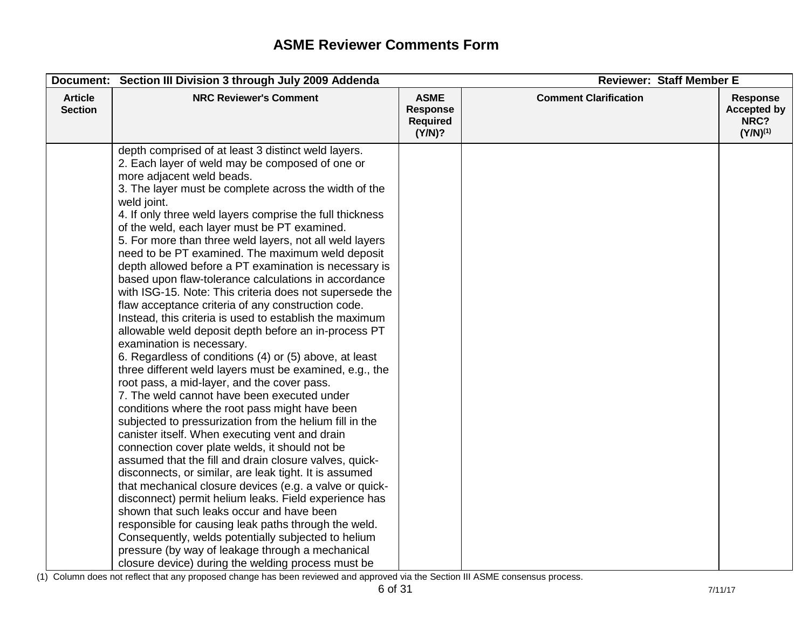|                                  | Document: Section III Division 3 through July 2009 Addenda                                                                                                                                                                                                                                                                                                                                                                                                                                                                                                                                                                                                                                                                                                                                                                                                                                                                                                                                                                                                                                                                                                                                                                                                                                                                                                                                                                                                                                                                                                                                                                                                                                                                                                                 |                                                             | <b>Reviewer: Staff Member E</b> |                                                                |
|----------------------------------|----------------------------------------------------------------------------------------------------------------------------------------------------------------------------------------------------------------------------------------------------------------------------------------------------------------------------------------------------------------------------------------------------------------------------------------------------------------------------------------------------------------------------------------------------------------------------------------------------------------------------------------------------------------------------------------------------------------------------------------------------------------------------------------------------------------------------------------------------------------------------------------------------------------------------------------------------------------------------------------------------------------------------------------------------------------------------------------------------------------------------------------------------------------------------------------------------------------------------------------------------------------------------------------------------------------------------------------------------------------------------------------------------------------------------------------------------------------------------------------------------------------------------------------------------------------------------------------------------------------------------------------------------------------------------------------------------------------------------------------------------------------------------|-------------------------------------------------------------|---------------------------------|----------------------------------------------------------------|
| <b>Article</b><br><b>Section</b> | <b>NRC Reviewer's Comment</b>                                                                                                                                                                                                                                                                                                                                                                                                                                                                                                                                                                                                                                                                                                                                                                                                                                                                                                                                                                                                                                                                                                                                                                                                                                                                                                                                                                                                                                                                                                                                                                                                                                                                                                                                              | <b>ASME</b><br><b>Response</b><br><b>Required</b><br>(Y/N)? | <b>Comment Clarification</b>    | <b>Response</b><br><b>Accepted by</b><br>NRC?<br>$(Y/N)^{(1)}$ |
|                                  | depth comprised of at least 3 distinct weld layers.<br>2. Each layer of weld may be composed of one or<br>more adjacent weld beads.<br>3. The layer must be complete across the width of the<br>weld joint.<br>4. If only three weld layers comprise the full thickness<br>of the weld, each layer must be PT examined.<br>5. For more than three weld layers, not all weld layers<br>need to be PT examined. The maximum weld deposit<br>depth allowed before a PT examination is necessary is<br>based upon flaw-tolerance calculations in accordance<br>with ISG-15. Note: This criteria does not supersede the<br>flaw acceptance criteria of any construction code.<br>Instead, this criteria is used to establish the maximum<br>allowable weld deposit depth before an in-process PT<br>examination is necessary.<br>6. Regardless of conditions (4) or (5) above, at least<br>three different weld layers must be examined, e.g., the<br>root pass, a mid-layer, and the cover pass.<br>7. The weld cannot have been executed under<br>conditions where the root pass might have been<br>subjected to pressurization from the helium fill in the<br>canister itself. When executing vent and drain<br>connection cover plate welds, it should not be<br>assumed that the fill and drain closure valves, quick-<br>disconnects, or similar, are leak tight. It is assumed<br>that mechanical closure devices (e.g. a valve or quick-<br>disconnect) permit helium leaks. Field experience has<br>shown that such leaks occur and have been<br>responsible for causing leak paths through the weld.<br>Consequently, welds potentially subjected to helium<br>pressure (by way of leakage through a mechanical<br>closure device) during the welding process must be |                                                             |                                 |                                                                |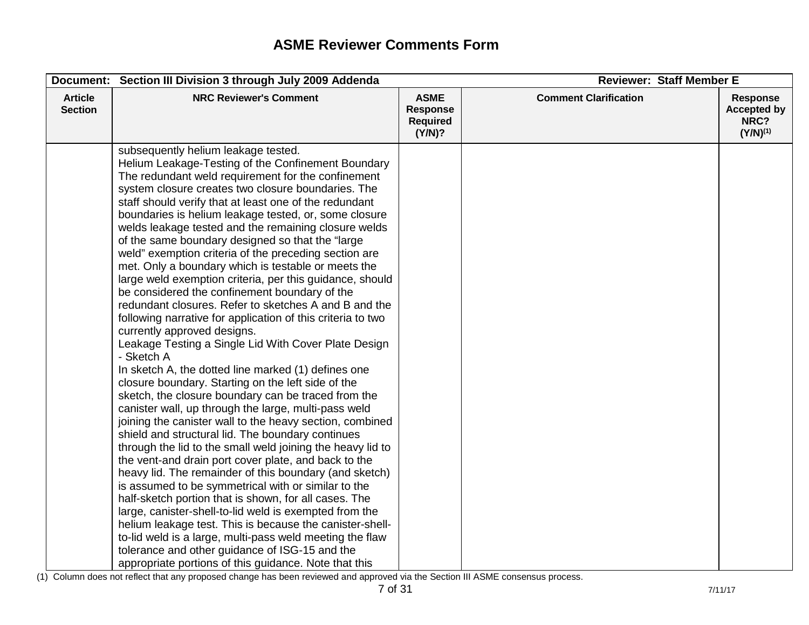|                                  | Document: Section III Division 3 through July 2009 Addenda                                                                                                                                                                                                                                                                                                                                                                                                                                                                                                                                                                                                                                                                                                                                                                                                                                                                                                                                                                                                                                                                                                                                                                                                                                                                                                                                                                                                                                                                                                                                                                                                                                                                                                                                                                                | <b>Reviewer: Staff Member E</b>                             |                              |                                                                |
|----------------------------------|-------------------------------------------------------------------------------------------------------------------------------------------------------------------------------------------------------------------------------------------------------------------------------------------------------------------------------------------------------------------------------------------------------------------------------------------------------------------------------------------------------------------------------------------------------------------------------------------------------------------------------------------------------------------------------------------------------------------------------------------------------------------------------------------------------------------------------------------------------------------------------------------------------------------------------------------------------------------------------------------------------------------------------------------------------------------------------------------------------------------------------------------------------------------------------------------------------------------------------------------------------------------------------------------------------------------------------------------------------------------------------------------------------------------------------------------------------------------------------------------------------------------------------------------------------------------------------------------------------------------------------------------------------------------------------------------------------------------------------------------------------------------------------------------------------------------------------------------|-------------------------------------------------------------|------------------------------|----------------------------------------------------------------|
| <b>Article</b><br><b>Section</b> | <b>NRC Reviewer's Comment</b>                                                                                                                                                                                                                                                                                                                                                                                                                                                                                                                                                                                                                                                                                                                                                                                                                                                                                                                                                                                                                                                                                                                                                                                                                                                                                                                                                                                                                                                                                                                                                                                                                                                                                                                                                                                                             | <b>ASME</b><br><b>Response</b><br><b>Required</b><br>(Y/N)? | <b>Comment Clarification</b> | <b>Response</b><br><b>Accepted by</b><br>NRC?<br>$(Y/N)^{(1)}$ |
|                                  | subsequently helium leakage tested.<br>Helium Leakage-Testing of the Confinement Boundary<br>The redundant weld requirement for the confinement<br>system closure creates two closure boundaries. The<br>staff should verify that at least one of the redundant<br>boundaries is helium leakage tested, or, some closure<br>welds leakage tested and the remaining closure welds<br>of the same boundary designed so that the "large"<br>weld" exemption criteria of the preceding section are<br>met. Only a boundary which is testable or meets the<br>large weld exemption criteria, per this guidance, should<br>be considered the confinement boundary of the<br>redundant closures. Refer to sketches A and B and the<br>following narrative for application of this criteria to two<br>currently approved designs.<br>Leakage Testing a Single Lid With Cover Plate Design<br>- Sketch A<br>In sketch A, the dotted line marked (1) defines one<br>closure boundary. Starting on the left side of the<br>sketch, the closure boundary can be traced from the<br>canister wall, up through the large, multi-pass weld<br>joining the canister wall to the heavy section, combined<br>shield and structural lid. The boundary continues<br>through the lid to the small weld joining the heavy lid to<br>the vent-and drain port cover plate, and back to the<br>heavy lid. The remainder of this boundary (and sketch)<br>is assumed to be symmetrical with or similar to the<br>half-sketch portion that is shown, for all cases. The<br>large, canister-shell-to-lid weld is exempted from the<br>helium leakage test. This is because the canister-shell-<br>to-lid weld is a large, multi-pass weld meeting the flaw<br>tolerance and other guidance of ISG-15 and the<br>appropriate portions of this guidance. Note that this |                                                             |                              |                                                                |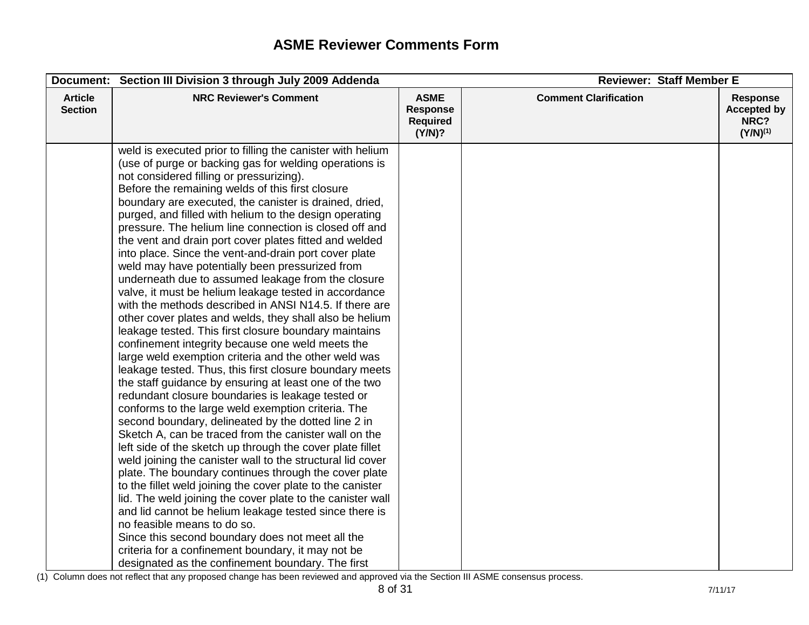|                                  | Document: Section III Division 3 through July 2009 Addenda                                                                                                                                                                                                                                                                                                                                                                                                                                                                                                                                                                                                                                                                                                                                                                                                                                                                                                                                                                                                                                                                                                                                                                                                                                                                                                                                                                                                                                                                                                                                                                                                                                                                                                                                                                                                                                                | <b>Reviewer: Staff Member E</b>                             |                              |                                                                |
|----------------------------------|-----------------------------------------------------------------------------------------------------------------------------------------------------------------------------------------------------------------------------------------------------------------------------------------------------------------------------------------------------------------------------------------------------------------------------------------------------------------------------------------------------------------------------------------------------------------------------------------------------------------------------------------------------------------------------------------------------------------------------------------------------------------------------------------------------------------------------------------------------------------------------------------------------------------------------------------------------------------------------------------------------------------------------------------------------------------------------------------------------------------------------------------------------------------------------------------------------------------------------------------------------------------------------------------------------------------------------------------------------------------------------------------------------------------------------------------------------------------------------------------------------------------------------------------------------------------------------------------------------------------------------------------------------------------------------------------------------------------------------------------------------------------------------------------------------------------------------------------------------------------------------------------------------------|-------------------------------------------------------------|------------------------------|----------------------------------------------------------------|
| <b>Article</b><br><b>Section</b> | <b>NRC Reviewer's Comment</b>                                                                                                                                                                                                                                                                                                                                                                                                                                                                                                                                                                                                                                                                                                                                                                                                                                                                                                                                                                                                                                                                                                                                                                                                                                                                                                                                                                                                                                                                                                                                                                                                                                                                                                                                                                                                                                                                             | <b>ASME</b><br><b>Response</b><br><b>Required</b><br>(Y/N)? | <b>Comment Clarification</b> | <b>Response</b><br><b>Accepted by</b><br>NRC?<br>$(Y/N)^{(1)}$ |
|                                  | weld is executed prior to filling the canister with helium<br>(use of purge or backing gas for welding operations is<br>not considered filling or pressurizing).<br>Before the remaining welds of this first closure<br>boundary are executed, the canister is drained, dried,<br>purged, and filled with helium to the design operating<br>pressure. The helium line connection is closed off and<br>the vent and drain port cover plates fitted and welded<br>into place. Since the vent-and-drain port cover plate<br>weld may have potentially been pressurized from<br>underneath due to assumed leakage from the closure<br>valve, it must be helium leakage tested in accordance<br>with the methods described in ANSI N14.5. If there are<br>other cover plates and welds, they shall also be helium<br>leakage tested. This first closure boundary maintains<br>confinement integrity because one weld meets the<br>large weld exemption criteria and the other weld was<br>leakage tested. Thus, this first closure boundary meets<br>the staff guidance by ensuring at least one of the two<br>redundant closure boundaries is leakage tested or<br>conforms to the large weld exemption criteria. The<br>second boundary, delineated by the dotted line 2 in<br>Sketch A, can be traced from the canister wall on the<br>left side of the sketch up through the cover plate fillet<br>weld joining the canister wall to the structural lid cover<br>plate. The boundary continues through the cover plate<br>to the fillet weld joining the cover plate to the canister<br>lid. The weld joining the cover plate to the canister wall<br>and lid cannot be helium leakage tested since there is<br>no feasible means to do so.<br>Since this second boundary does not meet all the<br>criteria for a confinement boundary, it may not be<br>designated as the confinement boundary. The first |                                                             |                              |                                                                |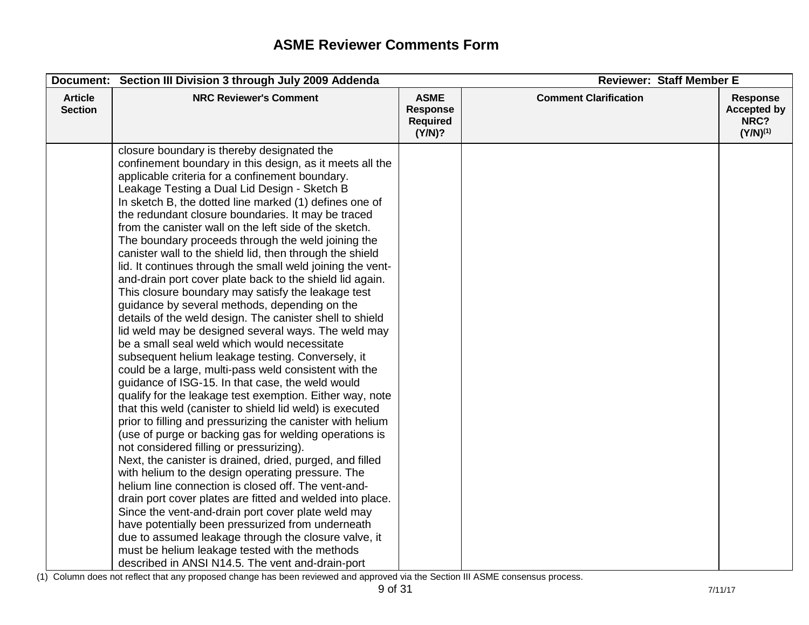|                                  | Document: Section III Division 3 through July 2009 Addenda                                                                                                                                                                                                                                                                                                                                                                                                                                                                                                                                                                                                                                                                                                                                                                                                                                                                                                                                                                                                                                                                                                                                                                                                                                                                                                                                                                                                                                                                                                                                                                                                                                                                                                                                                                                                                            | <b>Reviewer: Staff Member E</b>                             |                              |                                                                |
|----------------------------------|---------------------------------------------------------------------------------------------------------------------------------------------------------------------------------------------------------------------------------------------------------------------------------------------------------------------------------------------------------------------------------------------------------------------------------------------------------------------------------------------------------------------------------------------------------------------------------------------------------------------------------------------------------------------------------------------------------------------------------------------------------------------------------------------------------------------------------------------------------------------------------------------------------------------------------------------------------------------------------------------------------------------------------------------------------------------------------------------------------------------------------------------------------------------------------------------------------------------------------------------------------------------------------------------------------------------------------------------------------------------------------------------------------------------------------------------------------------------------------------------------------------------------------------------------------------------------------------------------------------------------------------------------------------------------------------------------------------------------------------------------------------------------------------------------------------------------------------------------------------------------------------|-------------------------------------------------------------|------------------------------|----------------------------------------------------------------|
| <b>Article</b><br><b>Section</b> | <b>NRC Reviewer's Comment</b>                                                                                                                                                                                                                                                                                                                                                                                                                                                                                                                                                                                                                                                                                                                                                                                                                                                                                                                                                                                                                                                                                                                                                                                                                                                                                                                                                                                                                                                                                                                                                                                                                                                                                                                                                                                                                                                         | <b>ASME</b><br><b>Response</b><br><b>Required</b><br>(Y/N)? | <b>Comment Clarification</b> | <b>Response</b><br><b>Accepted by</b><br>NRC?<br>$(Y/N)^{(1)}$ |
|                                  | closure boundary is thereby designated the<br>confinement boundary in this design, as it meets all the<br>applicable criteria for a confinement boundary.<br>Leakage Testing a Dual Lid Design - Sketch B<br>In sketch B, the dotted line marked (1) defines one of<br>the redundant closure boundaries. It may be traced<br>from the canister wall on the left side of the sketch.<br>The boundary proceeds through the weld joining the<br>canister wall to the shield lid, then through the shield<br>lid. It continues through the small weld joining the vent-<br>and-drain port cover plate back to the shield lid again.<br>This closure boundary may satisfy the leakage test<br>guidance by several methods, depending on the<br>details of the weld design. The canister shell to shield<br>lid weld may be designed several ways. The weld may<br>be a small seal weld which would necessitate<br>subsequent helium leakage testing. Conversely, it<br>could be a large, multi-pass weld consistent with the<br>guidance of ISG-15. In that case, the weld would<br>qualify for the leakage test exemption. Either way, note<br>that this weld (canister to shield lid weld) is executed<br>prior to filling and pressurizing the canister with helium<br>(use of purge or backing gas for welding operations is<br>not considered filling or pressurizing).<br>Next, the canister is drained, dried, purged, and filled<br>with helium to the design operating pressure. The<br>helium line connection is closed off. The vent-and-<br>drain port cover plates are fitted and welded into place.<br>Since the vent-and-drain port cover plate weld may<br>have potentially been pressurized from underneath<br>due to assumed leakage through the closure valve, it<br>must be helium leakage tested with the methods<br>described in ANSI N14.5. The vent and-drain-port |                                                             |                              |                                                                |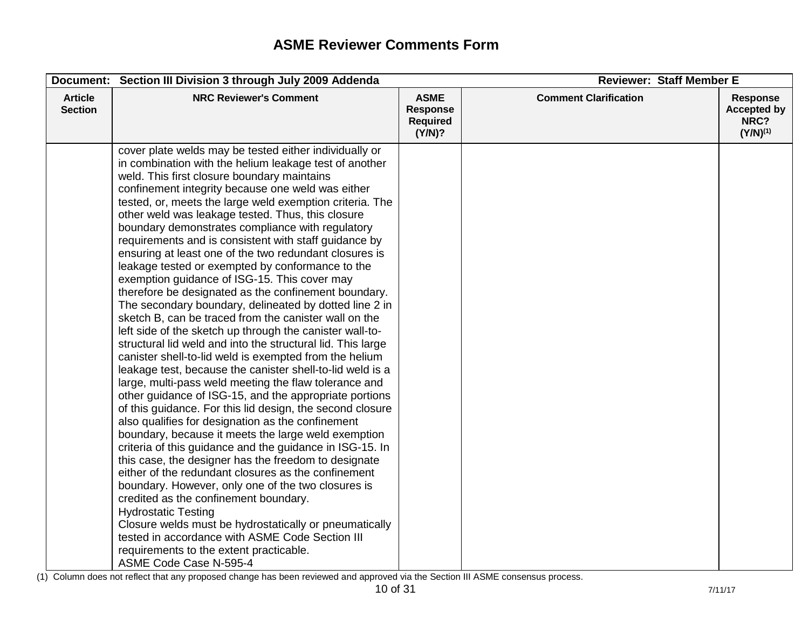|                                  | Document: Section III Division 3 through July 2009 Addenda                                                                                                                                                                                                                                                                                                                                                                                                                                                                                                                                                                                                                                                                                                                                                                                                                                                                                                                                                                                                                                                                                                                                                                                                                                                                                                                                                                                                                                                                                                                                                                                                                                                                                                                                                                          | <b>Reviewer: Staff Member E</b>                             |                              |                                                                |
|----------------------------------|-------------------------------------------------------------------------------------------------------------------------------------------------------------------------------------------------------------------------------------------------------------------------------------------------------------------------------------------------------------------------------------------------------------------------------------------------------------------------------------------------------------------------------------------------------------------------------------------------------------------------------------------------------------------------------------------------------------------------------------------------------------------------------------------------------------------------------------------------------------------------------------------------------------------------------------------------------------------------------------------------------------------------------------------------------------------------------------------------------------------------------------------------------------------------------------------------------------------------------------------------------------------------------------------------------------------------------------------------------------------------------------------------------------------------------------------------------------------------------------------------------------------------------------------------------------------------------------------------------------------------------------------------------------------------------------------------------------------------------------------------------------------------------------------------------------------------------------|-------------------------------------------------------------|------------------------------|----------------------------------------------------------------|
| <b>Article</b><br><b>Section</b> | <b>NRC Reviewer's Comment</b>                                                                                                                                                                                                                                                                                                                                                                                                                                                                                                                                                                                                                                                                                                                                                                                                                                                                                                                                                                                                                                                                                                                                                                                                                                                                                                                                                                                                                                                                                                                                                                                                                                                                                                                                                                                                       | <b>ASME</b><br><b>Response</b><br><b>Required</b><br>(Y/N)? | <b>Comment Clarification</b> | <b>Response</b><br><b>Accepted by</b><br>NRC?<br>$(Y/N)^{(1)}$ |
|                                  | cover plate welds may be tested either individually or<br>in combination with the helium leakage test of another<br>weld. This first closure boundary maintains<br>confinement integrity because one weld was either<br>tested, or, meets the large weld exemption criteria. The<br>other weld was leakage tested. Thus, this closure<br>boundary demonstrates compliance with regulatory<br>requirements and is consistent with staff guidance by<br>ensuring at least one of the two redundant closures is<br>leakage tested or exempted by conformance to the<br>exemption guidance of ISG-15. This cover may<br>therefore be designated as the confinement boundary.<br>The secondary boundary, delineated by dotted line 2 in<br>sketch B, can be traced from the canister wall on the<br>left side of the sketch up through the canister wall-to-<br>structural lid weld and into the structural lid. This large<br>canister shell-to-lid weld is exempted from the helium<br>leakage test, because the canister shell-to-lid weld is a<br>large, multi-pass weld meeting the flaw tolerance and<br>other guidance of ISG-15, and the appropriate portions<br>of this guidance. For this lid design, the second closure<br>also qualifies for designation as the confinement<br>boundary, because it meets the large weld exemption<br>criteria of this guidance and the guidance in ISG-15. In<br>this case, the designer has the freedom to designate<br>either of the redundant closures as the confinement<br>boundary. However, only one of the two closures is<br>credited as the confinement boundary.<br><b>Hydrostatic Testing</b><br>Closure welds must be hydrostatically or pneumatically<br>tested in accordance with ASME Code Section III<br>requirements to the extent practicable.<br>ASME Code Case N-595-4 |                                                             |                              |                                                                |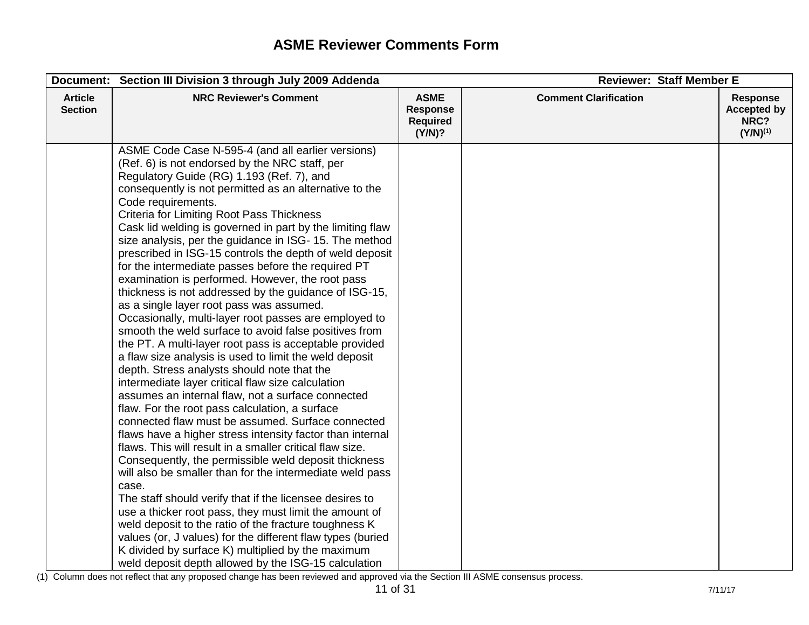|                                  | Document: Section III Division 3 through July 2009 Addenda                                                                                                                                                                                                                                                                                                                                                                                                                                                                                                                                                                                                                                                                                                                                                                                                                                                                                                                                                                                                                                                                                                                                                                                                                                                                                                                                                                                                                                                                                                                                                                                                                                                                                                                                                 | <b>Reviewer: Staff Member E</b>                             |                              |                                                                |
|----------------------------------|------------------------------------------------------------------------------------------------------------------------------------------------------------------------------------------------------------------------------------------------------------------------------------------------------------------------------------------------------------------------------------------------------------------------------------------------------------------------------------------------------------------------------------------------------------------------------------------------------------------------------------------------------------------------------------------------------------------------------------------------------------------------------------------------------------------------------------------------------------------------------------------------------------------------------------------------------------------------------------------------------------------------------------------------------------------------------------------------------------------------------------------------------------------------------------------------------------------------------------------------------------------------------------------------------------------------------------------------------------------------------------------------------------------------------------------------------------------------------------------------------------------------------------------------------------------------------------------------------------------------------------------------------------------------------------------------------------------------------------------------------------------------------------------------------------|-------------------------------------------------------------|------------------------------|----------------------------------------------------------------|
| <b>Article</b><br><b>Section</b> | <b>NRC Reviewer's Comment</b>                                                                                                                                                                                                                                                                                                                                                                                                                                                                                                                                                                                                                                                                                                                                                                                                                                                                                                                                                                                                                                                                                                                                                                                                                                                                                                                                                                                                                                                                                                                                                                                                                                                                                                                                                                              | <b>ASME</b><br><b>Response</b><br><b>Required</b><br>(Y/N)? | <b>Comment Clarification</b> | <b>Response</b><br><b>Accepted by</b><br>NRC?<br>$(Y/N)^{(1)}$ |
|                                  | ASME Code Case N-595-4 (and all earlier versions)<br>(Ref. 6) is not endorsed by the NRC staff, per<br>Regulatory Guide (RG) 1.193 (Ref. 7), and<br>consequently is not permitted as an alternative to the<br>Code requirements.<br><b>Criteria for Limiting Root Pass Thickness</b><br>Cask lid welding is governed in part by the limiting flaw<br>size analysis, per the guidance in ISG- 15. The method<br>prescribed in ISG-15 controls the depth of weld deposit<br>for the intermediate passes before the required PT<br>examination is performed. However, the root pass<br>thickness is not addressed by the guidance of ISG-15,<br>as a single layer root pass was assumed.<br>Occasionally, multi-layer root passes are employed to<br>smooth the weld surface to avoid false positives from<br>the PT. A multi-layer root pass is acceptable provided<br>a flaw size analysis is used to limit the weld deposit<br>depth. Stress analysts should note that the<br>intermediate layer critical flaw size calculation<br>assumes an internal flaw, not a surface connected<br>flaw. For the root pass calculation, a surface<br>connected flaw must be assumed. Surface connected<br>flaws have a higher stress intensity factor than internal<br>flaws. This will result in a smaller critical flaw size.<br>Consequently, the permissible weld deposit thickness<br>will also be smaller than for the intermediate weld pass<br>case.<br>The staff should verify that if the licensee desires to<br>use a thicker root pass, they must limit the amount of<br>weld deposit to the ratio of the fracture toughness K<br>values (or, J values) for the different flaw types (buried<br>K divided by surface K) multiplied by the maximum<br>weld deposit depth allowed by the ISG-15 calculation |                                                             |                              |                                                                |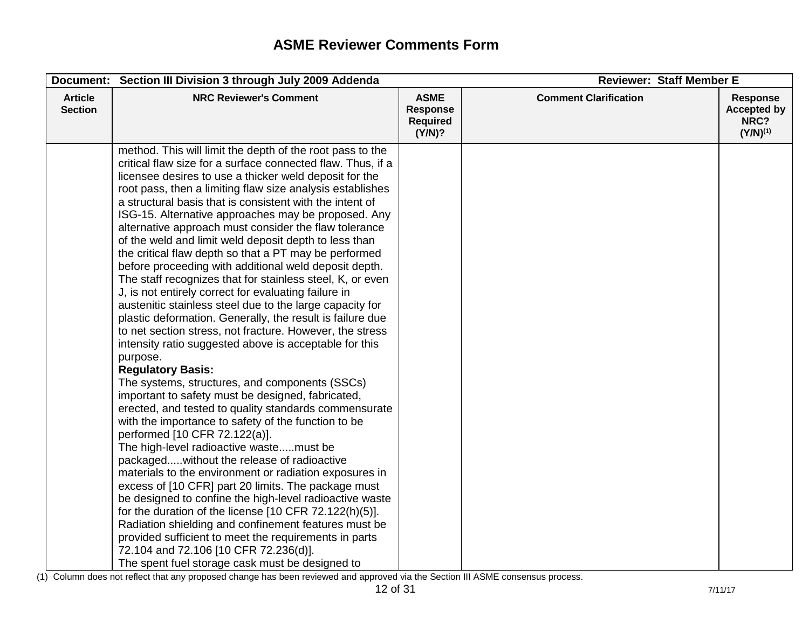|                                  | Document: Section III Division 3 through July 2009 Addenda                                                                                                                                                                                                                                                                                                                                                                                                                                                                                                                                                                                                                                                                                                                                                                                                                                                                                                                                                                                                                                                                                                                                                                                                                                                                                                                                                                                                                                                                                                                                                                                                                                                                                                                                                             | <b>Reviewer: Staff Member E</b>                             |                              |                                                                |
|----------------------------------|------------------------------------------------------------------------------------------------------------------------------------------------------------------------------------------------------------------------------------------------------------------------------------------------------------------------------------------------------------------------------------------------------------------------------------------------------------------------------------------------------------------------------------------------------------------------------------------------------------------------------------------------------------------------------------------------------------------------------------------------------------------------------------------------------------------------------------------------------------------------------------------------------------------------------------------------------------------------------------------------------------------------------------------------------------------------------------------------------------------------------------------------------------------------------------------------------------------------------------------------------------------------------------------------------------------------------------------------------------------------------------------------------------------------------------------------------------------------------------------------------------------------------------------------------------------------------------------------------------------------------------------------------------------------------------------------------------------------------------------------------------------------------------------------------------------------|-------------------------------------------------------------|------------------------------|----------------------------------------------------------------|
| <b>Article</b><br><b>Section</b> | <b>NRC Reviewer's Comment</b>                                                                                                                                                                                                                                                                                                                                                                                                                                                                                                                                                                                                                                                                                                                                                                                                                                                                                                                                                                                                                                                                                                                                                                                                                                                                                                                                                                                                                                                                                                                                                                                                                                                                                                                                                                                          | <b>ASME</b><br><b>Response</b><br><b>Required</b><br>(Y/N)? | <b>Comment Clarification</b> | <b>Response</b><br><b>Accepted by</b><br>NRC?<br>$(Y/N)^{(1)}$ |
|                                  | method. This will limit the depth of the root pass to the<br>critical flaw size for a surface connected flaw. Thus, if a<br>licensee desires to use a thicker weld deposit for the<br>root pass, then a limiting flaw size analysis establishes<br>a structural basis that is consistent with the intent of<br>ISG-15. Alternative approaches may be proposed. Any<br>alternative approach must consider the flaw tolerance<br>of the weld and limit weld deposit depth to less than<br>the critical flaw depth so that a PT may be performed<br>before proceeding with additional weld deposit depth.<br>The staff recognizes that for stainless steel, K, or even<br>J, is not entirely correct for evaluating failure in<br>austenitic stainless steel due to the large capacity for<br>plastic deformation. Generally, the result is failure due<br>to net section stress, not fracture. However, the stress<br>intensity ratio suggested above is acceptable for this<br>purpose.<br><b>Regulatory Basis:</b><br>The systems, structures, and components (SSCs)<br>important to safety must be designed, fabricated,<br>erected, and tested to quality standards commensurate<br>with the importance to safety of the function to be<br>performed [10 CFR 72.122(a)].<br>The high-level radioactive wastemust be<br>packagedwithout the release of radioactive<br>materials to the environment or radiation exposures in<br>excess of [10 CFR] part 20 limits. The package must<br>be designed to confine the high-level radioactive waste<br>for the duration of the license [10 CFR 72.122(h)(5)].<br>Radiation shielding and confinement features must be<br>provided sufficient to meet the requirements in parts<br>72.104 and 72.106 [10 CFR 72.236(d)].<br>The spent fuel storage cask must be designed to |                                                             |                              |                                                                |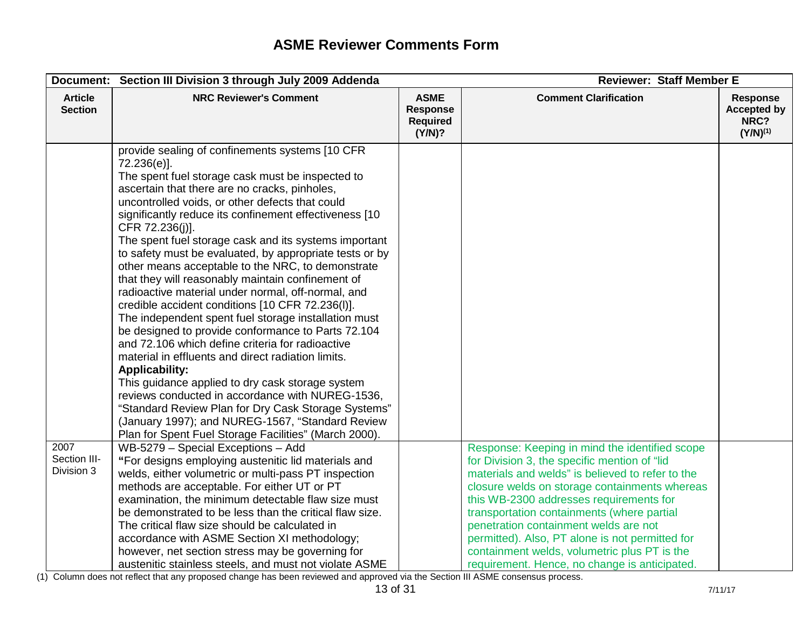|                                    | Document: Section III Division 3 through July 2009 Addenda                                                                                                                                                                                                                                                                                                                                                                                                                                                                                                                                                                                                                                                                                                                                                                                                                                                                                                                                                                                                                                                                                                               | <b>Reviewer: Staff Member E</b>                             |                                                                                                                                                                                                                                                                                                                                                                                                                                                                                           |                                                                |
|------------------------------------|--------------------------------------------------------------------------------------------------------------------------------------------------------------------------------------------------------------------------------------------------------------------------------------------------------------------------------------------------------------------------------------------------------------------------------------------------------------------------------------------------------------------------------------------------------------------------------------------------------------------------------------------------------------------------------------------------------------------------------------------------------------------------------------------------------------------------------------------------------------------------------------------------------------------------------------------------------------------------------------------------------------------------------------------------------------------------------------------------------------------------------------------------------------------------|-------------------------------------------------------------|-------------------------------------------------------------------------------------------------------------------------------------------------------------------------------------------------------------------------------------------------------------------------------------------------------------------------------------------------------------------------------------------------------------------------------------------------------------------------------------------|----------------------------------------------------------------|
| <b>Article</b><br><b>Section</b>   | <b>NRC Reviewer's Comment</b>                                                                                                                                                                                                                                                                                                                                                                                                                                                                                                                                                                                                                                                                                                                                                                                                                                                                                                                                                                                                                                                                                                                                            | <b>ASME</b><br><b>Response</b><br><b>Required</b><br>(Y/N)? | <b>Comment Clarification</b>                                                                                                                                                                                                                                                                                                                                                                                                                                                              | <b>Response</b><br><b>Accepted by</b><br>NRC?<br>$(Y/N)^{(1)}$ |
|                                    | provide sealing of confinements systems [10 CFR<br>72.236(e)].<br>The spent fuel storage cask must be inspected to<br>ascertain that there are no cracks, pinholes,<br>uncontrolled voids, or other defects that could<br>significantly reduce its confinement effectiveness [10<br>CFR 72.236(j)].<br>The spent fuel storage cask and its systems important<br>to safety must be evaluated, by appropriate tests or by<br>other means acceptable to the NRC, to demonstrate<br>that they will reasonably maintain confinement of<br>radioactive material under normal, off-normal, and<br>credible accident conditions [10 CFR 72.236(I)].<br>The independent spent fuel storage installation must<br>be designed to provide conformance to Parts 72.104<br>and 72.106 which define criteria for radioactive<br>material in effluents and direct radiation limits.<br><b>Applicability:</b><br>This quidance applied to dry cask storage system<br>reviews conducted in accordance with NUREG-1536,<br>"Standard Review Plan for Dry Cask Storage Systems"<br>(January 1997); and NUREG-1567, "Standard Review<br>Plan for Spent Fuel Storage Facilities" (March 2000). |                                                             |                                                                                                                                                                                                                                                                                                                                                                                                                                                                                           |                                                                |
| 2007<br>Section III-<br>Division 3 | WB-5279 - Special Exceptions - Add<br>"For designs employing austenitic lid materials and<br>welds, either volumetric or multi-pass PT inspection<br>methods are acceptable. For either UT or PT<br>examination, the minimum detectable flaw size must<br>be demonstrated to be less than the critical flaw size.<br>The critical flaw size should be calculated in<br>accordance with ASME Section XI methodology;<br>however, net section stress may be governing for<br>austenitic stainless steels, and must not violate ASME                                                                                                                                                                                                                                                                                                                                                                                                                                                                                                                                                                                                                                        |                                                             | Response: Keeping in mind the identified scope<br>for Division 3, the specific mention of "lid<br>materials and welds" is believed to refer to the<br>closure welds on storage containments whereas<br>this WB-2300 addresses requirements for<br>transportation containments (where partial<br>penetration containment welds are not<br>permitted). Also, PT alone is not permitted for<br>containment welds, volumetric plus PT is the<br>requirement. Hence, no change is anticipated. |                                                                |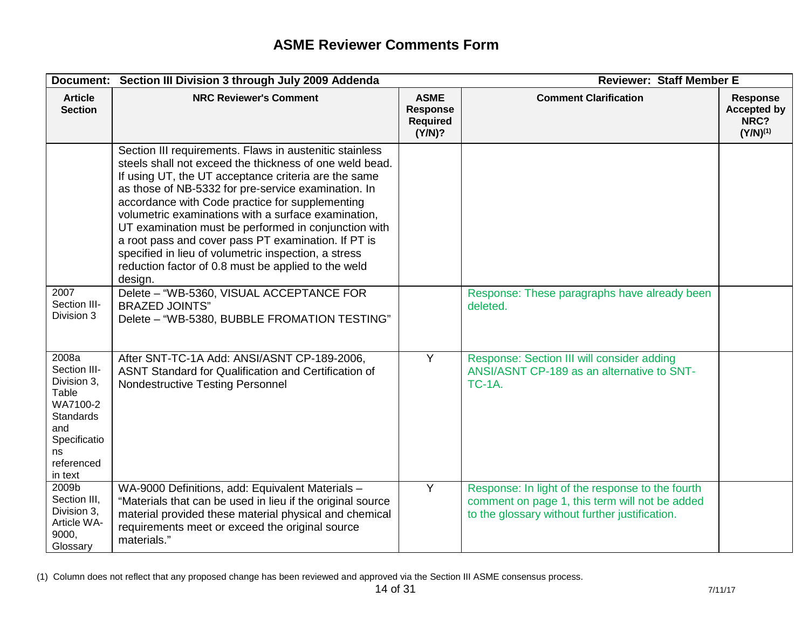| Document:                                                                                                                    | Section III Division 3 through July 2009 Addenda                                                                                                                                                                                                                                                                                                                                                                                                                                                                                                                                     | <b>Reviewer: Staff Member E</b>                      |                                                                                                                                                      |                                                                |
|------------------------------------------------------------------------------------------------------------------------------|--------------------------------------------------------------------------------------------------------------------------------------------------------------------------------------------------------------------------------------------------------------------------------------------------------------------------------------------------------------------------------------------------------------------------------------------------------------------------------------------------------------------------------------------------------------------------------------|------------------------------------------------------|------------------------------------------------------------------------------------------------------------------------------------------------------|----------------------------------------------------------------|
| <b>Article</b><br><b>Section</b>                                                                                             | <b>NRC Reviewer's Comment</b>                                                                                                                                                                                                                                                                                                                                                                                                                                                                                                                                                        | <b>ASME</b><br>Response<br><b>Required</b><br>(Y/N)? | <b>Comment Clarification</b>                                                                                                                         | <b>Response</b><br><b>Accepted by</b><br>NRC?<br>$(Y/N)^{(1)}$ |
|                                                                                                                              | Section III requirements. Flaws in austenitic stainless<br>steels shall not exceed the thickness of one weld bead.<br>If using UT, the UT acceptance criteria are the same<br>as those of NB-5332 for pre-service examination. In<br>accordance with Code practice for supplementing<br>volumetric examinations with a surface examination,<br>UT examination must be performed in conjunction with<br>a root pass and cover pass PT examination. If PT is<br>specified in lieu of volumetric inspection, a stress<br>reduction factor of 0.8 must be applied to the weld<br>design. |                                                      |                                                                                                                                                      |                                                                |
| 2007<br>Section III-<br>Division 3                                                                                           | Delete - "WB-5360, VISUAL ACCEPTANCE FOR<br><b>BRAZED JOINTS"</b><br>Delete - "WB-5380, BUBBLE FROMATION TESTING"                                                                                                                                                                                                                                                                                                                                                                                                                                                                    |                                                      | Response: These paragraphs have already been<br>deleted.                                                                                             |                                                                |
| 2008a<br>Section III-<br>Division 3,<br>Table<br>WA7100-2<br>Standards<br>and<br>Specificatio<br>ns<br>referenced<br>in text | After SNT-TC-1A Add: ANSI/ASNT CP-189-2006,<br>ASNT Standard for Qualification and Certification of<br><b>Nondestructive Testing Personnel</b>                                                                                                                                                                                                                                                                                                                                                                                                                                       | Y                                                    | Response: Section III will consider adding<br>ANSI/ASNT CP-189 as an alternative to SNT-<br><b>TC-1A.</b>                                            |                                                                |
| 2009b<br>Section III,<br>Division 3.<br>Article WA-<br>9000,<br>Glossary                                                     | WA-9000 Definitions, add: Equivalent Materials -<br>"Materials that can be used in lieu if the original source<br>material provided these material physical and chemical<br>requirements meet or exceed the original source<br>materials."                                                                                                                                                                                                                                                                                                                                           | $\overline{Y}$                                       | Response: In light of the response to the fourth<br>comment on page 1, this term will not be added<br>to the glossary without further justification. |                                                                |

<sup>(1)</sup> Column does not reflect that any proposed change has been reviewed and approved via the Section III ASME consensus process.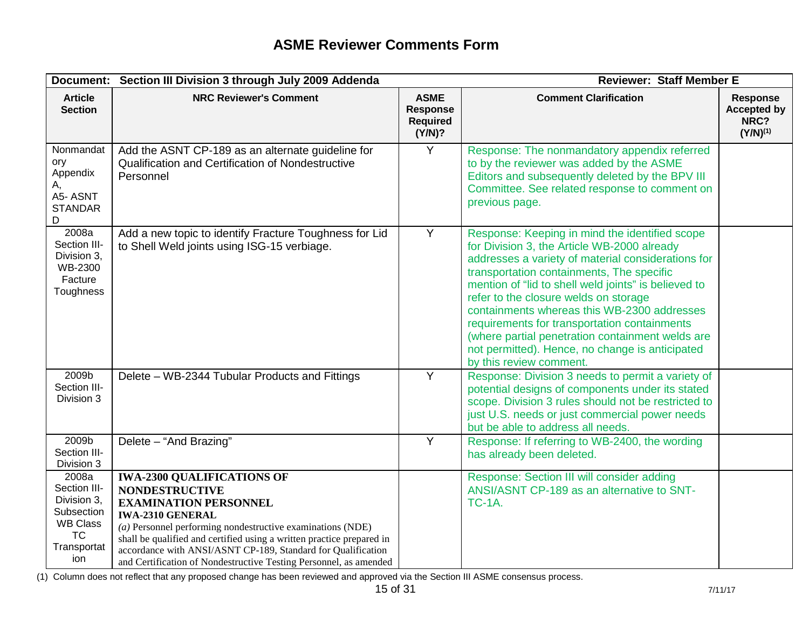|                                                                                                          | Document: Section III Division 3 through July 2009 Addenda                                                                                                                                                                                                                                                                                                                                          |                                                             | <b>Reviewer: Staff Member E</b>                                                                                                                                                                                                                                                                                                                                                                                                                                                                                                    |                                                                |
|----------------------------------------------------------------------------------------------------------|-----------------------------------------------------------------------------------------------------------------------------------------------------------------------------------------------------------------------------------------------------------------------------------------------------------------------------------------------------------------------------------------------------|-------------------------------------------------------------|------------------------------------------------------------------------------------------------------------------------------------------------------------------------------------------------------------------------------------------------------------------------------------------------------------------------------------------------------------------------------------------------------------------------------------------------------------------------------------------------------------------------------------|----------------------------------------------------------------|
| <b>Article</b><br><b>Section</b>                                                                         | <b>NRC Reviewer's Comment</b>                                                                                                                                                                                                                                                                                                                                                                       | <b>ASME</b><br><b>Response</b><br><b>Required</b><br>(Y/N)? | <b>Comment Clarification</b>                                                                                                                                                                                                                                                                                                                                                                                                                                                                                                       | <b>Response</b><br><b>Accepted by</b><br>NRC?<br>$(Y/N)^{(1)}$ |
| Nonmandat<br>ory<br>Appendix<br>Α,<br>A5-ASNT<br><b>STANDAR</b><br>D                                     | Add the ASNT CP-189 as an alternate guideline for<br>Qualification and Certification of Nondestructive<br>Personnel                                                                                                                                                                                                                                                                                 | $\overline{Y}$                                              | Response: The nonmandatory appendix referred<br>to by the reviewer was added by the ASME<br>Editors and subsequently deleted by the BPV III<br>Committee. See related response to comment on<br>previous page.                                                                                                                                                                                                                                                                                                                     |                                                                |
| 2008a<br>Section III-<br>Division 3,<br>WB-2300<br>Facture<br>Toughness                                  | Add a new topic to identify Fracture Toughness for Lid<br>to Shell Weld joints using ISG-15 verbiage.                                                                                                                                                                                                                                                                                               | Y                                                           | Response: Keeping in mind the identified scope<br>for Division 3, the Article WB-2000 already<br>addresses a variety of material considerations for<br>transportation containments, The specific<br>mention of "lid to shell weld joints" is believed to<br>refer to the closure welds on storage<br>containments whereas this WB-2300 addresses<br>requirements for transportation containments<br>(where partial penetration containment welds are<br>not permitted). Hence, no change is anticipated<br>by this review comment. |                                                                |
| 2009b<br>Section III-<br>Division 3                                                                      | Delete - WB-2344 Tubular Products and Fittings                                                                                                                                                                                                                                                                                                                                                      | Y                                                           | Response: Division 3 needs to permit a variety of<br>potential designs of components under its stated<br>scope. Division 3 rules should not be restricted to<br>just U.S. needs or just commercial power needs<br>but be able to address all needs.                                                                                                                                                                                                                                                                                |                                                                |
| 2009b<br>Section III-<br>Division 3                                                                      | Delete - "And Brazing"                                                                                                                                                                                                                                                                                                                                                                              | Y                                                           | Response: If referring to WB-2400, the wording<br>has already been deleted.                                                                                                                                                                                                                                                                                                                                                                                                                                                        |                                                                |
| 2008a<br>Section III-<br>Division 3,<br>Subsection<br><b>WB Class</b><br><b>TC</b><br>Transportat<br>ion | <b>IWA-2300 QUALIFICATIONS OF</b><br><b>NONDESTRUCTIVE</b><br><b>EXAMINATION PERSONNEL</b><br><b>IWA-2310 GENERAL</b><br>$(a)$ Personnel performing nondestructive examinations (NDE)<br>shall be qualified and certified using a written practice prepared in<br>accordance with ANSI/ASNT CP-189, Standard for Qualification<br>and Certification of Nondestructive Testing Personnel, as amended |                                                             | Response: Section III will consider adding<br>ANSI/ASNT CP-189 as an alternative to SNT-<br><b>TC-1A.</b>                                                                                                                                                                                                                                                                                                                                                                                                                          |                                                                |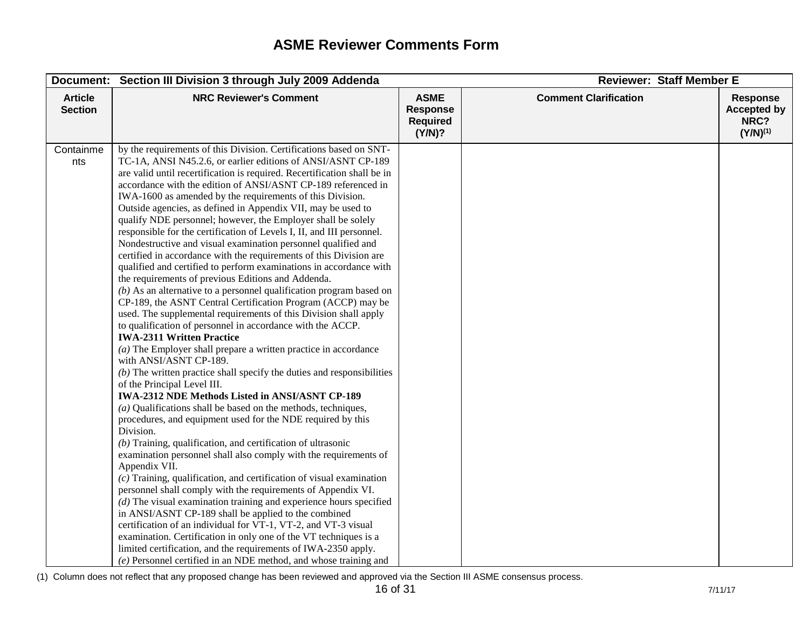| Document:                        | Section III Division 3 through July 2009 Addenda                                                                                                                                                                                                                                                                                                                                                                                                                                                                                                                                                                                                                                                                                                                                                                                                                                                                                                                                                                                                                                                                                                                                                                                                                                                                                                                                                                                                                                                                                                                                                                                                                                                                                                                                                                                                                                                                                                                                                                                                                                                                                                                                                                                                                 |                                                             | <b>Reviewer: Staff Member E</b> |                                                                |  |
|----------------------------------|------------------------------------------------------------------------------------------------------------------------------------------------------------------------------------------------------------------------------------------------------------------------------------------------------------------------------------------------------------------------------------------------------------------------------------------------------------------------------------------------------------------------------------------------------------------------------------------------------------------------------------------------------------------------------------------------------------------------------------------------------------------------------------------------------------------------------------------------------------------------------------------------------------------------------------------------------------------------------------------------------------------------------------------------------------------------------------------------------------------------------------------------------------------------------------------------------------------------------------------------------------------------------------------------------------------------------------------------------------------------------------------------------------------------------------------------------------------------------------------------------------------------------------------------------------------------------------------------------------------------------------------------------------------------------------------------------------------------------------------------------------------------------------------------------------------------------------------------------------------------------------------------------------------------------------------------------------------------------------------------------------------------------------------------------------------------------------------------------------------------------------------------------------------------------------------------------------------------------------------------------------------|-------------------------------------------------------------|---------------------------------|----------------------------------------------------------------|--|
| <b>Article</b><br><b>Section</b> | <b>NRC Reviewer's Comment</b>                                                                                                                                                                                                                                                                                                                                                                                                                                                                                                                                                                                                                                                                                                                                                                                                                                                                                                                                                                                                                                                                                                                                                                                                                                                                                                                                                                                                                                                                                                                                                                                                                                                                                                                                                                                                                                                                                                                                                                                                                                                                                                                                                                                                                                    | <b>ASME</b><br><b>Response</b><br><b>Required</b><br>(Y/N)? | <b>Comment Clarification</b>    | <b>Response</b><br><b>Accepted by</b><br>NRC?<br>$(Y/N)^{(1)}$ |  |
| Containme<br>nts                 | by the requirements of this Division. Certifications based on SNT-<br>TC-1A, ANSI N45.2.6, or earlier editions of ANSI/ASNT CP-189<br>are valid until recertification is required. Recertification shall be in<br>accordance with the edition of ANSI/ASNT CP-189 referenced in<br>IWA-1600 as amended by the requirements of this Division.<br>Outside agencies, as defined in Appendix VII, may be used to<br>qualify NDE personnel; however, the Employer shall be solely<br>responsible for the certification of Levels I, II, and III personnel.<br>Nondestructive and visual examination personnel qualified and<br>certified in accordance with the requirements of this Division are<br>qualified and certified to perform examinations in accordance with<br>the requirements of previous Editions and Addenda.<br>$(b)$ As an alternative to a personnel qualification program based on<br>CP-189, the ASNT Central Certification Program (ACCP) may be<br>used. The supplemental requirements of this Division shall apply<br>to qualification of personnel in accordance with the ACCP.<br><b>IWA-2311 Written Practice</b><br>$(a)$ The Employer shall prepare a written practice in accordance<br>with ANSI/ASNT CP-189.<br>$(b)$ The written practice shall specify the duties and responsibilities<br>of the Principal Level III.<br>IWA-2312 NDE Methods Listed in ANSI/ASNT CP-189<br>$(a)$ Qualifications shall be based on the methods, techniques,<br>procedures, and equipment used for the NDE required by this<br>Division.<br>$(b)$ Training, qualification, and certification of ultrasonic<br>examination personnel shall also comply with the requirements of<br>Appendix VII.<br>$(c)$ Training, qualification, and certification of visual examination<br>personnel shall comply with the requirements of Appendix VI.<br>$(d)$ The visual examination training and experience hours specified<br>in ANSI/ASNT CP-189 shall be applied to the combined<br>certification of an individual for VT-1, VT-2, and VT-3 visual<br>examination. Certification in only one of the VT techniques is a<br>limited certification, and the requirements of IWA-2350 apply.<br>(e) Personnel certified in an NDE method, and whose training and |                                                             |                                 |                                                                |  |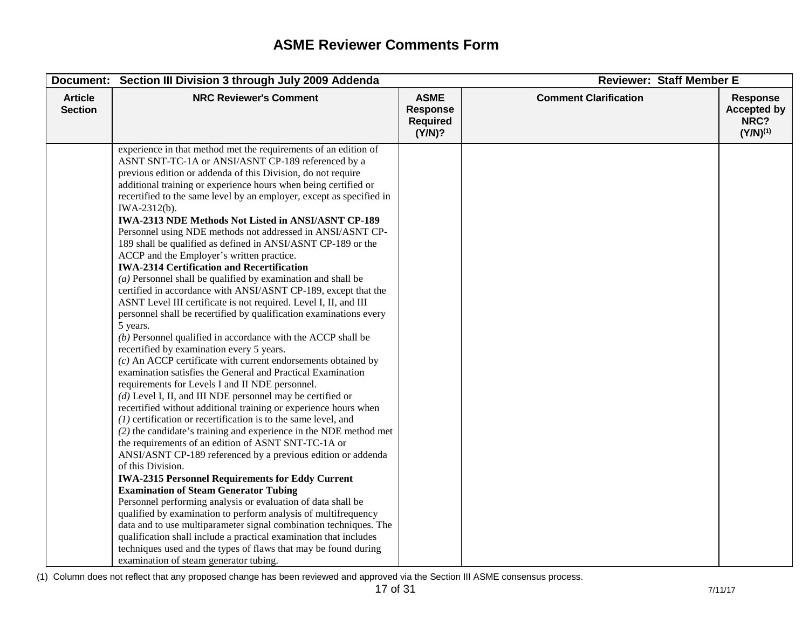|                                  | Document: Section III Division 3 through July 2009 Addenda                                                                                                                                                                                                                                                                                                                                                                                                                                                                                                                                                                                                                                                                                                                                                                                                                                                                                                                                                                                                                                                                                                                                                                                                                                                                                                                                                                                                                                                                                                                                                                                                                                                                                                                                                                                                                                                                                                                                                                                                                                                                                                                  |                                                             | <b>Reviewer: Staff Member E</b> |                                                                |  |
|----------------------------------|-----------------------------------------------------------------------------------------------------------------------------------------------------------------------------------------------------------------------------------------------------------------------------------------------------------------------------------------------------------------------------------------------------------------------------------------------------------------------------------------------------------------------------------------------------------------------------------------------------------------------------------------------------------------------------------------------------------------------------------------------------------------------------------------------------------------------------------------------------------------------------------------------------------------------------------------------------------------------------------------------------------------------------------------------------------------------------------------------------------------------------------------------------------------------------------------------------------------------------------------------------------------------------------------------------------------------------------------------------------------------------------------------------------------------------------------------------------------------------------------------------------------------------------------------------------------------------------------------------------------------------------------------------------------------------------------------------------------------------------------------------------------------------------------------------------------------------------------------------------------------------------------------------------------------------------------------------------------------------------------------------------------------------------------------------------------------------------------------------------------------------------------------------------------------------|-------------------------------------------------------------|---------------------------------|----------------------------------------------------------------|--|
| <b>Article</b><br><b>Section</b> | <b>NRC Reviewer's Comment</b>                                                                                                                                                                                                                                                                                                                                                                                                                                                                                                                                                                                                                                                                                                                                                                                                                                                                                                                                                                                                                                                                                                                                                                                                                                                                                                                                                                                                                                                                                                                                                                                                                                                                                                                                                                                                                                                                                                                                                                                                                                                                                                                                               | <b>ASME</b><br><b>Response</b><br><b>Required</b><br>(Y/N)? | <b>Comment Clarification</b>    | <b>Response</b><br><b>Accepted by</b><br>NRC?<br>$(Y/N)^{(1)}$ |  |
|                                  | experience in that method met the requirements of an edition of<br>ASNT SNT-TC-1A or ANSI/ASNT CP-189 referenced by a<br>previous edition or addenda of this Division, do not require<br>additional training or experience hours when being certified or<br>recertified to the same level by an employer, except as specified in<br>IWA-2312(b).<br><b>IWA-2313 NDE Methods Not Listed in ANSI/ASNT CP-189</b><br>Personnel using NDE methods not addressed in ANSI/ASNT CP-<br>189 shall be qualified as defined in ANSI/ASNT CP-189 or the<br>ACCP and the Employer's written practice.<br><b>IWA-2314 Certification and Recertification</b><br>$(a)$ Personnel shall be qualified by examination and shall be<br>certified in accordance with ANSI/ASNT CP-189, except that the<br>ASNT Level III certificate is not required. Level I, II, and III<br>personnel shall be recertified by qualification examinations every<br>5 years.<br>$(b)$ Personnel qualified in accordance with the ACCP shall be<br>recertified by examination every 5 years.<br>$(c)$ An ACCP certificate with current endorsements obtained by<br>examination satisfies the General and Practical Examination<br>requirements for Levels I and II NDE personnel.<br>$(d)$ Level I, II, and III NDE personnel may be certified or<br>recertified without additional training or experience hours when<br>$(1)$ certification or recertification is to the same level, and<br>$(2)$ the candidate's training and experience in the NDE method met<br>the requirements of an edition of ASNT SNT-TC-1A or<br>ANSI/ASNT CP-189 referenced by a previous edition or addenda<br>of this Division.<br><b>IWA-2315 Personnel Requirements for Eddy Current</b><br><b>Examination of Steam Generator Tubing</b><br>Personnel performing analysis or evaluation of data shall be<br>qualified by examination to perform analysis of multifrequency<br>data and to use multiparameter signal combination techniques. The<br>qualification shall include a practical examination that includes<br>techniques used and the types of flaws that may be found during<br>examination of steam generator tubing. |                                                             |                                 |                                                                |  |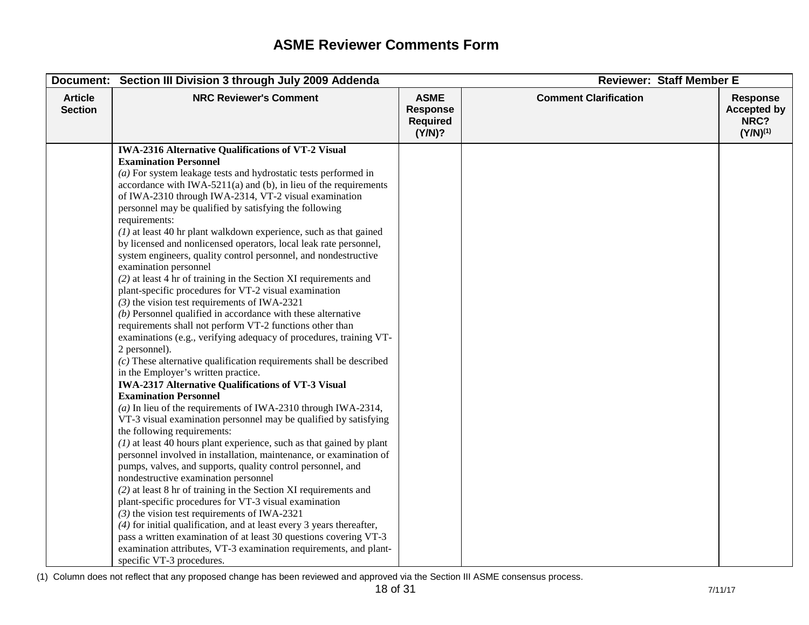| Document:                        | Section III Division 3 through July 2009 Addenda                                                                                                                                    | <b>Reviewer: Staff Member E</b>                             |                              |                                                                |
|----------------------------------|-------------------------------------------------------------------------------------------------------------------------------------------------------------------------------------|-------------------------------------------------------------|------------------------------|----------------------------------------------------------------|
| <b>Article</b><br><b>Section</b> | <b>NRC Reviewer's Comment</b>                                                                                                                                                       | <b>ASME</b><br><b>Response</b><br><b>Required</b><br>(Y/N)? | <b>Comment Clarification</b> | <b>Response</b><br><b>Accepted by</b><br>NRC?<br>$(Y/N)^{(1)}$ |
|                                  | <b>IWA-2316 Alternative Qualifications of VT-2 Visual</b><br><b>Examination Personnel</b><br>$(a)$ For system leakage tests and hydrostatic tests performed in                      |                                                             |                              |                                                                |
|                                  | accordance with IWA-5211(a) and (b), in lieu of the requirements<br>of IWA-2310 through IWA-2314, VT-2 visual examination<br>personnel may be qualified by satisfying the following |                                                             |                              |                                                                |
|                                  | requirements:<br>$(1)$ at least 40 hr plant walkdown experience, such as that gained<br>by licensed and nonlicensed operators, local leak rate personnel,                           |                                                             |                              |                                                                |
|                                  | system engineers, quality control personnel, and nondestructive<br>examination personnel                                                                                            |                                                             |                              |                                                                |
|                                  | $(2)$ at least 4 hr of training in the Section XI requirements and<br>plant-specific procedures for VT-2 visual examination<br>$(3)$ the vision test requirements of IWA-2321       |                                                             |                              |                                                                |
|                                  | $(b)$ Personnel qualified in accordance with these alternative<br>requirements shall not perform VT-2 functions other than                                                          |                                                             |                              |                                                                |
|                                  | examinations (e.g., verifying adequacy of procedures, training VT-<br>2 personnel).                                                                                                 |                                                             |                              |                                                                |
|                                  | $(c)$ These alternative qualification requirements shall be described<br>in the Employer's written practice.                                                                        |                                                             |                              |                                                                |
|                                  | <b>IWA-2317 Alternative Qualifications of VT-3 Visual</b><br><b>Examination Personnel</b>                                                                                           |                                                             |                              |                                                                |
|                                  | (a) In lieu of the requirements of IWA-2310 through IWA-2314,<br>VT-3 visual examination personnel may be qualified by satisfying                                                   |                                                             |                              |                                                                |
|                                  | the following requirements:<br>$(1)$ at least 40 hours plant experience, such as that gained by plant                                                                               |                                                             |                              |                                                                |
|                                  | personnel involved in installation, maintenance, or examination of<br>pumps, valves, and supports, quality control personnel, and<br>nondestructive examination personnel           |                                                             |                              |                                                                |
|                                  | $(2)$ at least 8 hr of training in the Section XI requirements and<br>plant-specific procedures for VT-3 visual examination                                                         |                                                             |                              |                                                                |
|                                  | $(3)$ the vision test requirements of IWA-2321<br>$(4)$ for initial qualification, and at least every 3 years thereafter,                                                           |                                                             |                              |                                                                |
|                                  | pass a written examination of at least 30 questions covering VT-3<br>examination attributes, VT-3 examination requirements, and plant-<br>specific VT-3 procedures.                 |                                                             |                              |                                                                |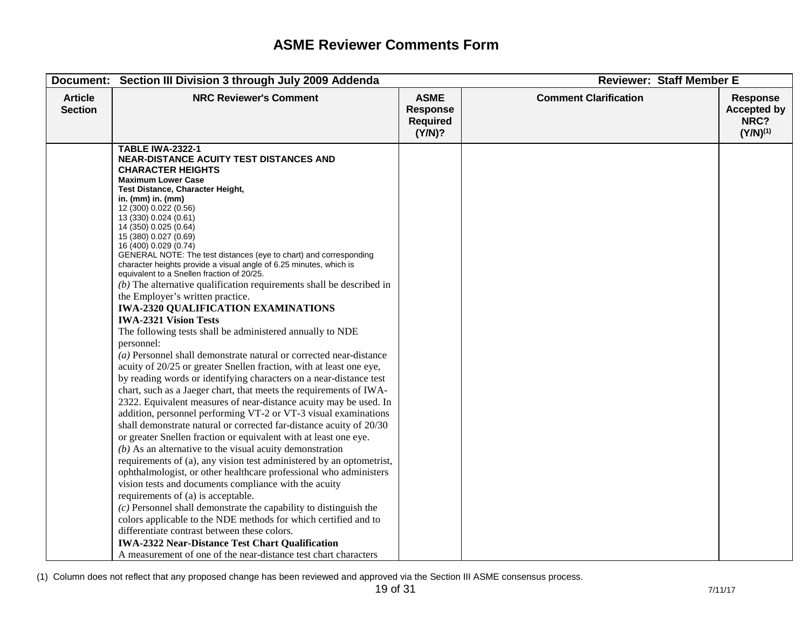|                                  | Document: Section III Division 3 through July 2009 Addenda                                                                                                                                                                                                                                                                                                                                                                                                                                                                                                                                                                                                                                                                                                                                                                                                                                                                                                                                                                                                                                                                                                                                                                                                                                                                                                                                                                                                                                                                                                                                                                                                                                                                                                                                                                                                                                                                                                                                              |                                                             | <b>Reviewer: Staff Member E</b> |                                                                |
|----------------------------------|---------------------------------------------------------------------------------------------------------------------------------------------------------------------------------------------------------------------------------------------------------------------------------------------------------------------------------------------------------------------------------------------------------------------------------------------------------------------------------------------------------------------------------------------------------------------------------------------------------------------------------------------------------------------------------------------------------------------------------------------------------------------------------------------------------------------------------------------------------------------------------------------------------------------------------------------------------------------------------------------------------------------------------------------------------------------------------------------------------------------------------------------------------------------------------------------------------------------------------------------------------------------------------------------------------------------------------------------------------------------------------------------------------------------------------------------------------------------------------------------------------------------------------------------------------------------------------------------------------------------------------------------------------------------------------------------------------------------------------------------------------------------------------------------------------------------------------------------------------------------------------------------------------------------------------------------------------------------------------------------------------|-------------------------------------------------------------|---------------------------------|----------------------------------------------------------------|
| <b>Article</b><br><b>Section</b> | <b>NRC Reviewer's Comment</b>                                                                                                                                                                                                                                                                                                                                                                                                                                                                                                                                                                                                                                                                                                                                                                                                                                                                                                                                                                                                                                                                                                                                                                                                                                                                                                                                                                                                                                                                                                                                                                                                                                                                                                                                                                                                                                                                                                                                                                           | <b>ASME</b><br><b>Response</b><br><b>Required</b><br>(Y/N)? | <b>Comment Clarification</b>    | <b>Response</b><br><b>Accepted by</b><br>NRC?<br>$(Y/N)^{(1)}$ |
|                                  | <b>TABLE IWA-2322-1</b><br><b>NEAR-DISTANCE ACUITY TEST DISTANCES AND</b><br><b>CHARACTER HEIGHTS</b><br><b>Maximum Lower Case</b><br>Test Distance, Character Height,<br>in. (mm) in. (mm)<br>12 (300) 0.022 (0.56)<br>13 (330) 0.024 (0.61)<br>14 (350) 0.025 (0.64)<br>15 (380) 0.027 (0.69)<br>16 (400) 0.029 (0.74)<br>GENERAL NOTE: The test distances (eye to chart) and corresponding<br>character heights provide a visual angle of 6.25 minutes, which is<br>equivalent to a Snellen fraction of 20/25.<br>$(b)$ The alternative qualification requirements shall be described in<br>the Employer's written practice.<br><b>IWA-2320 QUALIFICATION EXAMINATIONS</b><br><b>IWA-2321 Vision Tests</b><br>The following tests shall be administered annually to NDE<br>personnel:<br>$(a)$ Personnel shall demonstrate natural or corrected near-distance<br>acuity of 20/25 or greater Snellen fraction, with at least one eye,<br>by reading words or identifying characters on a near-distance test<br>chart, such as a Jaeger chart, that meets the requirements of IWA-<br>2322. Equivalent measures of near-distance acuity may be used. In<br>addition, personnel performing VT-2 or VT-3 visual examinations<br>shall demonstrate natural or corrected far-distance acuity of 20/30<br>or greater Snellen fraction or equivalent with at least one eye.<br>$(b)$ As an alternative to the visual acuity demonstration<br>requirements of (a), any vision test administered by an optometrist,<br>ophthalmologist, or other healthcare professional who administers<br>vision tests and documents compliance with the acuity<br>requirements of (a) is acceptable.<br>$(c)$ Personnel shall demonstrate the capability to distinguish the<br>colors applicable to the NDE methods for which certified and to<br>differentiate contrast between these colors.<br><b>IWA-2322 Near-Distance Test Chart Qualification</b><br>A measurement of one of the near-distance test chart characters |                                                             |                                 |                                                                |

<sup>(1)</sup> Column does not reflect that any proposed change has been reviewed and approved via the Section III ASME consensus process.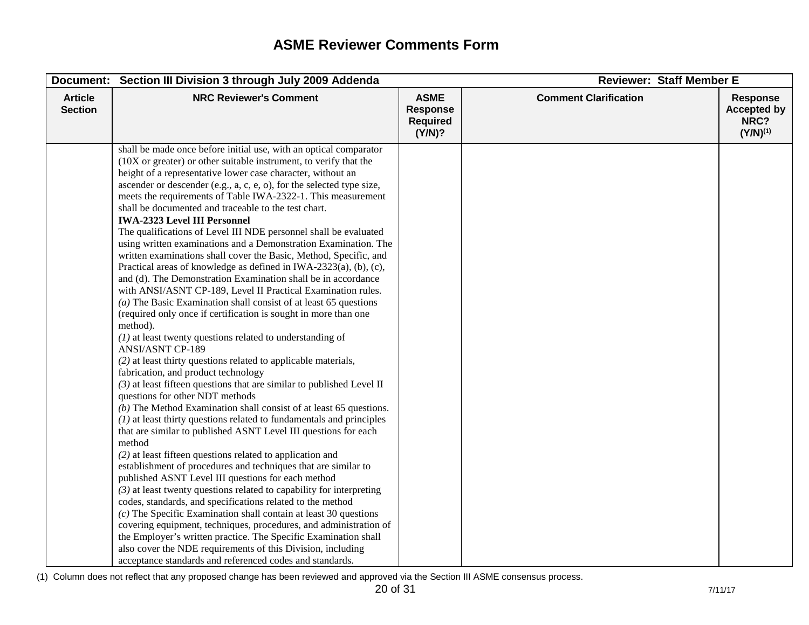| Document:                        | Section III Division 3 through July 2009 Addenda                                                                                                                                                                                                                                                                                                                                                                                                                                                                                                                                                                                                                                                                                                                                                                                                                                                                                                                                                                                                                                                                                                                                                                                                                                                                                                                                                                                                                                                                                                                                                                                                                                                                                                                                                                                                                                                                                                                                                                                                                                                                                                                                                                                               |                                                             | <b>Reviewer: Staff Member E</b> |                                                                |
|----------------------------------|------------------------------------------------------------------------------------------------------------------------------------------------------------------------------------------------------------------------------------------------------------------------------------------------------------------------------------------------------------------------------------------------------------------------------------------------------------------------------------------------------------------------------------------------------------------------------------------------------------------------------------------------------------------------------------------------------------------------------------------------------------------------------------------------------------------------------------------------------------------------------------------------------------------------------------------------------------------------------------------------------------------------------------------------------------------------------------------------------------------------------------------------------------------------------------------------------------------------------------------------------------------------------------------------------------------------------------------------------------------------------------------------------------------------------------------------------------------------------------------------------------------------------------------------------------------------------------------------------------------------------------------------------------------------------------------------------------------------------------------------------------------------------------------------------------------------------------------------------------------------------------------------------------------------------------------------------------------------------------------------------------------------------------------------------------------------------------------------------------------------------------------------------------------------------------------------------------------------------------------------|-------------------------------------------------------------|---------------------------------|----------------------------------------------------------------|
| <b>Article</b><br><b>Section</b> | <b>NRC Reviewer's Comment</b>                                                                                                                                                                                                                                                                                                                                                                                                                                                                                                                                                                                                                                                                                                                                                                                                                                                                                                                                                                                                                                                                                                                                                                                                                                                                                                                                                                                                                                                                                                                                                                                                                                                                                                                                                                                                                                                                                                                                                                                                                                                                                                                                                                                                                  | <b>ASME</b><br><b>Response</b><br><b>Required</b><br>(Y/N)? | <b>Comment Clarification</b>    | <b>Response</b><br><b>Accepted by</b><br>NRC?<br>$(Y/N)^{(1)}$ |
|                                  | shall be made once before initial use, with an optical comparator<br>(10X or greater) or other suitable instrument, to verify that the<br>height of a representative lower case character, without an<br>ascender or descender (e.g., a, c, e, o), for the selected type size,<br>meets the requirements of Table IWA-2322-1. This measurement<br>shall be documented and traceable to the test chart.<br><b>IWA-2323 Level III Personnel</b><br>The qualifications of Level III NDE personnel shall be evaluated<br>using written examinations and a Demonstration Examination. The<br>written examinations shall cover the Basic, Method, Specific, and<br>Practical areas of knowledge as defined in IWA-2323(a), (b), (c),<br>and (d). The Demonstration Examination shall be in accordance<br>with ANSI/ASNT CP-189, Level II Practical Examination rules.<br>( $a$ ) The Basic Examination shall consist of at least 65 questions<br>(required only once if certification is sought in more than one<br>method).<br>$(1)$ at least twenty questions related to understanding of<br><b>ANSI/ASNT CP-189</b><br>(2) at least thirty questions related to applicable materials,<br>fabrication, and product technology<br>$(3)$ at least fifteen questions that are similar to published Level II<br>questions for other NDT methods<br>$(b)$ The Method Examination shall consist of at least 65 questions.<br>$(1)$ at least thirty questions related to fundamentals and principles<br>that are similar to published ASNT Level III questions for each<br>method<br>$(2)$ at least fifteen questions related to application and<br>establishment of procedures and techniques that are similar to<br>published ASNT Level III questions for each method<br>$(3)$ at least twenty questions related to capability for interpreting<br>codes, standards, and specifications related to the method<br>$(c)$ The Specific Examination shall contain at least 30 questions<br>covering equipment, techniques, procedures, and administration of<br>the Employer's written practice. The Specific Examination shall<br>also cover the NDE requirements of this Division, including<br>acceptance standards and referenced codes and standards. |                                                             |                                 |                                                                |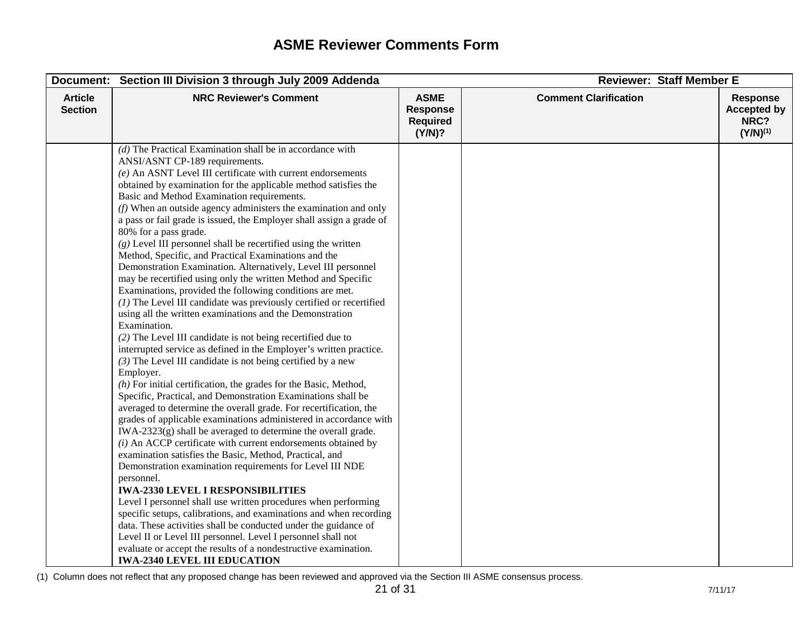| Document:                        | Section III Division 3 through July 2009 Addenda                                                                                                                                                                                                                                                                                                                                                                                                                                                                                                                                                                                                                                                                                                                                                                                                                                                                                                                                                                                                                                                                                                                                                                                                                                                                                                                                                                                                                                                                                                                                                                                                                                                                                                                                                                                                                                                                                                                                                                                                                                                                                                    |                                                             | <b>Reviewer: Staff Member E</b> |                                                                |
|----------------------------------|-----------------------------------------------------------------------------------------------------------------------------------------------------------------------------------------------------------------------------------------------------------------------------------------------------------------------------------------------------------------------------------------------------------------------------------------------------------------------------------------------------------------------------------------------------------------------------------------------------------------------------------------------------------------------------------------------------------------------------------------------------------------------------------------------------------------------------------------------------------------------------------------------------------------------------------------------------------------------------------------------------------------------------------------------------------------------------------------------------------------------------------------------------------------------------------------------------------------------------------------------------------------------------------------------------------------------------------------------------------------------------------------------------------------------------------------------------------------------------------------------------------------------------------------------------------------------------------------------------------------------------------------------------------------------------------------------------------------------------------------------------------------------------------------------------------------------------------------------------------------------------------------------------------------------------------------------------------------------------------------------------------------------------------------------------------------------------------------------------------------------------------------------------|-------------------------------------------------------------|---------------------------------|----------------------------------------------------------------|
| <b>Article</b><br><b>Section</b> | <b>NRC Reviewer's Comment</b>                                                                                                                                                                                                                                                                                                                                                                                                                                                                                                                                                                                                                                                                                                                                                                                                                                                                                                                                                                                                                                                                                                                                                                                                                                                                                                                                                                                                                                                                                                                                                                                                                                                                                                                                                                                                                                                                                                                                                                                                                                                                                                                       | <b>ASME</b><br><b>Response</b><br><b>Required</b><br>(Y/N)? | <b>Comment Clarification</b>    | <b>Response</b><br><b>Accepted by</b><br>NRC?<br>$(Y/N)^{(1)}$ |
|                                  | $(d)$ The Practical Examination shall be in accordance with<br>ANSI/ASNT CP-189 requirements.<br>$(e)$ An ASNT Level III certificate with current endorsements<br>obtained by examination for the applicable method satisfies the<br>Basic and Method Examination requirements.<br>$(f)$ When an outside agency administers the examination and only<br>a pass or fail grade is issued, the Employer shall assign a grade of<br>80% for a pass grade.<br>$(g)$ Level III personnel shall be recertified using the written<br>Method, Specific, and Practical Examinations and the<br>Demonstration Examination. Alternatively, Level III personnel<br>may be recertified using only the written Method and Specific<br>Examinations, provided the following conditions are met.<br>$(1)$ The Level III candidate was previously certified or recertified<br>using all the written examinations and the Demonstration<br>Examination.<br>(2) The Level III candidate is not being recertified due to<br>interrupted service as defined in the Employer's written practice.<br>$(3)$ The Level III candidate is not being certified by a new<br>Employer.<br>$(h)$ For initial certification, the grades for the Basic, Method,<br>Specific, Practical, and Demonstration Examinations shall be<br>averaged to determine the overall grade. For recertification, the<br>grades of applicable examinations administered in accordance with<br>$IWA-2323(g)$ shall be averaged to determine the overall grade.<br>$(i)$ An ACCP certificate with current endorsements obtained by<br>examination satisfies the Basic, Method, Practical, and<br>Demonstration examination requirements for Level III NDE<br>personnel.<br><b>IWA-2330 LEVEL I RESPONSIBILITIES</b><br>Level I personnel shall use written procedures when performing<br>specific setups, calibrations, and examinations and when recording<br>data. These activities shall be conducted under the guidance of<br>Level II or Level III personnel. Level I personnel shall not<br>evaluate or accept the results of a nondestructive examination.<br><b>IWA-2340 LEVEL III EDUCATION</b> |                                                             |                                 |                                                                |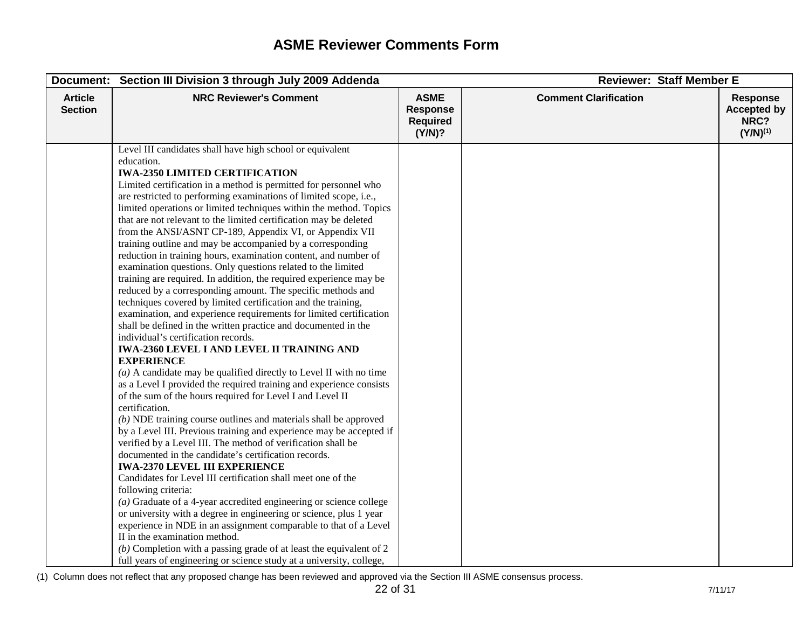|                                  | Document: Section III Division 3 through July 2009 Addenda                                                                                                                                                                                                                                                                                                                                                                                                                                                                                                                                                                                                                                                                                                                                                                                                                                                                                                                                                                                                                                                                                                                                                                                                                                                                                                                                                                                                                                                                                                                                                                                                                                                                                                                                                                                                                                                                                                                                                                                                                                                                                                              |                                                             | <b>Reviewer: Staff Member E</b> |                                                                |
|----------------------------------|-------------------------------------------------------------------------------------------------------------------------------------------------------------------------------------------------------------------------------------------------------------------------------------------------------------------------------------------------------------------------------------------------------------------------------------------------------------------------------------------------------------------------------------------------------------------------------------------------------------------------------------------------------------------------------------------------------------------------------------------------------------------------------------------------------------------------------------------------------------------------------------------------------------------------------------------------------------------------------------------------------------------------------------------------------------------------------------------------------------------------------------------------------------------------------------------------------------------------------------------------------------------------------------------------------------------------------------------------------------------------------------------------------------------------------------------------------------------------------------------------------------------------------------------------------------------------------------------------------------------------------------------------------------------------------------------------------------------------------------------------------------------------------------------------------------------------------------------------------------------------------------------------------------------------------------------------------------------------------------------------------------------------------------------------------------------------------------------------------------------------------------------------------------------------|-------------------------------------------------------------|---------------------------------|----------------------------------------------------------------|
| <b>Article</b><br><b>Section</b> | <b>NRC Reviewer's Comment</b>                                                                                                                                                                                                                                                                                                                                                                                                                                                                                                                                                                                                                                                                                                                                                                                                                                                                                                                                                                                                                                                                                                                                                                                                                                                                                                                                                                                                                                                                                                                                                                                                                                                                                                                                                                                                                                                                                                                                                                                                                                                                                                                                           | <b>ASME</b><br><b>Response</b><br><b>Required</b><br>(Y/N)? | <b>Comment Clarification</b>    | <b>Response</b><br><b>Accepted by</b><br>NRC?<br>$(Y/N)^{(1)}$ |
|                                  | Level III candidates shall have high school or equivalent<br>education.<br><b>IWA-2350 LIMITED CERTIFICATION</b><br>Limited certification in a method is permitted for personnel who<br>are restricted to performing examinations of limited scope, i.e.,<br>limited operations or limited techniques within the method. Topics<br>that are not relevant to the limited certification may be deleted<br>from the ANSI/ASNT CP-189, Appendix VI, or Appendix VII<br>training outline and may be accompanied by a corresponding<br>reduction in training hours, examination content, and number of<br>examination questions. Only questions related to the limited<br>training are required. In addition, the required experience may be<br>reduced by a corresponding amount. The specific methods and<br>techniques covered by limited certification and the training,<br>examination, and experience requirements for limited certification<br>shall be defined in the written practice and documented in the<br>individual's certification records.<br><b>IWA-2360 LEVEL I AND LEVEL II TRAINING AND</b><br><b>EXPERIENCE</b><br>$(a)$ A candidate may be qualified directly to Level II with no time<br>as a Level I provided the required training and experience consists<br>of the sum of the hours required for Level I and Level II<br>certification.<br>$(b)$ NDE training course outlines and materials shall be approved<br>by a Level III. Previous training and experience may be accepted if<br>verified by a Level III. The method of verification shall be<br>documented in the candidate's certification records.<br><b>IWA-2370 LEVEL III EXPERIENCE</b><br>Candidates for Level III certification shall meet one of the<br>following criteria:<br>$(a)$ Graduate of a 4-year accredited engineering or science college<br>or university with a degree in engineering or science, plus 1 year<br>experience in NDE in an assignment comparable to that of a Level<br>II in the examination method.<br>( $b$ ) Completion with a passing grade of at least the equivalent of 2<br>full years of engineering or science study at a university, college, |                                                             |                                 |                                                                |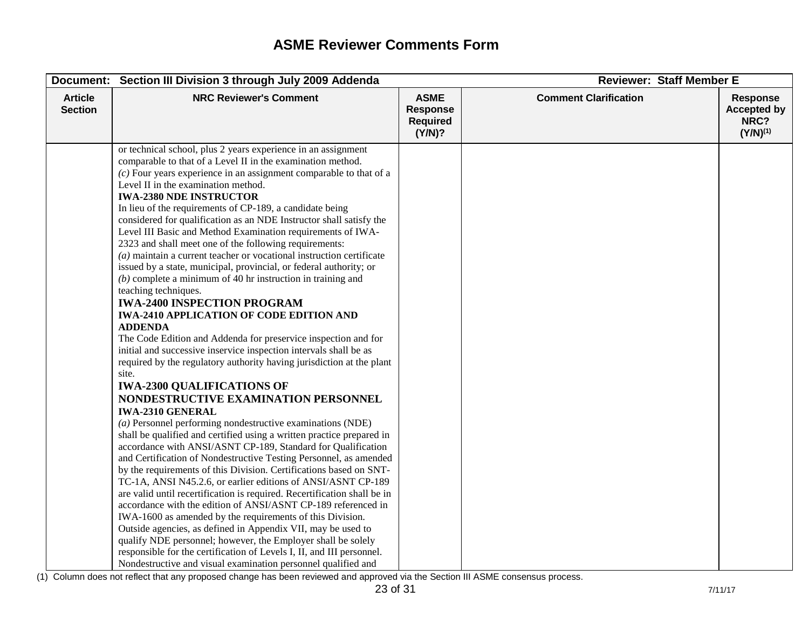|                                  | Document: Section III Division 3 through July 2009 Addenda                                                                                                                                                                                                                                                                                                                                                                                                                                                                                                                                                                                                                                                                                                                                                                                                                                                                                                                                                                                                                                                                                                                                                                                                                                                                                                                                                                                                                                                                                                                                                                                                                                                                                                                                                                                                                                                                                                                                                                                                                                                                             |                                                             | <b>Reviewer: Staff Member E</b> |                                                                |
|----------------------------------|----------------------------------------------------------------------------------------------------------------------------------------------------------------------------------------------------------------------------------------------------------------------------------------------------------------------------------------------------------------------------------------------------------------------------------------------------------------------------------------------------------------------------------------------------------------------------------------------------------------------------------------------------------------------------------------------------------------------------------------------------------------------------------------------------------------------------------------------------------------------------------------------------------------------------------------------------------------------------------------------------------------------------------------------------------------------------------------------------------------------------------------------------------------------------------------------------------------------------------------------------------------------------------------------------------------------------------------------------------------------------------------------------------------------------------------------------------------------------------------------------------------------------------------------------------------------------------------------------------------------------------------------------------------------------------------------------------------------------------------------------------------------------------------------------------------------------------------------------------------------------------------------------------------------------------------------------------------------------------------------------------------------------------------------------------------------------------------------------------------------------------------|-------------------------------------------------------------|---------------------------------|----------------------------------------------------------------|
| <b>Article</b><br><b>Section</b> | <b>NRC Reviewer's Comment</b>                                                                                                                                                                                                                                                                                                                                                                                                                                                                                                                                                                                                                                                                                                                                                                                                                                                                                                                                                                                                                                                                                                                                                                                                                                                                                                                                                                                                                                                                                                                                                                                                                                                                                                                                                                                                                                                                                                                                                                                                                                                                                                          | <b>ASME</b><br><b>Response</b><br><b>Required</b><br>(Y/N)? | <b>Comment Clarification</b>    | <b>Response</b><br><b>Accepted by</b><br>NRC?<br>$(Y/N)^{(1)}$ |
|                                  | or technical school, plus 2 years experience in an assignment<br>comparable to that of a Level II in the examination method.<br>$(c)$ Four years experience in an assignment comparable to that of a<br>Level II in the examination method.<br><b>IWA-2380 NDE INSTRUCTOR</b><br>In lieu of the requirements of CP-189, a candidate being<br>considered for qualification as an NDE Instructor shall satisfy the<br>Level III Basic and Method Examination requirements of IWA-<br>2323 and shall meet one of the following requirements:<br>$(a)$ maintain a current teacher or vocational instruction certificate<br>issued by a state, municipal, provincial, or federal authority; or<br>$(b)$ complete a minimum of 40 hr instruction in training and<br>teaching techniques.<br><b>IWA-2400 INSPECTION PROGRAM</b><br><b>IWA-2410 APPLICATION OF CODE EDITION AND</b><br><b>ADDENDA</b><br>The Code Edition and Addenda for preservice inspection and for<br>initial and successive inservice inspection intervals shall be as<br>required by the regulatory authority having jurisdiction at the plant<br>site.<br><b>IWA-2300 QUALIFICATIONS OF</b><br>NONDESTRUCTIVE EXAMINATION PERSONNEL<br><b>IWA-2310 GENERAL</b><br>$(a)$ Personnel performing nondestructive examinations (NDE)<br>shall be qualified and certified using a written practice prepared in<br>accordance with ANSI/ASNT CP-189, Standard for Qualification<br>and Certification of Nondestructive Testing Personnel, as amended<br>by the requirements of this Division. Certifications based on SNT-<br>TC-1A, ANSI N45.2.6, or earlier editions of ANSI/ASNT CP-189<br>are valid until recertification is required. Recertification shall be in<br>accordance with the edition of ANSI/ASNT CP-189 referenced in<br>IWA-1600 as amended by the requirements of this Division.<br>Outside agencies, as defined in Appendix VII, may be used to<br>qualify NDE personnel; however, the Employer shall be solely<br>responsible for the certification of Levels I, II, and III personnel.<br>Nondestructive and visual examination personnel qualified and |                                                             |                                 |                                                                |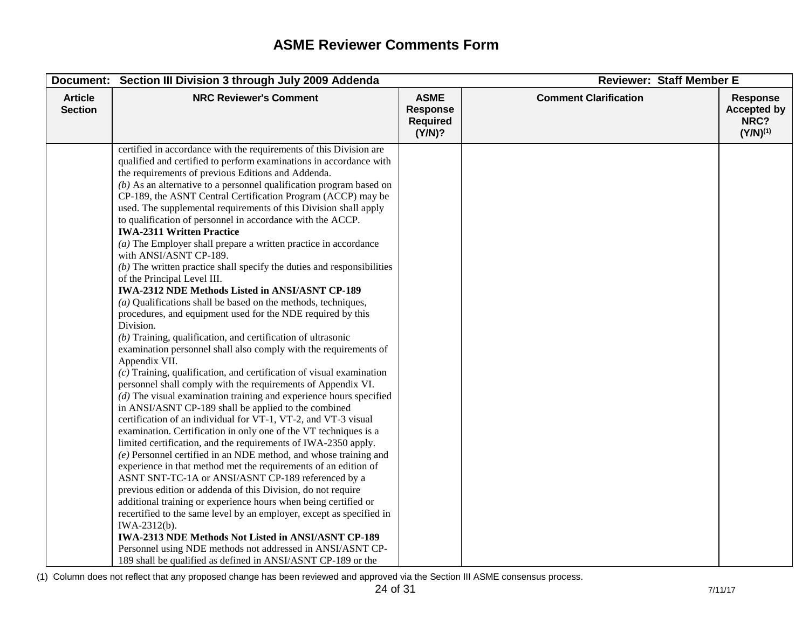| Document:                        | Section III Division 3 through July 2009 Addenda                                                                                                                                                                                                                                                                                                                                                                                                                                                                                                                                                                                                                                                                                                                                                                                                                                                                                                                                                                                                                                                                                                                                                                                                                                                                                                                                                                                                                                                                                                                                                                                                                                                                                                                                                                                                                                                                                                                                                                                                                                                                                                                                       |                                                             | <b>Reviewer: Staff Member E</b> |                                                                |
|----------------------------------|----------------------------------------------------------------------------------------------------------------------------------------------------------------------------------------------------------------------------------------------------------------------------------------------------------------------------------------------------------------------------------------------------------------------------------------------------------------------------------------------------------------------------------------------------------------------------------------------------------------------------------------------------------------------------------------------------------------------------------------------------------------------------------------------------------------------------------------------------------------------------------------------------------------------------------------------------------------------------------------------------------------------------------------------------------------------------------------------------------------------------------------------------------------------------------------------------------------------------------------------------------------------------------------------------------------------------------------------------------------------------------------------------------------------------------------------------------------------------------------------------------------------------------------------------------------------------------------------------------------------------------------------------------------------------------------------------------------------------------------------------------------------------------------------------------------------------------------------------------------------------------------------------------------------------------------------------------------------------------------------------------------------------------------------------------------------------------------------------------------------------------------------------------------------------------------|-------------------------------------------------------------|---------------------------------|----------------------------------------------------------------|
| <b>Article</b><br><b>Section</b> | <b>NRC Reviewer's Comment</b>                                                                                                                                                                                                                                                                                                                                                                                                                                                                                                                                                                                                                                                                                                                                                                                                                                                                                                                                                                                                                                                                                                                                                                                                                                                                                                                                                                                                                                                                                                                                                                                                                                                                                                                                                                                                                                                                                                                                                                                                                                                                                                                                                          | <b>ASME</b><br><b>Response</b><br><b>Required</b><br>(Y/N)? | <b>Comment Clarification</b>    | <b>Response</b><br><b>Accepted by</b><br>NRC?<br>$(Y/N)^{(1)}$ |
|                                  | certified in accordance with the requirements of this Division are<br>qualified and certified to perform examinations in accordance with<br>the requirements of previous Editions and Addenda.<br>$(b)$ As an alternative to a personnel qualification program based on<br>CP-189, the ASNT Central Certification Program (ACCP) may be<br>used. The supplemental requirements of this Division shall apply<br>to qualification of personnel in accordance with the ACCP.<br><b>IWA-2311 Written Practice</b><br>$(a)$ The Employer shall prepare a written practice in accordance<br>with ANSI/ASNT CP-189.<br>$(b)$ The written practice shall specify the duties and responsibilities<br>of the Principal Level III.<br><b>IWA-2312 NDE Methods Listed in ANSI/ASNT CP-189</b><br>$(a)$ Qualifications shall be based on the methods, techniques,<br>procedures, and equipment used for the NDE required by this<br>Division.<br>$(b)$ Training, qualification, and certification of ultrasonic<br>examination personnel shall also comply with the requirements of<br>Appendix VII.<br>$(c)$ Training, qualification, and certification of visual examination<br>personnel shall comply with the requirements of Appendix VI.<br>$(d)$ The visual examination training and experience hours specified<br>in ANSI/ASNT CP-189 shall be applied to the combined<br>certification of an individual for VT-1, VT-2, and VT-3 visual<br>examination. Certification in only one of the VT techniques is a<br>limited certification, and the requirements of IWA-2350 apply.<br>(e) Personnel certified in an NDE method, and whose training and<br>experience in that method met the requirements of an edition of<br>ASNT SNT-TC-1A or ANSI/ASNT CP-189 referenced by a<br>previous edition or addenda of this Division, do not require<br>additional training or experience hours when being certified or<br>recertified to the same level by an employer, except as specified in<br>IWA-2312(b).<br>IWA-2313 NDE Methods Not Listed in ANSI/ASNT CP-189<br>Personnel using NDE methods not addressed in ANSI/ASNT CP-<br>189 shall be qualified as defined in ANSI/ASNT CP-189 or the |                                                             |                                 |                                                                |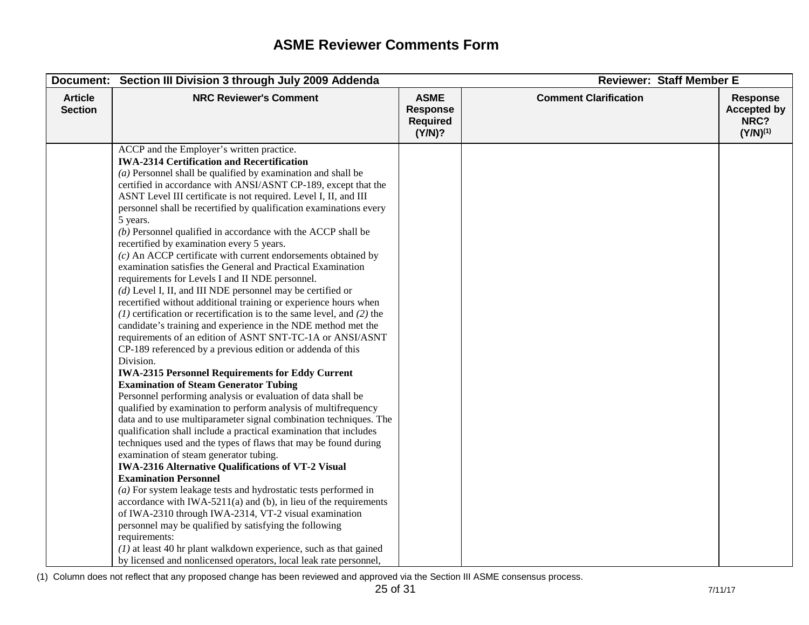| Document:                        | Section III Division 3 through July 2009 Addenda                                                                                                                                                                                                                                                                                                                                                                                                                                                                                                                                                                                                                                                                                                                                                                                                                                                                                                                                                                                                                                                                                                                                                                                                                                                                                                                                                                                                                                                                                                                                                                                                                                                                                                                                                                                                                                                                                                                                                                                                                                                                                                  |                                                             | <b>Reviewer: Staff Member E</b> |                                                                |
|----------------------------------|---------------------------------------------------------------------------------------------------------------------------------------------------------------------------------------------------------------------------------------------------------------------------------------------------------------------------------------------------------------------------------------------------------------------------------------------------------------------------------------------------------------------------------------------------------------------------------------------------------------------------------------------------------------------------------------------------------------------------------------------------------------------------------------------------------------------------------------------------------------------------------------------------------------------------------------------------------------------------------------------------------------------------------------------------------------------------------------------------------------------------------------------------------------------------------------------------------------------------------------------------------------------------------------------------------------------------------------------------------------------------------------------------------------------------------------------------------------------------------------------------------------------------------------------------------------------------------------------------------------------------------------------------------------------------------------------------------------------------------------------------------------------------------------------------------------------------------------------------------------------------------------------------------------------------------------------------------------------------------------------------------------------------------------------------------------------------------------------------------------------------------------------------|-------------------------------------------------------------|---------------------------------|----------------------------------------------------------------|
| <b>Article</b><br><b>Section</b> | <b>NRC Reviewer's Comment</b>                                                                                                                                                                                                                                                                                                                                                                                                                                                                                                                                                                                                                                                                                                                                                                                                                                                                                                                                                                                                                                                                                                                                                                                                                                                                                                                                                                                                                                                                                                                                                                                                                                                                                                                                                                                                                                                                                                                                                                                                                                                                                                                     | <b>ASME</b><br><b>Response</b><br><b>Required</b><br>(Y/N)? | <b>Comment Clarification</b>    | <b>Response</b><br><b>Accepted by</b><br>NRC?<br>$(Y/N)^{(1)}$ |
|                                  | ACCP and the Employer's written practice.<br><b>IWA-2314 Certification and Recertification</b><br>$(a)$ Personnel shall be qualified by examination and shall be<br>certified in accordance with ANSI/ASNT CP-189, except that the<br>ASNT Level III certificate is not required. Level I, II, and III<br>personnel shall be recertified by qualification examinations every<br>5 years.<br>$(b)$ Personnel qualified in accordance with the ACCP shall be<br>recertified by examination every 5 years.<br>$(c)$ An ACCP certificate with current endorsements obtained by<br>examination satisfies the General and Practical Examination<br>requirements for Levels I and II NDE personnel.<br>$(d)$ Level I, II, and III NDE personnel may be certified or<br>recertified without additional training or experience hours when<br>$(1)$ certification or recertification is to the same level, and $(2)$ the<br>candidate's training and experience in the NDE method met the<br>requirements of an edition of ASNT SNT-TC-1A or ANSI/ASNT<br>CP-189 referenced by a previous edition or addenda of this<br>Division.<br><b>IWA-2315 Personnel Requirements for Eddy Current</b><br><b>Examination of Steam Generator Tubing</b><br>Personnel performing analysis or evaluation of data shall be<br>qualified by examination to perform analysis of multifrequency<br>data and to use multiparameter signal combination techniques. The<br>qualification shall include a practical examination that includes<br>techniques used and the types of flaws that may be found during<br>examination of steam generator tubing.<br><b>IWA-2316 Alternative Qualifications of VT-2 Visual</b><br><b>Examination Personnel</b><br>$(a)$ For system leakage tests and hydrostatic tests performed in<br>accordance with IWA-5211(a) and (b), in lieu of the requirements<br>of IWA-2310 through IWA-2314, VT-2 visual examination<br>personnel may be qualified by satisfying the following<br>requirements:<br>$(1)$ at least 40 hr plant walkdown experience, such as that gained<br>by licensed and nonlicensed operators, local leak rate personnel, |                                                             |                                 |                                                                |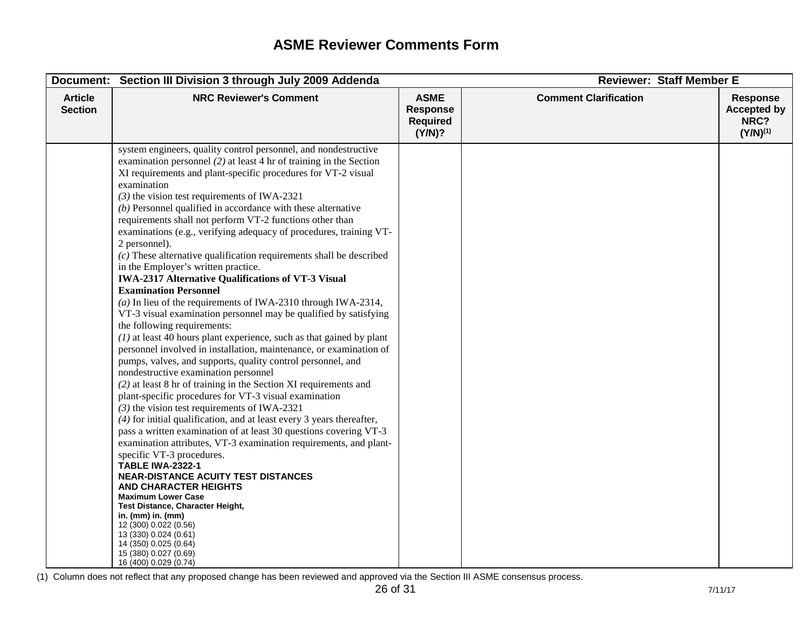|                                  | Document: Section III Division 3 through July 2009 Addenda                                                                                                                                                                                                                                                                                                                                                                                                                                                                                                                                                                                                                                                                                                                                                                                                                                                                                                                                                                                                                                                                                                                                                                                                                                                                                                                                                                                                                                                                                                                                                                                                                                                                                                                                                                                                                                                     |                                                             | <b>Reviewer: Staff Member E</b> |                                                                |
|----------------------------------|----------------------------------------------------------------------------------------------------------------------------------------------------------------------------------------------------------------------------------------------------------------------------------------------------------------------------------------------------------------------------------------------------------------------------------------------------------------------------------------------------------------------------------------------------------------------------------------------------------------------------------------------------------------------------------------------------------------------------------------------------------------------------------------------------------------------------------------------------------------------------------------------------------------------------------------------------------------------------------------------------------------------------------------------------------------------------------------------------------------------------------------------------------------------------------------------------------------------------------------------------------------------------------------------------------------------------------------------------------------------------------------------------------------------------------------------------------------------------------------------------------------------------------------------------------------------------------------------------------------------------------------------------------------------------------------------------------------------------------------------------------------------------------------------------------------------------------------------------------------------------------------------------------------|-------------------------------------------------------------|---------------------------------|----------------------------------------------------------------|
| <b>Article</b><br><b>Section</b> | <b>NRC Reviewer's Comment</b>                                                                                                                                                                                                                                                                                                                                                                                                                                                                                                                                                                                                                                                                                                                                                                                                                                                                                                                                                                                                                                                                                                                                                                                                                                                                                                                                                                                                                                                                                                                                                                                                                                                                                                                                                                                                                                                                                  | <b>ASME</b><br><b>Response</b><br><b>Required</b><br>(Y/N)? | <b>Comment Clarification</b>    | <b>Response</b><br><b>Accepted by</b><br>NRC?<br>$(Y/N)^{(1)}$ |
|                                  | system engineers, quality control personnel, and nondestructive<br>examination personnel $(2)$ at least 4 hr of training in the Section<br>XI requirements and plant-specific procedures for VT-2 visual<br>examination<br>$(3)$ the vision test requirements of IWA-2321<br>$(b)$ Personnel qualified in accordance with these alternative<br>requirements shall not perform VT-2 functions other than<br>examinations (e.g., verifying adequacy of procedures, training VT-<br>2 personnel).<br>$(c)$ These alternative qualification requirements shall be described<br>in the Employer's written practice.<br><b>IWA-2317 Alternative Qualifications of VT-3 Visual</b><br><b>Examination Personnel</b><br>(a) In lieu of the requirements of IWA-2310 through IWA-2314,<br>VT-3 visual examination personnel may be qualified by satisfying<br>the following requirements:<br>$(1)$ at least 40 hours plant experience, such as that gained by plant<br>personnel involved in installation, maintenance, or examination of<br>pumps, valves, and supports, quality control personnel, and<br>nondestructive examination personnel<br>(2) at least 8 hr of training in the Section XI requirements and<br>plant-specific procedures for VT-3 visual examination<br>$(3)$ the vision test requirements of IWA-2321<br>$(4)$ for initial qualification, and at least every 3 years thereafter,<br>pass a written examination of at least 30 questions covering VT-3<br>examination attributes, VT-3 examination requirements, and plant-<br>specific VT-3 procedures.<br><b>TABLE IWA-2322-1</b><br><b>NEAR-DISTANCE ACUITY TEST DISTANCES</b><br><b>AND CHARACTER HEIGHTS</b><br><b>Maximum Lower Case</b><br><b>Test Distance, Character Height,</b><br>in. $(mm)$ in. $(mm)$<br>12 (300) 0.022 (0.56)<br>13 (330) 0.024 (0.61)<br>14 (350) 0.025 (0.64)<br>15 (380) 0.027 (0.69)<br>16 (400) 0.029 (0.74) |                                                             |                                 |                                                                |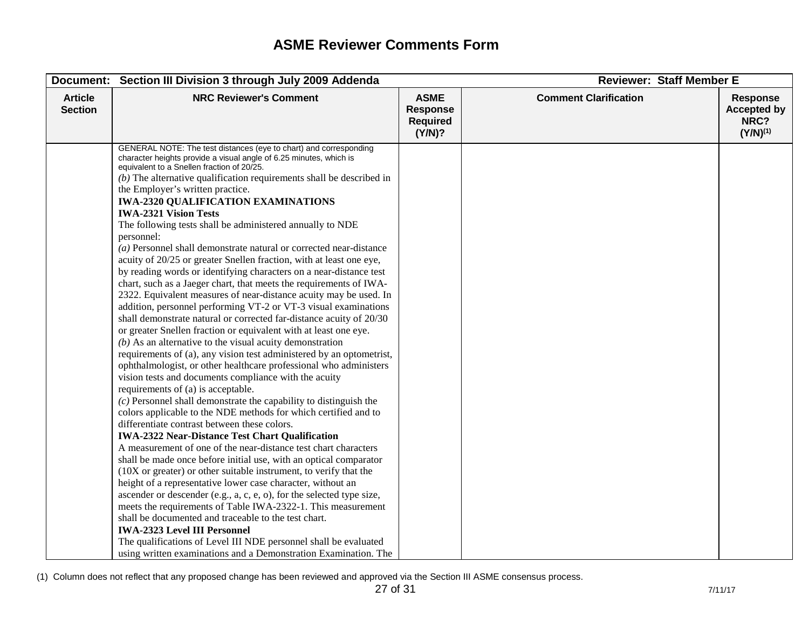|                                  | Document: Section III Division 3 through July 2009 Addenda                                                                                                                                                                                                                                                                                                                                                                                                                                                                                                                                                                                                                                                                                                                                                                                                                                                                                                                                                                                                                                                                                                                                                                                                                                                                                                                                                                                                                                                                                                                                                                                                                                                                                                                                                                                                                                                                                                                                                                                                                                                                                                                                                                                                             |                                                             | <b>Reviewer: Staff Member E</b> |                                                                |
|----------------------------------|------------------------------------------------------------------------------------------------------------------------------------------------------------------------------------------------------------------------------------------------------------------------------------------------------------------------------------------------------------------------------------------------------------------------------------------------------------------------------------------------------------------------------------------------------------------------------------------------------------------------------------------------------------------------------------------------------------------------------------------------------------------------------------------------------------------------------------------------------------------------------------------------------------------------------------------------------------------------------------------------------------------------------------------------------------------------------------------------------------------------------------------------------------------------------------------------------------------------------------------------------------------------------------------------------------------------------------------------------------------------------------------------------------------------------------------------------------------------------------------------------------------------------------------------------------------------------------------------------------------------------------------------------------------------------------------------------------------------------------------------------------------------------------------------------------------------------------------------------------------------------------------------------------------------------------------------------------------------------------------------------------------------------------------------------------------------------------------------------------------------------------------------------------------------------------------------------------------------------------------------------------------------|-------------------------------------------------------------|---------------------------------|----------------------------------------------------------------|
| <b>Article</b><br><b>Section</b> | <b>NRC Reviewer's Comment</b>                                                                                                                                                                                                                                                                                                                                                                                                                                                                                                                                                                                                                                                                                                                                                                                                                                                                                                                                                                                                                                                                                                                                                                                                                                                                                                                                                                                                                                                                                                                                                                                                                                                                                                                                                                                                                                                                                                                                                                                                                                                                                                                                                                                                                                          | <b>ASME</b><br><b>Response</b><br><b>Required</b><br>(Y/N)? | <b>Comment Clarification</b>    | <b>Response</b><br><b>Accepted by</b><br>NRC?<br>$(Y/N)^{(1)}$ |
|                                  | GENERAL NOTE: The test distances (eye to chart) and corresponding<br>character heights provide a visual angle of 6.25 minutes, which is<br>equivalent to a Snellen fraction of 20/25.<br>$(b)$ The alternative qualification requirements shall be described in<br>the Employer's written practice.<br><b>IWA-2320 QUALIFICATION EXAMINATIONS</b><br><b>IWA-2321 Vision Tests</b><br>The following tests shall be administered annually to NDE<br>personnel:<br>$(a)$ Personnel shall demonstrate natural or corrected near-distance<br>acuity of 20/25 or greater Snellen fraction, with at least one eye,<br>by reading words or identifying characters on a near-distance test<br>chart, such as a Jaeger chart, that meets the requirements of IWA-<br>2322. Equivalent measures of near-distance acuity may be used. In<br>addition, personnel performing VT-2 or VT-3 visual examinations<br>shall demonstrate natural or corrected far-distance acuity of 20/30<br>or greater Snellen fraction or equivalent with at least one eye.<br>$(b)$ As an alternative to the visual acuity demonstration<br>requirements of (a), any vision test administered by an optometrist,<br>ophthalmologist, or other healthcare professional who administers<br>vision tests and documents compliance with the acuity<br>requirements of (a) is acceptable.<br>$(c)$ Personnel shall demonstrate the capability to distinguish the<br>colors applicable to the NDE methods for which certified and to<br>differentiate contrast between these colors.<br><b>IWA-2322 Near-Distance Test Chart Qualification</b><br>A measurement of one of the near-distance test chart characters<br>shall be made once before initial use, with an optical comparator<br>$(10X)$ or greater) or other suitable instrument, to verify that the<br>height of a representative lower case character, without an<br>ascender or descender (e.g., a, c, e, o), for the selected type size,<br>meets the requirements of Table IWA-2322-1. This measurement<br>shall be documented and traceable to the test chart.<br><b>IWA-2323 Level III Personnel</b><br>The qualifications of Level III NDE personnel shall be evaluated<br>using written examinations and a Demonstration Examination. The |                                                             |                                 |                                                                |

<sup>(1)</sup> Column does not reflect that any proposed change has been reviewed and approved via the Section III ASME consensus process.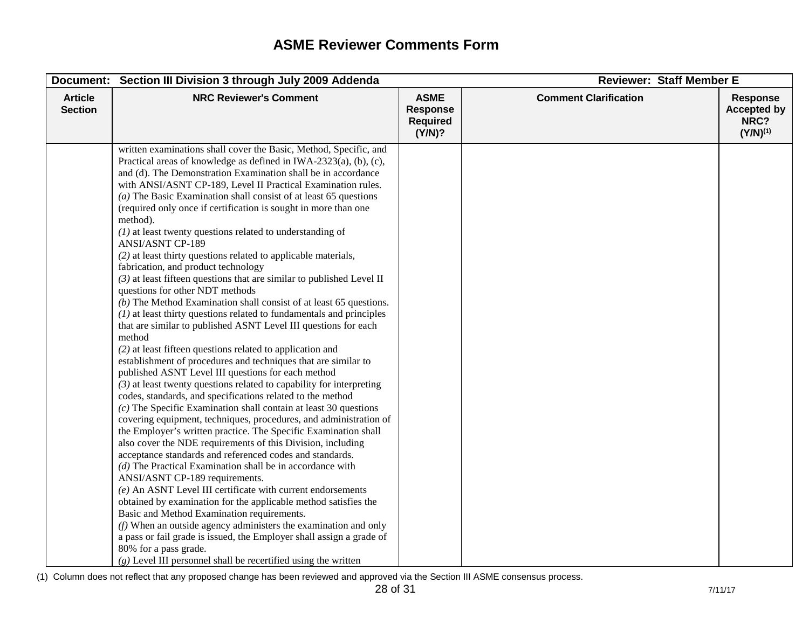| Document:                        | Section III Division 3 through July 2009 Addenda                                                                                                                                                                                                                                                                                                                                                                                                                                                                                                                                                                                                                                                                                                                                                                                                                                                                                                                                                                                                                                                                                                                                                                                                                                                                                                                                                                                                                                                                                                                                                                                                                                                                                                                                                                                                                                                                                                                                                                                                                                                                                                                                  |                                                             | <b>Reviewer: Staff Member E</b> |                                                                |
|----------------------------------|-----------------------------------------------------------------------------------------------------------------------------------------------------------------------------------------------------------------------------------------------------------------------------------------------------------------------------------------------------------------------------------------------------------------------------------------------------------------------------------------------------------------------------------------------------------------------------------------------------------------------------------------------------------------------------------------------------------------------------------------------------------------------------------------------------------------------------------------------------------------------------------------------------------------------------------------------------------------------------------------------------------------------------------------------------------------------------------------------------------------------------------------------------------------------------------------------------------------------------------------------------------------------------------------------------------------------------------------------------------------------------------------------------------------------------------------------------------------------------------------------------------------------------------------------------------------------------------------------------------------------------------------------------------------------------------------------------------------------------------------------------------------------------------------------------------------------------------------------------------------------------------------------------------------------------------------------------------------------------------------------------------------------------------------------------------------------------------------------------------------------------------------------------------------------------------|-------------------------------------------------------------|---------------------------------|----------------------------------------------------------------|
| <b>Article</b><br><b>Section</b> | <b>NRC Reviewer's Comment</b>                                                                                                                                                                                                                                                                                                                                                                                                                                                                                                                                                                                                                                                                                                                                                                                                                                                                                                                                                                                                                                                                                                                                                                                                                                                                                                                                                                                                                                                                                                                                                                                                                                                                                                                                                                                                                                                                                                                                                                                                                                                                                                                                                     | <b>ASME</b><br><b>Response</b><br><b>Required</b><br>(Y/N)? | <b>Comment Clarification</b>    | <b>Response</b><br><b>Accepted by</b><br>NRC?<br>$(Y/N)^{(1)}$ |
|                                  | written examinations shall cover the Basic, Method, Specific, and<br>Practical areas of knowledge as defined in IWA-2323(a), (b), (c),<br>and (d). The Demonstration Examination shall be in accordance<br>with ANSI/ASNT CP-189, Level II Practical Examination rules.<br>( $a$ ) The Basic Examination shall consist of at least 65 questions<br>(required only once if certification is sought in more than one<br>method).<br>$(1)$ at least twenty questions related to understanding of<br><b>ANSI/ASNT CP-189</b><br>(2) at least thirty questions related to applicable materials,<br>fabrication, and product technology<br>$(3)$ at least fifteen questions that are similar to published Level II<br>questions for other NDT methods<br>$(b)$ The Method Examination shall consist of at least 65 questions.<br>$(1)$ at least thirty questions related to fundamentals and principles<br>that are similar to published ASNT Level III questions for each<br>method<br>$(2)$ at least fifteen questions related to application and<br>establishment of procedures and techniques that are similar to<br>published ASNT Level III questions for each method<br>$(3)$ at least twenty questions related to capability for interpreting<br>codes, standards, and specifications related to the method<br>$(c)$ The Specific Examination shall contain at least 30 questions<br>covering equipment, techniques, procedures, and administration of<br>the Employer's written practice. The Specific Examination shall<br>also cover the NDE requirements of this Division, including<br>acceptance standards and referenced codes and standards.<br>$(d)$ The Practical Examination shall be in accordance with<br>ANSI/ASNT CP-189 requirements.<br>(e) An ASNT Level III certificate with current endorsements<br>obtained by examination for the applicable method satisfies the<br>Basic and Method Examination requirements.<br>$(f)$ When an outside agency administers the examination and only<br>a pass or fail grade is issued, the Employer shall assign a grade of<br>80% for a pass grade.<br>$(g)$ Level III personnel shall be recertified using the written |                                                             |                                 |                                                                |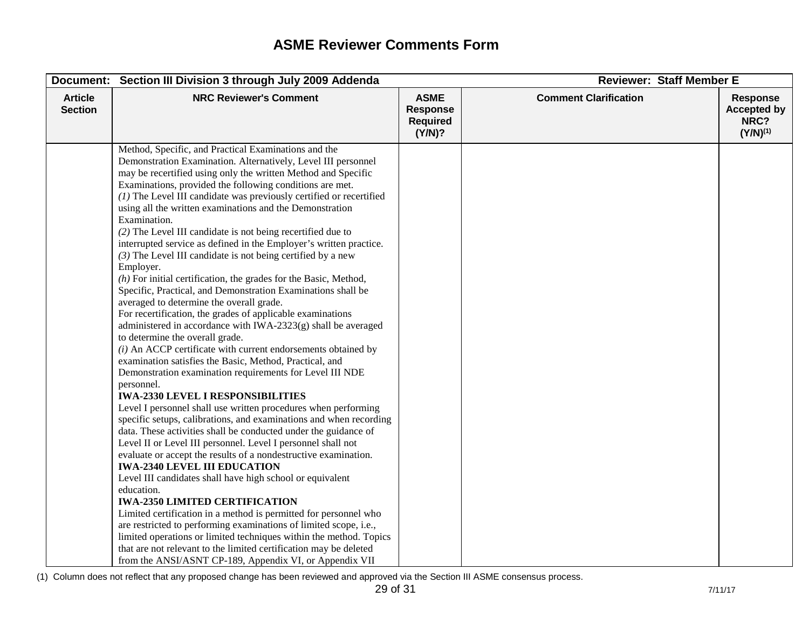|                                  | Document: Section III Division 3 through July 2009 Addenda                                                                                                                                                                                                                                                                                                                                                                                                                                                                                                                                                                                                                                                                                                                                                                                                                                                                                                                                                                                                                                                                                                                                                                                                                                                                                                                                                                                                                                                                                                                                                                                                                                                                                                                                                                                                                                                                                                                                                                                                                                 |                                                             | <b>Reviewer: Staff Member E</b> |                                                                |
|----------------------------------|--------------------------------------------------------------------------------------------------------------------------------------------------------------------------------------------------------------------------------------------------------------------------------------------------------------------------------------------------------------------------------------------------------------------------------------------------------------------------------------------------------------------------------------------------------------------------------------------------------------------------------------------------------------------------------------------------------------------------------------------------------------------------------------------------------------------------------------------------------------------------------------------------------------------------------------------------------------------------------------------------------------------------------------------------------------------------------------------------------------------------------------------------------------------------------------------------------------------------------------------------------------------------------------------------------------------------------------------------------------------------------------------------------------------------------------------------------------------------------------------------------------------------------------------------------------------------------------------------------------------------------------------------------------------------------------------------------------------------------------------------------------------------------------------------------------------------------------------------------------------------------------------------------------------------------------------------------------------------------------------------------------------------------------------------------------------------------------------|-------------------------------------------------------------|---------------------------------|----------------------------------------------------------------|
| <b>Article</b><br><b>Section</b> | <b>NRC Reviewer's Comment</b>                                                                                                                                                                                                                                                                                                                                                                                                                                                                                                                                                                                                                                                                                                                                                                                                                                                                                                                                                                                                                                                                                                                                                                                                                                                                                                                                                                                                                                                                                                                                                                                                                                                                                                                                                                                                                                                                                                                                                                                                                                                              | <b>ASME</b><br><b>Response</b><br><b>Required</b><br>(Y/N)? | <b>Comment Clarification</b>    | <b>Response</b><br><b>Accepted by</b><br>NRC?<br>$(Y/N)^{(1)}$ |
|                                  | Method, Specific, and Practical Examinations and the<br>Demonstration Examination. Alternatively, Level III personnel<br>may be recertified using only the written Method and Specific<br>Examinations, provided the following conditions are met.<br>$(1)$ The Level III candidate was previously certified or recertified<br>using all the written examinations and the Demonstration<br>Examination.<br>(2) The Level III candidate is not being recertified due to<br>interrupted service as defined in the Employer's written practice.<br>$(3)$ The Level III candidate is not being certified by a new<br>Employer.<br>$(h)$ For initial certification, the grades for the Basic, Method,<br>Specific, Practical, and Demonstration Examinations shall be<br>averaged to determine the overall grade.<br>For recertification, the grades of applicable examinations<br>administered in accordance with IWA-2323(g) shall be averaged<br>to determine the overall grade.<br>$(i)$ An ACCP certificate with current endorsements obtained by<br>examination satisfies the Basic, Method, Practical, and<br>Demonstration examination requirements for Level III NDE<br>personnel.<br><b>IWA-2330 LEVEL I RESPONSIBILITIES</b><br>Level I personnel shall use written procedures when performing<br>specific setups, calibrations, and examinations and when recording<br>data. These activities shall be conducted under the guidance of<br>Level II or Level III personnel. Level I personnel shall not<br>evaluate or accept the results of a nondestructive examination.<br><b>IWA-2340 LEVEL III EDUCATION</b><br>Level III candidates shall have high school or equivalent<br>education.<br><b>IWA-2350 LIMITED CERTIFICATION</b><br>Limited certification in a method is permitted for personnel who<br>are restricted to performing examinations of limited scope, i.e.,<br>limited operations or limited techniques within the method. Topics<br>that are not relevant to the limited certification may be deleted<br>from the ANSI/ASNT CP-189, Appendix VI, or Appendix VII |                                                             |                                 |                                                                |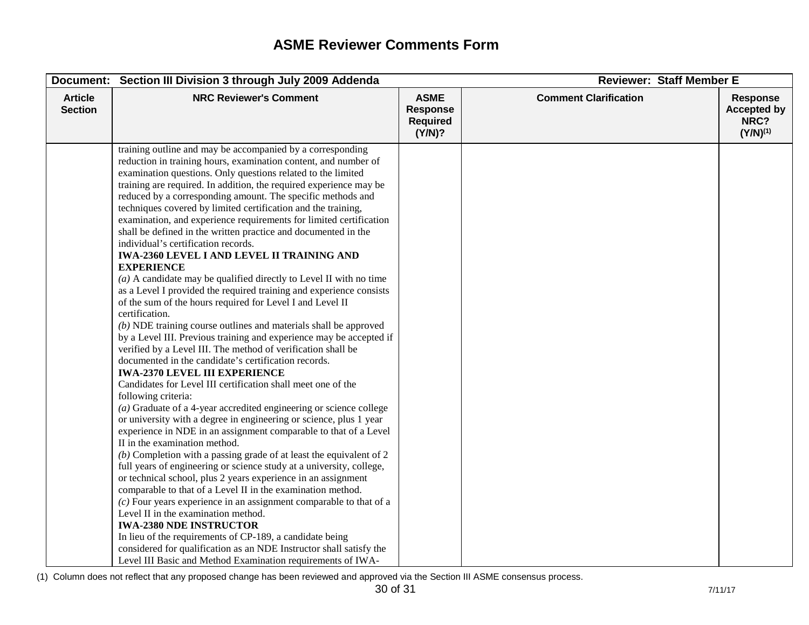|                                  | Document: Section III Division 3 through July 2009 Addenda                                                                                                                                                                                                                                                                                                                                                                                                                                                                                                                                                                                                                                                                                                                                                                                                                                                                                                                                                                                                                                                                                                                                                                                                                                                                                                                                                                                                                                                                                                                                                                                                                                                                                                                                                                                                                                                                                                                                                                                                                                                                                                                              |                                                             | <b>Reviewer: Staff Member E</b> |                                                                |
|----------------------------------|-----------------------------------------------------------------------------------------------------------------------------------------------------------------------------------------------------------------------------------------------------------------------------------------------------------------------------------------------------------------------------------------------------------------------------------------------------------------------------------------------------------------------------------------------------------------------------------------------------------------------------------------------------------------------------------------------------------------------------------------------------------------------------------------------------------------------------------------------------------------------------------------------------------------------------------------------------------------------------------------------------------------------------------------------------------------------------------------------------------------------------------------------------------------------------------------------------------------------------------------------------------------------------------------------------------------------------------------------------------------------------------------------------------------------------------------------------------------------------------------------------------------------------------------------------------------------------------------------------------------------------------------------------------------------------------------------------------------------------------------------------------------------------------------------------------------------------------------------------------------------------------------------------------------------------------------------------------------------------------------------------------------------------------------------------------------------------------------------------------------------------------------------------------------------------------------|-------------------------------------------------------------|---------------------------------|----------------------------------------------------------------|
| <b>Article</b><br><b>Section</b> | <b>NRC Reviewer's Comment</b>                                                                                                                                                                                                                                                                                                                                                                                                                                                                                                                                                                                                                                                                                                                                                                                                                                                                                                                                                                                                                                                                                                                                                                                                                                                                                                                                                                                                                                                                                                                                                                                                                                                                                                                                                                                                                                                                                                                                                                                                                                                                                                                                                           | <b>ASME</b><br><b>Response</b><br><b>Required</b><br>(Y/N)? | <b>Comment Clarification</b>    | <b>Response</b><br><b>Accepted by</b><br>NRC?<br>$(Y/N)^{(1)}$ |
|                                  | training outline and may be accompanied by a corresponding<br>reduction in training hours, examination content, and number of<br>examination questions. Only questions related to the limited<br>training are required. In addition, the required experience may be<br>reduced by a corresponding amount. The specific methods and<br>techniques covered by limited certification and the training,<br>examination, and experience requirements for limited certification<br>shall be defined in the written practice and documented in the<br>individual's certification records.<br><b>IWA-2360 LEVEL I AND LEVEL II TRAINING AND</b><br><b>EXPERIENCE</b><br>$(a)$ A candidate may be qualified directly to Level II with no time<br>as a Level I provided the required training and experience consists<br>of the sum of the hours required for Level I and Level II<br>certification.<br>$(b)$ NDE training course outlines and materials shall be approved<br>by a Level III. Previous training and experience may be accepted if<br>verified by a Level III. The method of verification shall be<br>documented in the candidate's certification records.<br><b>IWA-2370 LEVEL III EXPERIENCE</b><br>Candidates for Level III certification shall meet one of the<br>following criteria:<br>( $a$ ) Graduate of a 4-year accredited engineering or science college<br>or university with a degree in engineering or science, plus 1 year<br>experience in NDE in an assignment comparable to that of a Level<br>II in the examination method.<br>$(b)$ Completion with a passing grade of at least the equivalent of 2<br>full years of engineering or science study at a university, college,<br>or technical school, plus 2 years experience in an assignment<br>comparable to that of a Level II in the examination method.<br>$(c)$ Four years experience in an assignment comparable to that of a<br>Level II in the examination method.<br><b>IWA-2380 NDE INSTRUCTOR</b><br>In lieu of the requirements of CP-189, a candidate being<br>considered for qualification as an NDE Instructor shall satisfy the<br>Level III Basic and Method Examination requirements of IWA- |                                                             |                                 |                                                                |